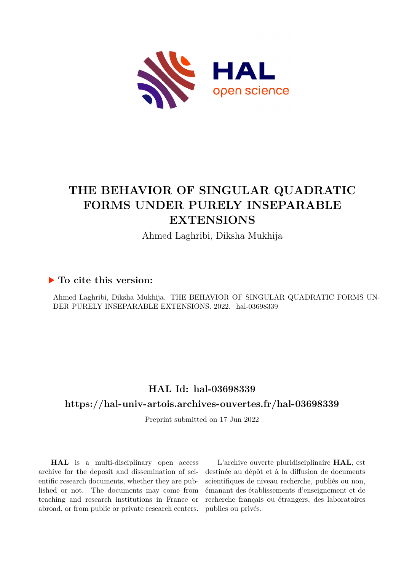

# **THE BEHAVIOR OF SINGULAR QUADRATIC FORMS UNDER PURELY INSEPARABLE EXTENSIONS**

Ahmed Laghribi, Diksha Mukhija

# **To cite this version:**

Ahmed Laghribi, Diksha Mukhija. THE BEHAVIOR OF SINGULAR QUADRATIC FORMS UN-DER PURELY INSEPARABLE EXTENSIONS. 2022. hal-03698339

# **HAL Id: hal-03698339**

# **<https://hal-univ-artois.archives-ouvertes.fr/hal-03698339>**

Preprint submitted on 17 Jun 2022

**HAL** is a multi-disciplinary open access archive for the deposit and dissemination of scientific research documents, whether they are published or not. The documents may come from teaching and research institutions in France or abroad, or from public or private research centers.

L'archive ouverte pluridisciplinaire **HAL**, est destinée au dépôt et à la diffusion de documents scientifiques de niveau recherche, publiés ou non, émanant des établissements d'enseignement et de recherche français ou étrangers, des laboratoires publics ou privés.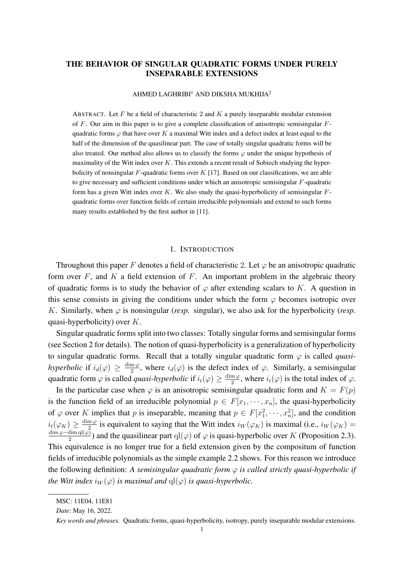# THE BEHAVIOR OF SINGULAR QUADRATIC FORMS UNDER PURELY INSEPARABLE EXTENSIONS

#### $AHMED$  LAGHRIBI<sup>1</sup> AND DIKSHA MUKHIJA<sup>2</sup>

ABSTRACT. Let  $F$  be a field of characteristic 2 and  $K$  a purely inseparable modular extension of F. Our aim in this paper is to give a complete classification of anisotropic semisingular  $F$ quadratic forms  $\varphi$  that have over K a maximal Witt index and a defect index at least equal to the half of the dimension of the quasilinear part. The case of totally singular quadratic forms will be also treated. Our method also allows us to classify the forms  $\varphi$  under the unique hypothesis of maximality of the Witt index over  $K$ . This extends a recent result of Sobiech studying the hyperbolicity of nonsingular  $F$ -quadratic forms over  $K$  [17]. Based on our classifications, we are able to give necessary and sufficient conditions under which an anisotropic semisingular  $F$ -quadratic form has a given Witt index over K. We also study the quasi-hyperbolicity of semisingular  $F$ quadratic forms over function fields of certain irreducible polynomials and extend to such forms many results established by the first author in [11].

#### 1. INTRODUCTION

Throughout this paper F denotes a field of characteristic 2. Let  $\varphi$  be an anisotropic quadratic form over  $F$ , and  $K$  a field extension of  $F$ . An important problem in the algebraic theory of quadratic forms is to study the behavior of  $\varphi$  after extending scalars to K. A question in this sense consists in giving the conditions under which the form  $\varphi$  becomes isotropic over K. Similarly, when  $\varphi$  is nonsingular (*resp.* singular), we also ask for the hyperbolicity (*resp.* quasi-hyperbolicity) over K.

Singular quadratic forms split into two classes: Totally singular forms and semisingular forms (see Section 2 for details). The notion of quasi-hyperbolicity is a generalization of hyperbolicity to singular quadratic forms. Recall that a totally singular quadratic form  $\varphi$  is called *quasihyperbolic* if  $i_d(\varphi) \geq \frac{\dim \varphi}{2}$  $\frac{m\varphi}{2}$ , where  $i_d(\varphi)$  is the defect index of  $\varphi$ . Similarly, a semisingular quadratic form  $\varphi$  is called *quasi-hyperbolic* if  $i_t(\varphi) \geq \frac{\dim \varphi}{2}$  $\frac{m\varphi}{2}$ , where  $i_t(\varphi)$  is the total index of  $\varphi$ .

In the particular case when  $\varphi$  is an anisotropic semisingular quadratic form and  $K = F(p)$ is the function field of an irreducible polynomial  $p \in F[x_1, \dots, x_n]$ , the quasi-hyperbolicity of  $\varphi$  over K implies that p is inseparable, meaning that  $p \in F[x_1^2, \dots, x_n^2]$ , and the condition  $i_t(\varphi_K) \geq \frac{\dim \varphi}{2}$  $\frac{m\varphi}{2}$  is equivalent to saying that the Witt index  $i_W(\varphi_K)$  is maximal (i.e.,  $i_W(\varphi_K)$ )  $\dim \varphi - \dim \mathrm{ql}(\varphi)$  $\frac{2^{\dim q_1(\varphi)}}{2}$ ) and the quasilinear part  $\text{ql}(\varphi)$  of  $\varphi$  is quasi-hyperbolic over K (Proposition 2.3). This equivalence is no longer true for a field extension given by the compositum of function fields of irreducible polynomials as the simple example 2.2 shows. For this reason we introduce the following definition: *A semisingular quadratic form* φ *is called strictly quasi-hyperbolic if the Witt index*  $i_W(\varphi)$  *is maximal and*  $ql(\varphi)$  *is quasi-hyperbolic.* 

MSC: 11E04, 11E81

*Date*: May 16, 2022.

*Key words and phrases.* Quadratic forms, quasi-hyperbolicity, isotropy, purely inseparable modular extensions.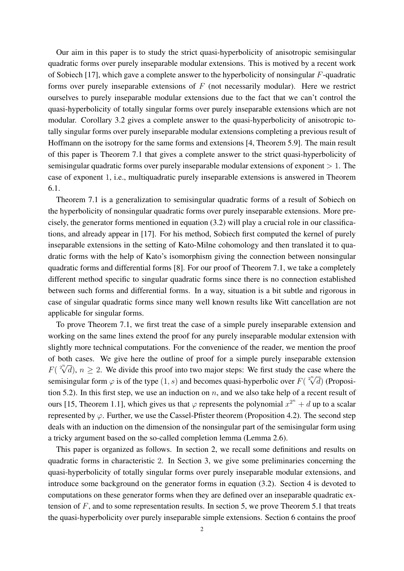Our aim in this paper is to study the strict quasi-hyperbolicity of anisotropic semisingular quadratic forms over purely inseparable modular extensions. This is motived by a recent work of Sobiech [17], which gave a complete answer to the hyperbolicity of nonsingular F-quadratic forms over purely inseparable extensions of  $F$  (not necessarily modular). Here we restrict ourselves to purely inseparable modular extensions due to the fact that we can't control the quasi-hyperbolicity of totally singular forms over purely inseparable extensions which are not modular. Corollary 3.2 gives a complete answer to the quasi-hyperbolicity of anisotropic totally singular forms over purely inseparable modular extensions completing a previous result of Hoffmann on the isotropy for the same forms and extensions [4, Theorem 5.9]. The main result of this paper is Theorem 7.1 that gives a complete answer to the strict quasi-hyperbolicity of semisingular quadratic forms over purely inseparable modular extensions of exponent  $> 1$ . The case of exponent 1, i.e., multiquadratic purely inseparable extensions is answered in Theorem 6.1.

Theorem 7.1 is a generalization to semisingular quadratic forms of a result of Sobiech on the hyperbolicity of nonsingular quadratic forms over purely inseparable extensions. More precisely, the generator forms mentioned in equation (3.2) will play a crucial role in our classifications, and already appear in [17]. For his method, Sobiech first computed the kernel of purely inseparable extensions in the setting of Kato-Milne cohomology and then translated it to quadratic forms with the help of Kato's isomorphism giving the connection between nonsingular quadratic forms and differential forms [8]. For our proof of Theorem 7.1, we take a completely different method specific to singular quadratic forms since there is no connection established between such forms and differential forms. In a way, situation is a bit subtle and rigorous in case of singular quadratic forms since many well known results like Witt cancellation are not applicable for singular forms.

To prove Theorem 7.1, we first treat the case of a simple purely inseparable extension and working on the same lines extend the proof for any purely inseparable modular extension with slightly more technical computations. For the convenience of the reader, we mention the proof of both cases. We give here the outline of proof for a simple purely inseparable extension F( $\sqrt[2^n]{d}$ ),  $n \ge 2$ . We divide this proof into two major steps: We first study the case where the semisingular form  $\varphi$  is of the type  $(1, s)$  and becomes quasi-hyperbolic over  $F(\sqrt[2^n]{d})$  (Proposition 5.2). In this first step, we use an induction on  $n$ , and we also take help of a recent result of ours [15, Theorem 1.1], which gives us that  $\varphi$  represents the polynomial  $x^{2^n} + d$  up to a scalar represented by  $\varphi$ . Further, we use the Cassel-Pfister theorem (Proposition 4.2). The second step deals with an induction on the dimension of the nonsingular part of the semisingular form using a tricky argument based on the so-called completion lemma (Lemma 2.6).

This paper is organized as follows. In section 2, we recall some definitions and results on quadratic forms in characteristic 2. In Section 3, we give some preliminaries concerning the quasi-hyperbolicity of totally singular forms over purely inseparable modular extensions, and introduce some background on the generator forms in equation (3.2). Section 4 is devoted to computations on these generator forms when they are defined over an inseparable quadratic extension of  $F$ , and to some representation results. In section 5, we prove Theorem 5.1 that treats the quasi-hyperbolicity over purely inseparable simple extensions. Section 6 contains the proof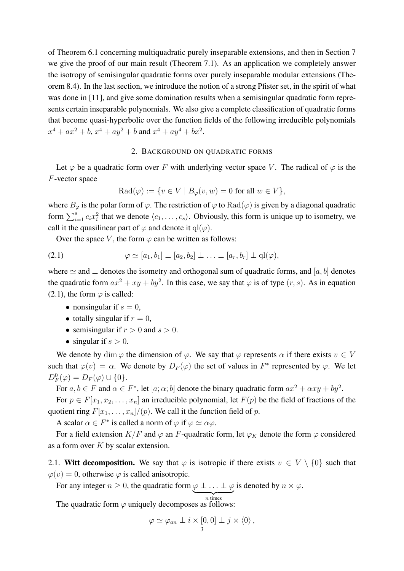of Theorem 6.1 concerning multiquadratic purely inseparable extensions, and then in Section 7 we give the proof of our main result (Theorem 7.1). As an application we completely answer the isotropy of semisingular quadratic forms over purely inseparable modular extensions (Theorem 8.4). In the last section, we introduce the notion of a strong Pfister set, in the spirit of what was done in [11], and give some domination results when a semisingular quadratic form represents certain inseparable polynomials. We also give a complete classification of quadratic forms that become quasi-hyperbolic over the function fields of the following irreducible polynomials  $x^4 + ax^2 + b$ ,  $x^4 + ay^2 + b$  and  $x^4 + ay^4 + bx^2$ .

### 2. BACKGROUND ON QUADRATIC FORMS

Let  $\varphi$  be a quadratic form over F with underlying vector space V. The radical of  $\varphi$  is the F-vector space

$$
\operatorname{Rad}(\varphi) := \{ v \in V \mid B_{\varphi}(v, w) = 0 \text{ for all } w \in V \},
$$

where  $B_{\varphi}$  is the polar form of  $\varphi$ . The restriction of  $\varphi$  to  $\text{Rad}(\varphi)$  is given by a diagonal quadratic form  $\sum_{i=1}^{s} c_i x_i^2$  that we denote  $\langle c_1, \ldots, c_s \rangle$ . Obviously, this form is unique up to isometry, we call it the quasilinear part of  $\varphi$  and denote it ql( $\varphi$ ).

Over the space V, the form  $\varphi$  can be written as follows:

$$
(2.1) \qquad \qquad \varphi \simeq [a_1, b_1] \perp [a_2, b_2] \perp \ldots \perp [a_r, b_r] \perp \mathbf{q} \mathbf{l}(\varphi),
$$

where  $\simeq$  and  $\perp$  denotes the isometry and orthogonal sum of quadratic forms, and [a, b] denotes the quadratic form  $ax^2 + xy + by^2$ . In this case, we say that  $\varphi$  is of type  $(r, s)$ . As in equation (2.1), the form  $\varphi$  is called:

- nonsingular if  $s = 0$ ,
- totally singular if  $r = 0$ ,
- semisingular if  $r > 0$  and  $s > 0$ .
- singular if  $s > 0$ .

We denote by dim  $\varphi$  the dimension of  $\varphi$ . We say that  $\varphi$  represents  $\alpha$  if there exists  $v \in V$ such that  $\varphi(v) = \alpha$ . We denote by  $D_F(\varphi)$  the set of values in  $F^*$  represented by  $\varphi$ . We let  $D_F^0(\varphi) = D_F(\varphi) \cup \{0\}.$ 

For  $a, b \in F$  and  $\alpha \in F^*$ , let  $[a; \alpha; b]$  denote the binary quadratic form  $ax^2 + \alpha xy + by^2$ . For  $p \in F[x_1, x_2, \ldots, x_n]$  an irreducible polynomial, let  $F(p)$  be the field of fractions of the quotient ring  $F[x_1, \ldots, x_n]/(p)$ . We call it the function field of p.

A scalar  $\alpha \in F^*$  is called a norm of  $\varphi$  if  $\varphi \simeq \alpha \varphi$ .

For a field extension  $K/F$  and  $\varphi$  an F-quadratic form, let  $\varphi_K$  denote the form  $\varphi$  considered as a form over  $K$  by scalar extension.

2.1. Witt decomposition. We say that  $\varphi$  is isotropic if there exists  $v \in V \setminus \{0\}$  such that  $\varphi(v) = 0$ , otherwise  $\varphi$  is called anisotropic.

For any integer  $n \geq 0$ , the quadratic form  $\varphi \perp ... \perp \varphi$  is denoted by  $n \times \varphi$ .

 $\overline{n}$  times The quadratic form  $\varphi$  uniquely decomposes as follows:

$$
\varphi \simeq \varphi_{an} \perp i \times [0,0] \perp j \times \langle 0 \rangle ,
$$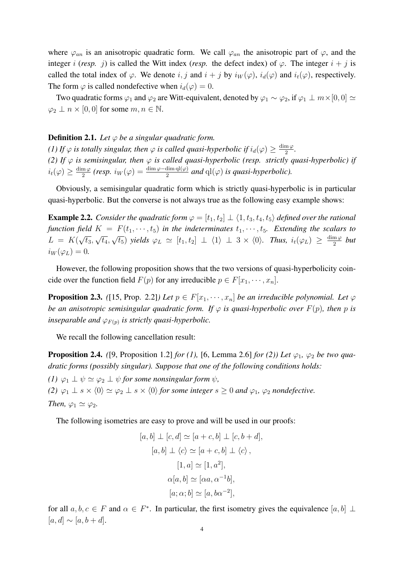where  $\varphi_{an}$  is an anisotropic quadratic form. We call  $\varphi_{an}$  the anisotropic part of  $\varphi$ , and the integer i (*resp.* j) is called the Witt index (*resp.* the defect index) of  $\varphi$ . The integer  $i + j$  is called the total index of  $\varphi$ . We denote i, j and  $i + j$  by  $i_W(\varphi)$ ,  $i_d(\varphi)$  and  $i_t(\varphi)$ , respectively. The form  $\varphi$  is called nondefective when  $i_d(\varphi) = 0$ .

Two quadratic forms  $\varphi_1$  and  $\varphi_2$  are Witt-equivalent, denoted by  $\varphi_1 \sim \varphi_2$ , if  $\varphi_1 \perp m \times [0,0] \simeq$  $\varphi_2 \perp n \times [0,0]$  for some  $m, n \in \mathbb{N}$ .

# **Definition 2.1.** *Let*  $\varphi$  *be a singular quadratic form.*

*(1)* If  $\varphi$  *is totally singular, then*  $\varphi$  *is called quasi-hyperbolic if*  $i_d(\varphi) \geq \frac{\dim \varphi}{2}$  $\frac{\mathrm{m}\,\varphi}{2}$ . *(2) If*  $\varphi$  *is semisingular, then*  $\varphi$  *is called quasi-hyperbolic (resp. strictly quasi-hyperbolic) if*  $i_t(\varphi) \geq \frac{\dim \varphi}{2}$  $\frac{m\,\varphi}{2}$  (resp.  $i_W(\varphi) = \frac{\dim \varphi - \dim \mathrm{ql}(\varphi)}{2}$  and  $\mathrm{ql}(\varphi)$  is quasi-hyperbolic).

Obviously, a semisingular quadratic form which is strictly quasi-hyperbolic is in particular quasi-hyperbolic. But the converse is not always true as the following easy example shows:

**Example 2.2.** *Consider the quadratic form*  $\varphi = [t_1, t_2] \perp \langle 1, t_3, t_4, t_5 \rangle$  *defined over the rational function field*  $K = F(t_1, \dots, t_5)$  *in the indeterminates*  $t_1, \dots, t_5$ *. Extending the scalars to*  $L = K($ √  $\overline{t_3},$ √  $\overline{t_4},$ √  $\overline{t_5}$ ) *yields*  $\varphi_L \simeq [t_1, t_2] \perp \langle 1 \rangle \perp 3 \times \langle 0 \rangle$ *. Thus,*  $i_t(\varphi_L) \geq \frac{\dim \varphi}{2}$  $\frac{m\varphi}{2}$  *but*  $i_W(\varphi_L) = 0.$ 

However, the following proposition shows that the two versions of quasi-hyperbolicity coincide over the function field  $F(p)$  for any irreducible  $p \in F[x_1, \dots, x_n]$ .

**Proposition 2.3.** *(*[15, Prop. 2.2]*)* Let  $p \in F[x_1, \dots, x_n]$  be an irreducible polynomial. Let  $\varphi$ *be an anisotropic semisingular quadratic form. If*  $\varphi$  *is quasi-hyperbolic over*  $F(p)$ *, then* p *is inseparable and*  $\varphi_{F(p)}$  *is strictly quasi-hyperbolic.* 

We recall the following cancellation result:

**Proposition 2.4.** *([9, Proposition 1.2] for (1), [6, Lemma 2.6] for (2)) Let*  $\varphi_1$ *,*  $\varphi_2$  *be two quadratic forms (possibly singular). Suppose that one of the following conditions holds: (1)*  $\varphi_1 \perp \psi \simeq \varphi_2 \perp \psi$  *for some nonsingular form*  $\psi$ *, (2)*  $\varphi_1 \perp s \times \langle 0 \rangle \simeq \varphi_2 \perp s \times \langle 0 \rangle$  *for some integer*  $s \geq 0$  *and*  $\varphi_1$ *,*  $\varphi_2$  *nondefective. Then,*  $\varphi_1 \simeq \varphi_2$ *.* 

The following isometries are easy to prove and will be used in our proofs:

$$
[a, b] \perp [c, d] \simeq [a + c, b] \perp [c, b + d],
$$

$$
[a, b] \perp \langle c \rangle \simeq [a + c, b] \perp \langle c \rangle,
$$

$$
[1, a] \simeq [1, a^2],
$$

$$
\alpha[a, b] \simeq [\alpha a, \alpha^{-1} b],
$$

$$
[a; \alpha; b] \simeq [a, b\alpha^{-2}],
$$

for all  $a, b, c \in F$  and  $\alpha \in F^*$ . In particular, the first isometry gives the equivalence  $[a, b] \perp$  $[a, d] \sim [a, b + d].$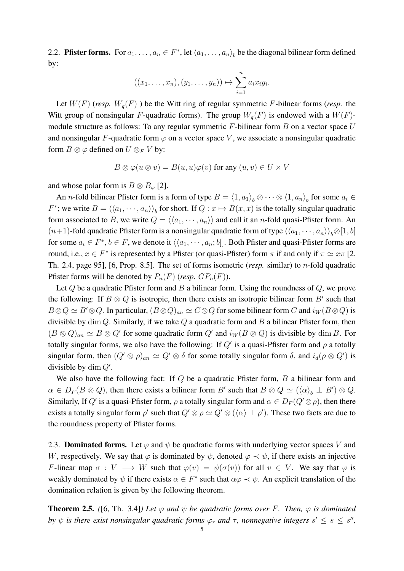2.2. **Pfister forms.** For  $a_1, \ldots, a_n \in F^*$ , let  $\langle a_1, \ldots, a_n \rangle$  be the diagonal bilinear form defined by:

$$
((x_1,\ldots,x_n),(y_1,\ldots,y_n))\mapsto \sum_{i=1}^n a_i x_i y_i.
$$

Let  $W(F)$  (*resp.*  $W_q(F)$ ) be the Witt ring of regular symmetric F-bilnear forms (*resp.* the Witt group of nonsingular F-quadratic forms). The group  $W_q(F)$  is endowed with a  $W(F)$ module structure as follows: To any regular symmetric  $F$ -bilinear form  $B$  on a vector space  $U$ and nonsingular F-quadratic form  $\varphi$  on a vector space V, we associate a nonsingular quadratic form  $B \otimes \varphi$  defined on  $U \otimes_F V$  by:

$$
B \otimes \varphi(u \otimes v) = B(u, u)\varphi(v) \text{ for any } (u, v) \in U \times V
$$

and whose polar form is  $B \otimes B_{\varphi}$  [2].

An *n*-fold bilinear Pfister form is a form of type  $B = \langle 1, a_1 \rangle_b \otimes \cdots \otimes \langle 1, a_n \rangle_b$  for some  $a_i \in$  $F^*$ ; we write  $B = \langle \langle a_1, \cdots, a_n \rangle \rangle_b$  for short. If  $Q : x \mapsto B(x, x)$  is the totally singular quadratic form associated to B, we write  $Q = \langle \langle a_1, \dots, a_n \rangle \rangle$  and call it an *n*-fold quasi-Pfister form. An  $(n+1)$ -fold quadratic Pfister form is a nonsingular quadratic form of type  $\langle\langle a_1,\dots,a_n\rangle\rangle_{b}\otimes[1,b]$ for some  $a_i \in F^*$ ,  $b \in F$ , we denote it  $\langle \langle a_1, \dots, a_n; b \rangle$ . Both Pfister and quasi-Pfister forms are round, i.e.,  $x \in F^*$  is represented by a Pfister (or quasi-Pfister) form  $\pi$  if and only if  $\pi \simeq x\pi$  [2, Th. 2.4, page 95], [6, Prop. 8.5]. The set of forms isometric (*resp.* similar) to n-fold quadratic Pfister forms will be denoted by  $P_n(F)$  (*resp.*  $GP_n(F)$ ).

Let  $Q$  be a quadratic Pfister form and  $B$  a bilinear form. Using the roundness of  $Q$ , we prove the following: If  $B \otimes Q$  is isotropic, then there exists an isotropic bilinear form  $B'$  such that  $B\otimes Q \simeq B'\otimes Q$ . In particular,  $(B\otimes Q)_{an} \simeq C\otimes Q$  for some bilinear form C and  $i_W(B\otimes Q)$  is divisible by  $\dim Q$ . Similarly, if we take Q a quadratic form and B a bilinear Pfister form, then  $(B \otimes Q)_{an} \simeq B \otimes Q'$  for some quadratic form  $Q'$  and  $i_W(B \otimes Q)$  is divisible by dim B. For totally singular forms, we also have the following: If  $Q'$  is a quasi-Pfister form and  $\rho$  a totally singular form, then  $(Q' \otimes \rho)_{an} \simeq Q' \otimes \delta$  for some totally singular form  $\delta$ , and  $i_d(\rho \otimes Q')$  is divisible by  $\dim Q'$ .

We also have the following fact: If  $Q$  be a quadratic Pfister form,  $B$  a bilinear form and  $\alpha \in D_F(B \otimes Q)$ , then there exists a bilinear form B' such that  $B \otimes Q \simeq (\langle \alpha \rangle_b \perp B') \otimes Q$ . Similarly, If  $Q'$  is a quasi-Pfister form,  $\rho$  a totally singular form and  $\alpha \in D_F(Q' \otimes \rho)$ , then there exists a totally singular form  $\rho'$  such that  $Q' \otimes \rho \simeq Q' \otimes (\langle \alpha \rangle \perp \rho')$ . These two facts are due to the roundness property of Pfister forms.

2.3. **Dominated forms.** Let  $\varphi$  and  $\psi$  be quadratic forms with underlying vector spaces V and W, respectively. We say that  $\varphi$  is dominated by  $\psi$ , denoted  $\varphi \prec \psi$ , if there exists an injective F-linear map  $\sigma : V \longrightarrow W$  such that  $\varphi(v) = \psi(\sigma(v))$  for all  $v \in V$ . We say that  $\varphi$  is weakly dominated by  $\psi$  if there exists  $\alpha \in F^*$  such that  $\alpha \varphi \prec \psi$ . An explicit translation of the domination relation is given by the following theorem.

**Theorem 2.5.** ([6, Th. 3.4]*)* Let  $\varphi$  and  $\psi$  be quadratic forms over F. Then,  $\varphi$  is dominated *by*  $\psi$  *is there exist nonsingular quadratic forms*  $\varphi_r$  *and*  $\tau$ , *nonnegative integers*  $s' \leq s \leq s''$ ,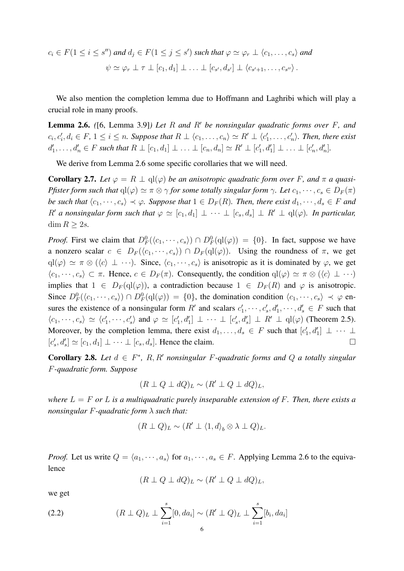$$
c_i \in F(1 \leq i \leq s'') \text{ and } d_j \in F(1 \leq j \leq s') \text{ such that } \varphi \simeq \varphi_r \perp \langle c_1, \ldots, c_s \rangle \text{ and}
$$

$$
\psi \simeq \varphi_r \perp \tau \perp [c_1, d_1] \perp \ldots \perp [c_{s'}, d_{s'}] \perp \langle c_{s'+1}, \ldots, c_{s''} \rangle.
$$

We also mention the completion lemma due to Hoffmann and Laghribi which will play a crucial role in many proofs.

Lemma 2.6. *(*[6, Lemma 3.9]*) Let* R *and* R′ *be nonsingular quadratic forms over* F*, and*  $c_i, c'_i, d_i \in F$ ,  $1 \leq i \leq n$ . Suppose that  $R \perp \langle c_1, \ldots, c_n \rangle \simeq R' \perp \langle c'_1, \ldots, c'_n \rangle$ . Then, there exist  $d'_1, \ldots, d'_n \in F$  such that  $R \perp [c_1, d_1] \perp \ldots \perp [c_n, d_n] \simeq R' \perp [c'_1, d'_1] \perp \ldots \perp [c'_n, d'_n]$ .

We derive from Lemma 2.6 some specific corollaries that we will need.

**Corollary 2.7.** Let  $\varphi = R \perp \text{ql}(\varphi)$  be an anisotropic quadratic form over F, and  $\pi$  a quasi-*Pfister form such that*  $ql(\varphi) \simeq \pi \otimes \gamma$  *for some totally singular form*  $\gamma$ *. Let*  $c_1, \dots, c_s \in D_F(\pi)$ *be such that*  $\langle c_1, \dots, c_s \rangle \prec \varphi$ *. Suppose that*  $1 \in D_F(R)$ *. Then, there exist*  $d_1, \dots, d_s \in F$  *and*  $R'$  *a nonsingular form such that*  $\varphi \simeq [c_1, d_1] \perp \cdots \perp [c_s, d_s] \perp R' \perp \text{ql}(\varphi)$ *. In particular,* dim  $R \geq 2s$ .

*Proof.* First we claim that  $D_F^0(\langle c_1, \dots, c_s \rangle) \cap D_F^0(\text{ql}(\varphi)) = \{0\}$ . In fact, suppose we have a nonzero scalar  $c \in D_F(\langle c_1, \dots, c_s \rangle) \cap D_F(\text{ql}(\varphi))$ . Using the roundness of  $\pi$ , we get  $q\vert(\varphi) \simeq \pi \otimes (\langle c \rangle \perp \cdots)$ . Since,  $\langle c_1, \cdots, c_s \rangle$  is anisotropic as it is dominated by  $\varphi$ , we get  $\langle c_1, \dots, c_s \rangle \subset \pi$ . Hence,  $c \in D_F(\pi)$ . Consequently, the condition  $q(\varphi) \simeq \pi \otimes (\langle c \rangle \perp \cdots)$ implies that  $1 \in D_F(ql(\varphi))$ , a contradiction because  $1 \in D_F(R)$  and  $\varphi$  is anisotropic. Since  $D_F^0(\langle c_1,\dots,c_s\rangle) \cap D_F^0(\text{ql}(\varphi)) = \{0\}$ , the domination condition  $\langle c_1,\dots,c_s\rangle \prec \varphi$  ensures the existence of a nonsingular form R' and scalars  $c'_1, \dots, c'_s, d'_1, \dots, d'_s \in F$  such that  $\langle c_1, \dots, c_s \rangle \simeq \langle c'_1, \dots, c'_s \rangle$  and  $\varphi \simeq [c'_1, d'_1] \perp \cdots \perp [c'_s, d'_s] \perp R' \perp \text{ql}(\varphi)$  (Theorem 2.5). Moreover, by the completion lemma, there exist  $d_1, \ldots, d_s \in F$  such that  $[c'_1, d'_1] \perp \cdots \perp$  $[c'_s, d'_s] \simeq [c_1, d_1] \perp \cdots \perp [c_s, d_s]$ . Hence the claim.

**Corollary 2.8.** Let  $d \in F^*$ , R, R' nonsingular F-quadratic forms and Q a totally singular F*-quadratic form. Suppose*

$$
(R \perp Q \perp dQ)_L \sim (R' \perp Q \perp dQ)_L,
$$

*where*  $L = F$  *or*  $L$  *is a multiquadratic purely inseparable extension of*  $F$ *. Then, there exists a nonsingular* F*-quadratic form* λ *such that:*

$$
(R \perp Q)_L \sim (R' \perp \langle 1, d \rangle_b \otimes \lambda \perp Q)_L.
$$

*Proof.* Let us write  $Q = \langle a_1, \dots, a_s \rangle$  for  $a_1, \dots, a_s \in F$ . Applying Lemma 2.6 to the equivalence

$$
(R \perp Q \perp dQ)_L \sim (R' \perp Q \perp dQ)_L,
$$

we get

(2.2) 
$$
(R \perp Q)_L \perp \sum_{i=1}^s [0, da_i] \sim (R' \perp Q)_L \perp \sum_{i=1}^s [b_i, da_i]
$$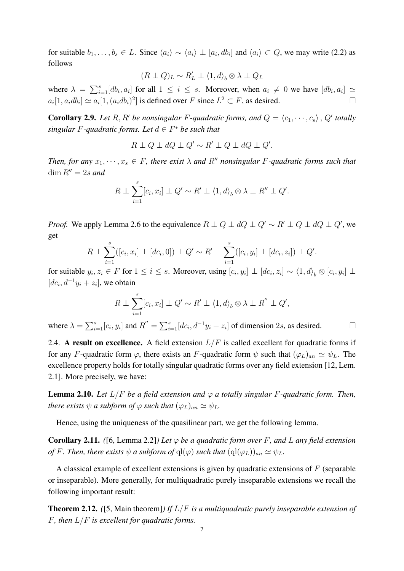for suitable  $b_1, \ldots, b_s \in L$ . Since  $\langle a_i \rangle \sim \langle a_i \rangle \perp [a_i, db_i]$  and  $\langle a_i \rangle \subset Q$ , we may write (2.2) as follows

$$
(R \perp Q)_L \sim R'_L \perp \langle 1, d \rangle_b \otimes \lambda \perp Q_L
$$

where  $\lambda = \sum_{i=1}^{s} [db_i, a_i]$  for all  $1 \leq i \leq s$ . Moreover, when  $a_i \neq 0$  we have  $[db_i, a_i] \simeq$  $a_i[1, a_i db_i] \simeq a_i[1, (a_i db_i)^2]$  is defined over F since  $L^2 \subset F$ , as desired.  $\Box$ 

**Corollary 2.9.** Let R, R' be nonsingular F-quadratic forms, and  $Q = \langle c_1, \dots, c_s \rangle$ , Q' totally *singular*  $F$ -quadratic forms. Let  $d \in F^*$  be such that

$$
R \perp Q \perp dQ \perp Q' \sim R' \perp Q \perp dQ \perp Q'.
$$

*Then, for any*  $x_1, \dots, x_s \in F$ , there exist  $\lambda$  and  $R''$  nonsingular F-quadratic forms such that dim  $R'' = 2s$  and

$$
R \perp \sum_{i=1}^{s} [c_i, x_i] \perp Q' \sim R' \perp \langle 1, d \rangle_b \otimes \lambda \perp R'' \perp Q'.
$$

*Proof.* We apply Lemma 2.6 to the equivalence  $R \perp Q \perp dQ \perp Q' \sim R' \perp Q \perp dQ \perp Q'$ , we get

$$
R \perp \sum_{i=1}^{s} ([c_i, x_i] \perp [dc_i, 0]) \perp Q' \sim R' \perp \sum_{i=1}^{s} ([c_i, y_i] \perp [dc_i, z_i]) \perp Q'.
$$

for suitable  $y_i, z_i \in F$  for  $1 \le i \le s$ . Moreover, using  $[c_i, y_i] \perp [dc_i, z_i] \sim \langle 1, d \rangle_b \otimes [c_i, y_i] \perp$  $[dc_i, d^{-1}y_i + z_i]$ , we obtain

$$
R \perp \sum_{i=1}^{s} [c_i, x_i] \perp Q' \sim R' \perp \langle 1, d \rangle_b \otimes \lambda \perp R'' \perp Q',
$$

where  $\lambda = \sum_{i=1}^{s} [c_i, y_i]$  and  $R'' = \sum_{i=1}^{s} [dc_i, d^{-1}y_i + z_i]$  of dimension 2s, as desired.  $\Box$ 

2.4. A result on excellence. A field extension  $L/F$  is called excellent for quadratic forms if for any F-quadratic form  $\varphi$ , there exists an F-quadratic form  $\psi$  such that  $(\varphi_L)_{an} \simeq \psi_L$ . The excellence property holds for totally singular quadratic forms over any field extension [12, Lem. 2.1]. More precisely, we have:

**Lemma 2.10.** Let  $L/F$  be a field extension and  $\varphi$  a totally singular F-quadratic form. Then, *there exists*  $\psi$  *a subform of*  $\varphi$  *such that*  $(\varphi_L)_{an} \simeq \psi_L$ .

Hence, using the uniqueness of the quasilinear part, we get the following lemma.

**Corollary 2.11.** *(*[6, Lemma 2.2]*)* Let  $\varphi$  be a quadratic form over F, and L any field extension *of* F. Then, there exists  $\psi$  *a* subform of  $q(\varphi)$  such that  $(q(\varphi_L))_{an} \simeq \psi_L$ .

A classical example of excellent extensions is given by quadratic extensions of  $F$  (separable or inseparable). More generally, for multiquadratic purely inseparable extensions we recall the following important result:

Theorem 2.12. *(*[5, Main theorem]*) If* L/F *is a multiquadratic purely inseparable extension of* F*, then* L/F *is excellent for quadratic forms.*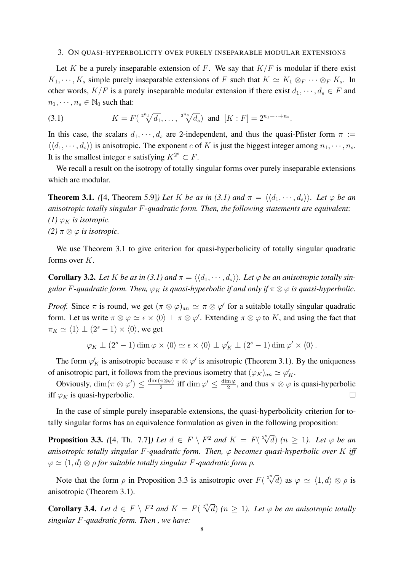#### 3. ON QUASI-HYPERBOLICITY OVER PURELY INSEPARABLE MODULAR EXTENSIONS

Let K be a purely inseparable extension of F. We say that  $K/F$  is modular if there exist  $K_1, \dots, K_s$  simple purely inseparable extensions of F such that  $K \simeq K_1 \otimes_F \cdots \otimes_F K_s$ . In other words,  $K/F$  is a purely inseparable modular extension if there exist  $d_1, \dots, d_s \in F$  and  $n_1, \dots, n_s \in \mathbb{N}_0$  such that:

(3.1) 
$$
K = F(\sqrt[2^{n_1}]{d_1}, \ldots, \sqrt[2^{n_s}]{d_s}) \text{ and } [K : F] = 2^{n_1 + \cdots + n_s}.
$$

In this case, the scalars  $d_1, \dots, d_s$  are 2-independent, and thus the quasi-Pfister form  $\pi :=$  $\langle \langle d_1, \dots, d_s \rangle \rangle$  is anisotropic. The exponent e of K is just the biggest integer among  $n_1, \dots, n_s$ . It is the smallest integer e satisfying  $K^{2^e} \subset F$ .

We recall a result on the isotropy of totally singular forms over purely inseparable extensions which are modular.

**Theorem 3.1.** *(*[4, Theorem 5.9]*)* Let K be as in (3.1) and  $\pi = \langle \langle d_1, \dots, d_s \rangle \rangle$ . Let  $\varphi$  be an *anisotropic totally singular* F*-quadratic form. Then, the following statements are equivalent: (1)*  $\varphi_K$  *is isotropic. (2)*  $\pi \otimes \varphi$  *is isotropic.* 

We use Theorem 3.1 to give criterion for quasi-hyperbolicity of totally singular quadratic forms over K.

**Corollary 3.2.** Let K be as in (3.1) and  $\pi = \langle \langle d_1, \dots, d_s \rangle \rangle$ . Let  $\varphi$  be an anisotropic totally sin*gular F*-quadratic form. Then,  $\varphi_K$  *is quasi-hyperbolic if and only if*  $\pi \otimes \varphi$  *is quasi-hyperbolic.* 

*Proof.* Since  $\pi$  is round, we get  $(\pi \otimes \varphi)_{an} \simeq \pi \otimes \varphi'$  for a suitable totally singular quadratic form. Let us write  $\pi \otimes \varphi \simeq \epsilon \times \langle 0 \rangle \perp \pi \otimes \varphi'$ . Extending  $\pi \otimes \varphi$  to K, and using the fact that  $\pi_K \simeq \langle 1 \rangle \perp (2^s - 1) \times \langle 0 \rangle$ , we get

$$
\varphi_K \perp (2^s - 1) \dim \varphi \times \langle 0 \rangle \simeq \epsilon \times \langle 0 \rangle \perp \varphi_K' \perp (2^s - 1) \dim \varphi' \times \langle 0 \rangle.
$$

The form  $\varphi'_K$  is anisotropic because  $\pi \otimes \varphi'$  is anisotropic (Theorem 3.1). By the uniqueness of anisotropic part, it follows from the previous isometry that  $(\varphi_K)_{an} \simeq \varphi_K'$ .

Obviously,  $\dim(\pi \otimes \varphi') \leq \frac{\dim(\pi \otimes \varphi)}{2}$  $\frac{(\pi \otimes \varphi)}{2}$  iff  $\dim \varphi' \leq \frac{\dim \varphi}{2}$  $\frac{m\varphi}{2}$ , and thus  $\pi \otimes \varphi$  is quasi-hyperbolic iff  $\varphi_K$  is quasi-hyperbolic.  $\Box$ 

In the case of simple purely inseparable extensions, the quasi-hyperbolicity criterion for totally singular forms has an equivalence formulation as given in the following proposition:

**Proposition 3.3.** ([4, Th. 7.7]) Let  $d \in F \setminus F^2$  and  $K = F(\sqrt[2^n]{d})$  ( $n \ge 1$ ). Let  $\varphi$  be an *anisotropic totally singular* F*-quadratic form. Then,* φ *becomes quasi-hyperbolic over* K *iff*  $\varphi \simeq \langle 1, d \rangle \otimes \rho$  *for suitable totally singular F-quadratic form*  $\rho$ *.* 

Note that the form  $\rho$  in Proposition 3.3 is anisotropic over  $F(\sqrt[2^n]{d})$  as  $\varphi \simeq \langle 1, d \rangle \otimes \rho$  is anisotropic (Theorem 3.1).

**Corollary 3.4.** Let  $d \in F \setminus F^2$  and  $K = F(\sqrt[2^n]{d})$   $(n \ge 1)$ . Let  $\varphi$  be an anisotropic totally *singular* F*-quadratic form. Then , we have:*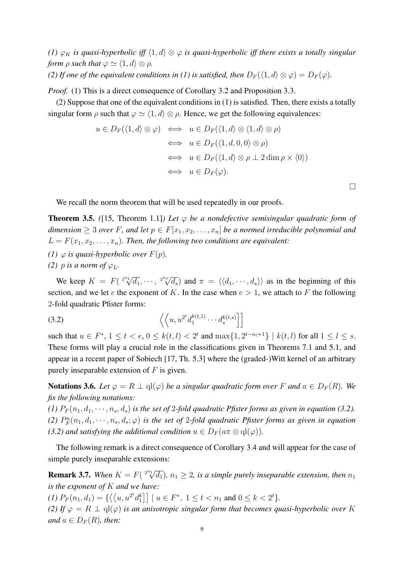*(1)*  $\varphi_K$  *is quasi-hyperbolic iff*  $\langle 1, d \rangle \otimes \varphi$  *is quasi-hyperbolic iff there exists a totally singular form*  $\rho$  *such that*  $\varphi \simeq \langle 1, d \rangle \otimes \rho$ *.* 

*(2) If one of the equivalent conditions in (1) is satisfied, then*  $D_F(\langle 1, d \rangle \otimes \varphi) = D_F(\varphi)$ *.* 

*Proof.* (1) This is a direct consequence of Corollary 3.2 and Proposition 3.3.

(2) Suppose that one of the equivalent conditions in (1) is satisfied. Then, there exists a totally singular form  $\rho$  such that  $\varphi \simeq \langle 1, d \rangle \otimes \rho$ . Hence, we get the following equivalences:

$$
u \in D_F(\langle 1, d \rangle \otimes \varphi) \iff u \in D_F(\langle 1, d \rangle \otimes \langle 1, d \rangle \otimes \rho)
$$
  
\n
$$
\iff u \in D_F(\langle 1, d, 0, 0 \rangle \otimes \rho)
$$
  
\n
$$
\iff u \in D_F(\langle 1, d \rangle \otimes \rho \perp 2 \dim \rho \times \langle 0 \rangle)
$$
  
\n
$$
\iff u \in D_F(\varphi).
$$

□

We recall the norm theorem that will be used repeatedly in our proofs.

**Theorem 3.5.** ([15, Theorem 1.1]*)* Let  $\varphi$  be a nondefective semisingular quadratic form of *dimension*  $\geq 3$  *over* F, and let  $p \in F[x_1, x_2, \ldots, x_n]$  be a normed irreducible polynomial and  $L = F(x_1, x_2, \ldots, x_n)$ . Then, the following two conditions are equivalent:

- *(1)*  $\varphi$  *is quasi-hyperbolic over*  $F(p)$ *.*
- *(2) p is a norm of*  $\varphi_L$ *.*

We keep  $K = F(\sqrt[2^{n_1}]{d_1}, \cdots, \sqrt[2^{n_s}]{d_s})$  $\overline{d_s}$ ) and  $\pi = \langle \langle d_1, \cdots, d_s \rangle \rangle$  as in the beginning of this section, and we let e the exponent of K. In the case when  $e > 1$ , we attach to F the following 2-fold quadratic Pfister forms:

$$
(3.2) \qquad \qquad \left\langle \left\langle u, u^{2^t} d_1^{k(t,1)} \cdots d_s^{k(t,s)} \right\rangle \right]
$$

such that  $u \in F^*$ ,  $1 \le t < e$ ,  $0 \le k(t, l) < 2^t$  and  $\max\{1, 2^{t-n_l+1}\} \mid k(t, l)$  for all  $1 \le l \le s$ . These forms will play a crucial role in the classifications given in Theorems 7.1 and 5.1, and appear in a recent paper of Sobiech [17, Th. 5.3] where the (graded-)Witt kernel of an arbitrary purely inseparable extension of  $F$  is given.

**Notations 3.6.** Let  $\varphi = R \perp \text{ql}(\varphi)$  be a singular quadratic form over F and  $a \in D_F(R)$ . We *fix the following notations:*

(1)  $P_F(n_1, d_1, \dots, n_s, d_s)$  *is the set of 2-fold quadratic Pfister forms as given in equation (3.2).* (2)  $P_F^a(n_1, d_1, \dots, n_s, d_s; \varphi)$  *is the set of 2-fold quadratic Pfister forms as given in equation (3.2) and satisfying the additional condition*  $u \in D_F(a\pi \otimes \text{ql}(\varphi))$ .

The following remark is a direct consequence of Corollary 3.4 and will appear for the case of simple purely inseparable extensions:

**Remark 3.7.** When  $K = F(\sqrt[2^{n_1}]{d_1})$ ,  $n_1 \geq 2$ , is a simple purely inseparable extension, then  $n_1$ *is the exponent of* K *and we have:*

(1)  $P_F(n_1, d_1) = \{ \langle \langle u, u^{2^t} d_1^k \rangle \rangle \mid u \in F^*, 1 \le t < n_1 \text{ and } 0 \le k < 2^t \}$ . *(2)* If  $\varphi = R \perp \mathrm{ql}(\varphi)$  *is an anisotropic singular form that becomes quasi-hyperbolic over* K *and*  $a \in D_F(R)$ *, then:*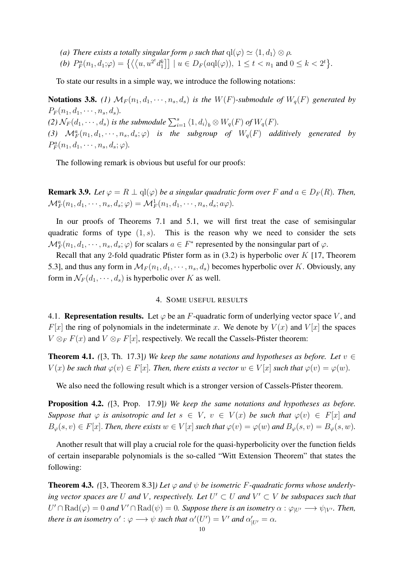- *(a) There exists a totally singular form*  $\rho$  *such that*  $ql(\varphi) \simeq \langle 1, d_1 \rangle \otimes \rho$ *.*
- (*b*)  $P_F^a(n_1, d_1; \varphi) = \left\{ \left( \left\langle u, u^{2^t} d_1^k \right] \right] \mid u \in D_F(a \text{ql}(\varphi)), 1 \le t < n_1 \text{ and } 0 \le k < 2^t \right\}.$

To state our results in a simple way, we introduce the following notations:

**Notations 3.8.** (1)  $\mathcal{M}_F(n_1, d_1, \dots, n_s, d_s)$  *is the*  $W(F)$ *-submodule of*  $W_q(F)$  *generated by*  $P_F(n_1, d_1, \cdots, n_s, d_s)$ . (2)  $\mathcal{N}_F(d_1, \dots, d_s)$  *is the submodule*  $\sum_{i=1}^s \langle 1, d_i \rangle_b \otimes W_q(F)$  *of*  $W_q(F)$ *.* (3)  $\mathcal{M}_F^a(n_1, d_1, \dots, n_s, d_s; \varphi)$  *is the subgroup of*  $W_q(F)$  *additively generated by*  $P_F^a(n_1, d_1, \cdots, n_s, d_s; \varphi).$ 

The following remark is obvious but useful for our proofs:

**Remark 3.9.** Let  $\varphi = R \perp \text{ql}(\varphi)$  be a singular quadratic form over F and  $a \in D_F(R)$ . Then,  $\mathcal{M}_F^a(n_1, d_1, \cdots, n_s, d_s; \varphi) = \mathcal{M}_F^1(n_1, d_1, \cdots, n_s, d_s; a\varphi).$ 

In our proofs of Theorems 7.1 and 5.1, we will first treat the case of semisingular quadratic forms of type  $(1, s)$ . This is the reason why we need to consider the sets  $\mathcal{M}_F^a(n_1, d_1, \dots, n_s, d_s; \varphi)$  for scalars  $a \in F^*$  represented by the nonsingular part of  $\varphi$ .

Recall that any 2-fold quadratic Pfister form as in  $(3.2)$  is hyperbolic over K [17, Theorem 5.3], and thus any form in  $\mathcal{M}_F(n_1, d_1, \dots, n_s, d_s)$  becomes hyperbolic over K. Obviously, any form in  $\mathcal{N}_F(d_1, \dots, d_s)$  is hyperbolic over K as well.

## 4. SOME USEFUL RESULTS

4.1. **Representation results.** Let  $\varphi$  be an F-quadratic form of underlying vector space V, and  $F[x]$  the ring of polynomials in the indeterminate x. We denote by  $V(x)$  and  $V[x]$  the spaces  $V \otimes_F F(x)$  and  $V \otimes_F F[x]$ , respectively. We recall the Cassels-Pfister theorem:

**Theorem 4.1.** *(*[3, Th. 17.3]*)* We keep the same notations and hypotheses as before. Let  $v \in$  $V(x)$  *be such that*  $\varphi(v) \in F[x]$ *. Then, there exists a vector*  $w \in V[x]$  *such that*  $\varphi(v) = \varphi(w)$ *.* 

We also need the following result which is a stronger version of Cassels-Pfister theorem.

Proposition 4.2. *(*[3, Prop. 17.9]*) We keep the same notations and hypotheses as before. Suppose that*  $\varphi$  *is anisotropic and let*  $s \in V$ ,  $v \in V(x)$  *be such that*  $\varphi(v) \in F[x]$  *and*  $B_{\varphi}(s, v) \in F[x]$ . Then, there exists  $w \in V[x]$  such that  $\varphi(v) = \varphi(w)$  and  $B_{\varphi}(s, v) = B_{\varphi}(s, w)$ .

Another result that will play a crucial role for the quasi-hyperbolicity over the function fields of certain inseparable polynomials is the so-called "Witt Extension Theorem" that states the following:

**Theorem 4.3.** ([3, Theorem 8.3]) Let  $\varphi$  and  $\psi$  be isometric F-quadratic forms whose underlying vector spaces are U and V, respectively. Let  $U' \subset U$  and  $V' \subset V$  be subspaces such that  $U' \cap \text{Rad}(\varphi) = 0$  and  $V' \cap \text{Rad}(\psi) = 0$ . Suppose there is an isometry  $\alpha : \varphi_{|U'} \longrightarrow \psi_{|V'}$ . Then, *there is an isometry*  $\alpha' : \varphi \longrightarrow \psi$  *such that*  $\alpha'(U') = V'$  *and*  $\alpha'_{|U'} = \alpha$ *.*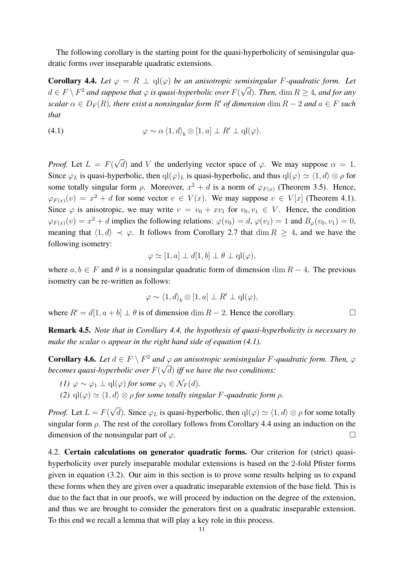The following corollary is the starting point for the quasi-hyperbolicity of semisingular quadratic forms over inseparable quadratic extensions.

**Corollary 4.4.** *Let*  $\varphi = R \perp \text{ql}(\varphi)$  *be an anisotropic semisingular F-quadratic form. Let*  $d \in F \setminus F^2$  and suppose that  $\varphi$  is quasi-hyperbolic over  $F(\sqrt{d})$ . Then,  $\dim R \geq 4$ , and for any *scalar*  $\alpha \in D_F(R)$ *, there exist a nonsingular form* R' *of dimension* dim  $R - 2$  *and*  $a \in F$  *such that*

(4.1) 
$$
\varphi \sim \alpha \left\langle 1, d \right\rangle_b \otimes [1, a] \perp R' \perp \mathrm{ql}(\varphi).
$$

*Proof.* Let  $L = F($ √ d) and V the underlying vector space of  $\varphi$ . We may suppose  $\alpha = 1$ . Since  $\varphi_L$  is quasi-hyperbolic, then  $q(\varphi)_L$  is quasi-hyperbolic, and thus  $q(\varphi) \simeq \langle 1, d \rangle \otimes \rho$  for some totally singular form  $\rho$ . Moreover,  $x^2 + d$  is a norm of  $\varphi_{F(x)}$  (Theorem 3.5). Hence,  $\varphi_{F(x)}(v) = x^2 + d$  for some vector  $v \in V(x)$ . We may suppose  $v \in V[x]$  (Theorem 4.1). Since  $\varphi$  is anisotropic, we may write  $v = v_0 + xv_1$  for  $v_0, v_1 \in V$ . Hence, the condition  $\varphi_{F(x)}(v) = x^2 + d$  implies the following relations:  $\varphi(v_0) = d$ ,  $\varphi(v_1) = 1$  and  $B_{\varphi}(v_0, v_1) = 0$ , meaning that  $\langle 1, d \rangle \prec \varphi$ . It follows from Corollary 2.7 that dim  $R \geq 4$ , and we have the following isometry:

$$
\varphi \simeq [1, a] \perp d[1, b] \perp \theta \perp \mathbf{q}l(\varphi),
$$

where  $a, b \in F$  and  $\theta$  is a nonsingular quadratic form of dimension dim  $R - 4$ . The previous isometry can be re-written as follows:

$$
\varphi \sim \langle 1, d \rangle_b \otimes [1, a] \perp R' \perp \mathrm{ql}(\varphi),
$$

where  $R' = d[1, a + b] \perp \theta$  is of dimension dim  $R - 2$ . Hence the corollary.  $\Box$ 

Remark 4.5. *Note that in Corollary 4.4, the hypothesis of quasi-hyperbolicity is necessary to make the scalar*  $\alpha$  *appear in the right hand side of equation (4.1).* 

**Corollary 4.6.** Let  $d \in F \setminus F^2$  and  $\varphi$  an anisotropic semisingular F-quadratic form. Then,  $\varphi$ *becomes quasi-hyperbolic over* F(  $\mathfrak{a}$ <sub>)</sub> d) *iff we have the two conditions:*

- *(1)*  $\varphi \sim \varphi_1 \perp \mathrm{ql}(\varphi)$  *for some*  $\varphi_1 \in \mathcal{N}_F(d)$ *.*
- *(2)*  $q(\varphi) \simeq \langle 1, d \rangle \otimes \rho$  *for some totally singular F-quadratic form*  $\rho$ *.*

*Proof.* Let  $L = F($ √ d). Since  $\varphi_L$  is quasi-hyperbolic, then  $\mathrm{ql}(\varphi) \simeq \langle 1, d \rangle \otimes \rho$  for some totally singular form  $\rho$ . The rest of the corollary follows from Corollary 4.4 using an induction on the dimension of the nonsingular part of  $\varphi$ .

4.2. Certain calculations on generator quadratic forms. Our criterion for (strict) quasihyperbolicity over purely inseparable modular extensions is based on the 2-fold Pfister forms given in equation (3.2). Our aim in this section is to prove some results helping us to expand these forms when they are given over a quadratic inseparable extension of the base field. This is due to the fact that in our proofs, we will proceed by induction on the degree of the extension, and thus we are brought to consider the generators first on a quadratic inseparable extension. To this end we recall a lemma that will play a key role in this process.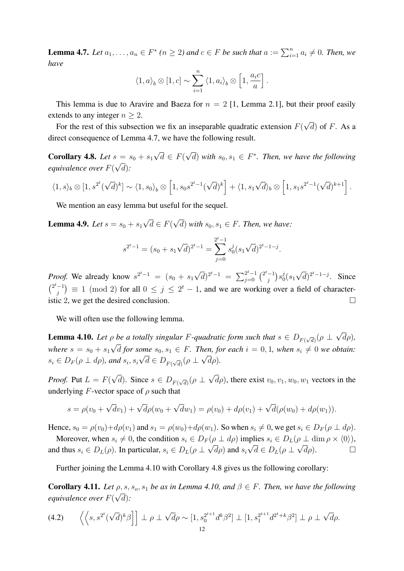**Lemma 4.7.** Let  $a_1, \ldots, a_n \in F^*$  ( $n \ge 2$ ) and  $c \in F$  be such that  $a := \sum_{i=1}^n a_i \ne 0$ . Then, we *have*

$$
\langle 1, a \rangle_b \otimes [1, c] \sim \sum_{i=1}^n \langle 1, a_i \rangle_b \otimes [1, \frac{a_i c}{a}].
$$

This lemma is due to Aravire and Baeza for  $n = 2$  [1, Lemma 2.1], but their proof easily extends to any integer  $n > 2$ . √

For the rest of this subsection we fix an inseparable quadratic extension  $F($  $(d)$  of F. As a direct consequence of Lemma 4.7, we have the following result.

**Corollary 4.8.** *Let*  $s = s_0 + s_1$ √  $d \in F$ ( √  $s = s_0 + s_1 \sqrt{d} \in F(\sqrt{d})$  with  $s_0, s_1 \in F^*$ . Then, we have the following *equivalence over*  $F(\sqrt{d})$ :

$$
\langle 1, s \rangle_b \otimes [1, s^{2^t}(\sqrt{d})^k] \sim \langle 1, s_0 \rangle_b \otimes [1, s_0 s^{2^t-1}(\sqrt{d})^k] + \langle 1, s_1 \sqrt{d} \rangle_b \otimes [1, s_1 s^{2^t-1}(\sqrt{d})^{k+1}].
$$

We mention an easy lemma but useful for the sequel.

**Lemma 4.9.** *Let*  $s = s_0 + s_1$ √  $d \in F$ ( √  $(d)$  with  $s_0, s_1 \in F$ . Then, we have:

$$
s^{2^t-1} = (s_0 + s_1\sqrt{d})^{2^t-1} = \sum_{j=0}^{2^t-1} s_0^j (s_1\sqrt{d})^{2^t-1-j}.
$$

*Proof.* We already know  $s^{2^t-1} = (s_0 + s_1 \sqrt{1-s_1})$  $\overline{d}$ )<sup>2t</sup><sup>-1</sup> =  $\sum_{j=0}^{2^t-1}$   $\binom{2^t-1}{j}$  $j^{-1}\big) s_0^j$  $^{\jmath}_{0}(s_1$ √  $\overline{d}$ )<sup>2t</sup><sup>-1-j</sup>. Since  $\binom{2^t-1}{i}$  $j_j^{-1}$  = 1 (mod 2) for all  $0 \le j \le 2^t - 1$ , and we are working over a field of characteristic 2, we get the desired conclusion.  $\Box$ 

We will often use the following lemma.

**Lemma 4.10.** Let  $\rho$  be a totally singular F-quadratic form such that  $s \in D_{F(\sqrt{d})}(\rho \perp$ √  $\rho$  be a totally singular *F*-quadratic form such that  $s \in D_{F(\sqrt{d})}(\rho \perp \sqrt{d\rho})$ , where  $s = s_0 + s_1 \sqrt{d}$  for some  $s_0, s_1 \in F$ . Then, for each  $i = 0, 1$ , when  $s_i \neq 0$  we obtain:  $s_i \in D_F(\rho \perp d\rho)$ , and  $s_i, s_i \sqrt{d} \in D_{F(\sqrt{d})}(\rho \perp \sqrt{d\rho})$ .

*Proof.* Put  $L = F($ √ *d*). Since  $s \in D_{F(\sqrt{d})}(\rho \perp$ √  $(d\rho)$ , there exist  $v_0, v_1, w_0, w_1$  vectors in the underlying  $F$ -vector space of  $\rho$  such that

$$
s = \rho(v_0 + \sqrt{d}v_1) + \sqrt{d}\rho(w_0 + \sqrt{d}w_1) = \rho(v_0) + d\rho(v_1) + \sqrt{d}(\rho(w_0) + d\rho(w_1)).
$$

Hence,  $s_0 = \rho(v_0) + d\rho(v_1)$  and  $s_1 = \rho(w_0) + d\rho(w_1)$ . So when  $s_i \neq 0$ , we get  $s_i \in D_F(\rho \perp d\rho)$ .

Moreover, when  $s_i \neq 0$ , the condition  $s_i \in D_F(\rho \perp d\rho)$  implies  $s_i \in D_L(\rho \perp \dim \rho \times \langle 0 \rangle)$ , and thus  $s_i \in D_L(\rho)$ . In particular,  $s_i \in D_L(\rho \perp \sqrt{d}\rho)$  and  $s_i\sqrt{d} \in D_L(\rho \perp \sqrt{d}\rho)$ .

Further joining the Lemma 4.10 with Corollary 4.8 gives us the following corollary:

**Corollary 4.11.** Let  $\rho$ ,  $s$ ,  $s_o$ ,  $s_1$  *be as in Lemma 4.10, and*  $\beta \in F$ . Then, we have the following *equivalence over*  $F(\sqrt{d})$ :

$$
(4.2) \qquad \left\langle \left\langle s, s^{2^t} (\sqrt{d})^k \beta \right\rangle \right] \perp \rho \perp \sqrt{d} \rho \sim [1, s_0^{2^{t+1}} d^k \beta^2] \perp [1, s_1^{2^{t+1}} d^{2^t+k} \beta^2] \perp \rho \perp \sqrt{d} \rho.
$$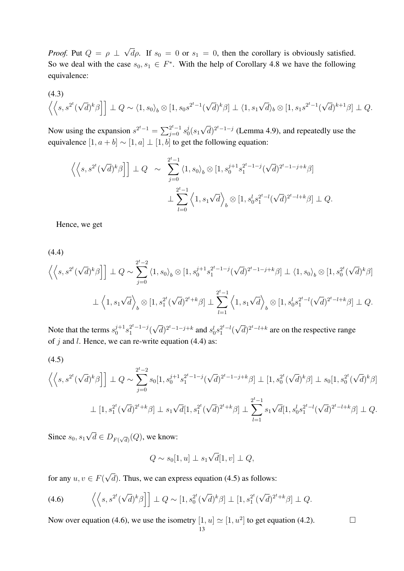*Proof.* Put  $Q = \rho \perp$ √  $d\rho$ . If  $s_0 = 0$  or  $s_1 = 0$ , then the corollary is obviously satisfied. So we deal with the case  $s_0, s_1 \in F^*$ . With the help of Corollary 4.8 we have the following equivalence:

$$
\left\langle \left\langle s, s^{2^t}(\sqrt{d})^k \beta \right] \right] \perp Q \sim \left\langle 1, s_0 \right\rangle_b \otimes [1, s_0 s^{2^t - 1}(\sqrt{d})^k \beta] \perp \left\langle 1, s_1 \sqrt{d} \right\rangle_b \otimes [1, s_1 s^{2^t - 1}(\sqrt{d})^{k+1} \beta] \perp Q.
$$

Now using the expansion  $s^{2^t-1} = \sum_{j=0}^{2^t-1} s_0^{j}$  $^{\jmath}_{0}(s_1$ √  $\overline{d})^{2^{t}-1-j}$  (Lemma 4.9), and repeatedly use the equivalence  $[1, a + b] \sim [1, a] \perp [1, b]$  to get the following equation:

$$
\left\langle \left\langle s, s^{2^t} (\sqrt{d})^k \beta \right] \right] \perp Q \sim \sum_{j=0}^{2^t - 1} \left\langle 1, s_0 \right\rangle_b \otimes [1, s_0^{j+1} s_1^{2^t - 1 - j} (\sqrt{d})^{2^t - 1 - j + k} \beta]
$$
  

$$
\perp \sum_{l=0}^{2^t - 1} \left\langle 1, s_1 \sqrt{d} \right\rangle_b \otimes [1, s_0^l s_1^{2^t - l} (\sqrt{d})^{2^t - l + k} \beta] \perp Q.
$$

Hence, we get

(4.4)

$$
\left\langle \left\langle s, s^{2^t} (\sqrt{d})^k \beta \right\rangle \right] \perp Q \sim \sum_{j=0}^{2^t-2} \left\langle 1, s_0 \right\rangle_b \otimes [1, s_0^{j+1} s_1^{2^t-1-j} (\sqrt{d})^{2^t-1-j+k} \beta] \perp \left\langle 1, s_0 \right\rangle_b \otimes [1, s_0^{2^t} (\sqrt{d})^k \beta]
$$
  

$$
\perp \left\langle 1, s_1 \sqrt{d} \right\rangle_b \otimes [1, s_1^{2^t} (\sqrt{d})^{2^t+k} \beta] \perp \sum_{l=1}^{2^t-1} \left\langle 1, s_1 \sqrt{d} \right\rangle_b \otimes [1, s_0^l s_1^{2^t-l} (\sqrt{d})^{2^t-l+k} \beta] \perp Q.
$$

Note that the terms  $s_0^{j+1}$  $j+1$ <sub>0</sub> $3^{2^t-1-j}$  $i^{2^c-1-j}$  ( √  $\overline{d}$ )<sup>2t</sup><sup>-1-j+k</sup> and  $s_0^l s_1^{2^t-l}$ ( √  $\overline{d})^{2^t-l+k}$  are on the respective range of  $j$  and  $l$ . Hence, we can re-write equation (4.4) as:

(4.5)

$$
\left\langle \left\langle s, s^{2^t}(\sqrt{d})^k \beta \right] \right\rangle \perp Q \sim \sum_{j=0}^{2^t-2} s_0[1, s_0^{j+1} s_1^{2^t-1-j}(\sqrt{d})^{2^t-1-j+k} \beta] \perp [1, s_0^{2^t}(\sqrt{d})^k \beta] \perp s_0[1, s_0^{2^t}(\sqrt{d})^k \beta]
$$

$$
\perp [1, s_1^{2^t}(\sqrt{d})^{2^t+k} \beta] \perp s_1 \sqrt{d}[1, s_1^{2^t}(\sqrt{d})^{2^t+k} \beta] \perp \sum_{l=1}^{2^t-1} s_1 \sqrt{d}[1, s_0^l s_1^{2^t-l}(\sqrt{d})^{2^t-l+k} \beta] \perp Q.
$$

Since  $s_0, s_1$ √  $d \in D_{F(\sqrt{d})}(Q)$ , we know:

$$
Q \sim s_0[1, u] \perp s_1 \sqrt{d} [1, v] \perp Q,
$$

for any  $u, v \in F$ ( √  $(d)$ . Thus, we can express equation (4.5) as follows:

(4.6) 
$$
\left\langle \left\langle s, s^{2^t} (\sqrt{d})^k \beta \right\rangle \right] \perp Q \sim [1, s_0^{2^t} (\sqrt{d})^k \beta] \perp [1, s_1^{2^t} (\sqrt{d})^{2^t+k} \beta] \perp Q.
$$

Now over equation (4.6), we use the isometry  $[1, u] \simeq [1, u^2]$  to get equation (4.2).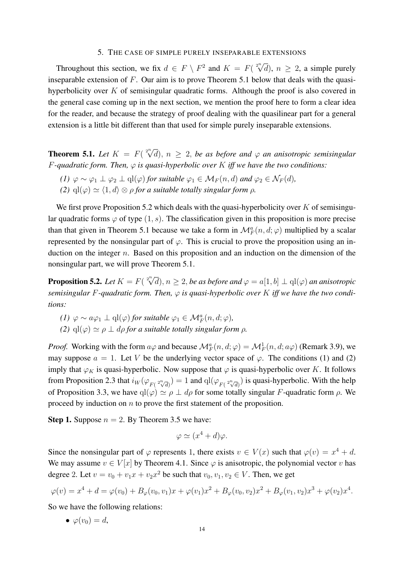#### 5. THE CASE OF SIMPLE PURELY INSEPARABLE EXTENSIONS

Throughout this section, we fix  $d \in F \setminus F^2$  and  $K = F(\sqrt[2^n]{d})$ ,  $n \ge 2$ , a simple purely inseparable extension of  $F$ . Our aim is to prove Theorem 5.1 below that deals with the quasihyperbolicity over  $K$  of semisingular quadratic forms. Although the proof is also covered in the general case coming up in the next section, we mention the proof here to form a clear idea for the reader, and because the strategy of proof dealing with the quasilinear part for a general extension is a little bit different than that used for simple purely inseparable extensions.

**Theorem 5.1.** Let  $K = F(\sqrt[2^n]{d}), n \ge 2$ , be as before and  $\varphi$  an anisotropic semisingular  $F$ -quadratic form. Then,  $\varphi$  is quasi-hyperbolic over  $K$  *iff we have the two conditions:* 

- *(1)*  $\varphi \sim \varphi_1 \perp \varphi_2 \perp \mathrm{ql}(\varphi)$  *for suitable*  $\varphi_1 \in M_F(n,d)$  *and*  $\varphi_2 \in \mathcal{N}_F(d)$ *,*
- *(2)*  $\text{ql}(\varphi) \simeq \langle 1, d \rangle \otimes \rho$  *for a suitable totally singular form*  $\rho$ *.*

We first prove Proposition 5.2 which deals with the quasi-hyperbolicity over  $K$  of semisingular quadratic forms  $\varphi$  of type  $(1, s)$ . The classification given in this proposition is more precise than that given in Theorem 5.1 because we take a form in  $\mathcal{M}_F^a(n, d; \varphi)$  multiplied by a scalar represented by the nonsingular part of  $\varphi$ . This is crucial to prove the proposition using an induction on the integer  $n$ . Based on this proposition and an induction on the dimension of the nonsingular part, we will prove Theorem 5.1.

**Proposition 5.2.** Let  $K = F(\sqrt[2^n]{d}), n \geq 2$ , be as before and  $\varphi = a[1, b] \perp ql(\varphi)$  an anisotropic *semisingular* F*-quadratic form. Then,* φ *is quasi-hyperbolic over* K *iff we have the two conditions:*

- *(1)*  $\varphi \sim a\varphi_1 \perp \mathrm{ql}(\varphi)$  *for suitable*  $\varphi_1 \in \mathcal{M}_F^a(n,d;\varphi)$ *,*
- *(2)*  $\text{ql}(\varphi) \simeq \rho \perp dp$  *for a suitable totally singular form*  $\rho$ *.*

*Proof.* Working with the form  $a\varphi$  and because  $\mathcal{M}_F^a(n, d; \varphi) = \mathcal{M}_F^1(n, d; a\varphi)$  (Remark 3.9), we may suppose  $a = 1$ . Let V be the underlying vector space of  $\varphi$ . The conditions (1) and (2) imply that  $\varphi_K$  is quasi-hyperbolic. Now suppose that  $\varphi$  is quasi-hyperbolic over K. It follows from Proposition 2.3 that  $i_W(\varphi_{F(2\sqrt[n]{d})}) = 1$  and  $\text{ql}(\varphi_{F(2\sqrt[n]{d})})$  is quasi-hyperbolic. With the help of Proposition 3.3, we have  $qI(\varphi) \simeq \rho \perp d\rho$  for some totally singular F-quadratic form  $\rho$ . We proceed by induction on  $n$  to prove the first statement of the proposition.

**Step 1.** Suppose  $n = 2$ . By Theorem 3.5 we have:

$$
\varphi \simeq (x^4 + d)\varphi.
$$

Since the nonsingular part of  $\varphi$  represents 1, there exists  $v \in V(x)$  such that  $\varphi(v) = x^4 + d$ . We may assume  $v \in V[x]$  by Theorem 4.1. Since  $\varphi$  is anisotropic, the polynomial vector v has degree 2. Let  $v = v_0 + v_1 x + v_2 x^2$  be such that  $v_0, v_1, v_2 \in V$ . Then, we get

$$
\varphi(v) = x^4 + d = \varphi(v_0) + B_{\varphi}(v_0, v_1)x + \varphi(v_1)x^2 + B_{\varphi}(v_0, v_2)x^2 + B_{\varphi}(v_1, v_2)x^3 + \varphi(v_2)x^4.
$$

So we have the following relations:

$$
\bullet \ \ \varphi(v_0)=d,
$$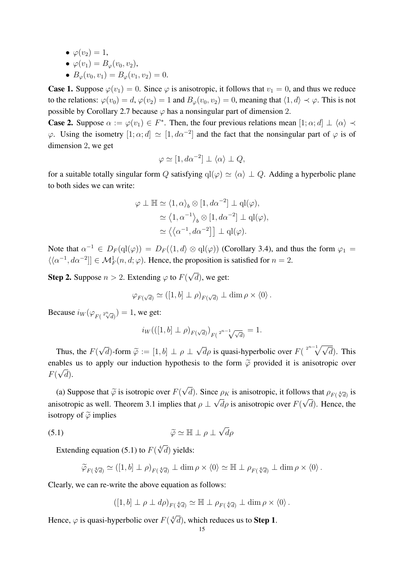•  $\varphi(v_2)=1$ ,

$$
\bullet \ \varphi(v_1) = B_{\varphi}(v_0, v_2),
$$

•  $B_{\varphi}(v_0, v_1) = B_{\varphi}(v_1, v_2) = 0.$ 

**Case 1.** Suppose  $\varphi(v_1) = 0$ . Since  $\varphi$  is anisotropic, it follows that  $v_1 = 0$ , and thus we reduce to the relations:  $\varphi(v_0) = d$ ,  $\varphi(v_2) = 1$  and  $B_{\varphi}(v_0, v_2) = 0$ , meaning that  $\langle 1, d \rangle \prec \varphi$ . This is not possible by Corollary 2.7 because  $\varphi$  has a nonsingular part of dimension 2.

**Case 2.** Suppose  $\alpha := \varphi(v_1) \in F^*$ . Then, the four previous relations mean  $[1; \alpha; d] \perp \langle \alpha \rangle \prec$  $\varphi$ . Using the isometry  $[1;\alpha;d] \simeq [1,d\alpha^{-2}]$  and the fact that the nonsingular part of  $\varphi$  is of dimension 2, we get

$$
\varphi \simeq [1, d\alpha^{-2}] \perp \langle \alpha \rangle \perp Q,
$$

for a suitable totally singular form Q satisfying  $q(\varphi) \simeq \langle \alpha \rangle \perp Q$ . Adding a hyperbolic plane to both sides we can write:

$$
\varphi \perp \mathbb{H} \simeq \langle 1, \alpha \rangle_b \otimes [1, d\alpha^{-2}] \perp \mathrm{ql}(\varphi),
$$
  

$$
\simeq \langle 1, \alpha^{-1} \rangle_b \otimes [1, d\alpha^{-2}] \perp \mathrm{ql}(\varphi),
$$
  

$$
\simeq \langle \langle \alpha^{-1}, d\alpha^{-2}] \rangle \perp \mathrm{ql}(\varphi).
$$

Note that  $\alpha^{-1} \in D_F(\text{ql}(\varphi)) = D_F(\langle 1,d \rangle \otimes \text{ql}(\varphi))$  (Corollary 3.4), and thus the form  $\varphi_1 =$  $\langle \langle \alpha^{-1}, d\alpha^{-2} \rangle] \in \mathcal{M}_F^1(n, d; \varphi)$ . Hence, the proposition is satisfied for  $n = 2$ .

**Step 2.** Suppose  $n > 2$ . Extending  $\varphi$  to  $F(n)$ √  $(d)$ , we get:

$$
\varphi_{F(\sqrt{d})} \simeq ([1, b] \perp \rho)_{F(\sqrt{d})} \perp \dim \rho \times \langle 0 \rangle.
$$

Because  $i_W(\varphi_{F(2\sqrt[n]{d})}) = 1$ , we get:

$$
i_W(([1, b] \perp \rho)_{F(\sqrt{d})})_{F(\sqrt{d})} = 1.
$$

Thus, the  $F($ √ d)-form  $\widetilde{\varphi} := [1, b] \perp \rho \perp$ √  $\overline{d}\rho$  is quasi-hyperbolic over  $F(\sqrt[2^{n-1}]{\sqrt{d}})$ . This enables us to apply our induction hypothesis to the form  $\tilde{\varphi}$  provided it is anisotropic over  $F(\sqrt{d}).$ 

(a) Suppose that  $\widetilde{\varphi}$  is isotropic over  $F(r)$ √ d). Since  $\rho_K$  is anisotropic, it follows that  $\rho_{F(\sqrt[4]{d})}$  is anisotropic as well. Theorem 3.1 implies that  $\rho \perp \sqrt{d\rho}$  is anisotropic over  $F(\sqrt{d})$ . Hence, the isotropy of  $\tilde{\varphi}$  implies

(5.1) 
$$
\widetilde{\varphi} \simeq \mathbb{H} \perp \rho \perp \sqrt{d} \rho
$$

Extending equation (5.1) to  $F(\sqrt[4]{d})$  yields:

$$
\widetilde{\varphi}_{F(\sqrt[4]{d})} \simeq ([1, b] \perp \rho)_{F(\sqrt[4]{d})} \perp \dim \rho \times \langle 0 \rangle \simeq \mathbb{H} \perp \rho_{F(\sqrt[4]{d})} \perp \dim \rho \times \langle 0 \rangle.
$$

Clearly, we can re-write the above equation as follows:

$$
([1, b] \perp \rho \perp d\rho)_{F({}^{4}\!\!/\bar{d})} \simeq \mathbb{H} \perp \rho_{F({}^{4}\!\!/\bar{d})} \perp \dim \rho \times \langle 0 \rangle.
$$

Hence,  $\varphi$  is quasi-hyperbolic over  $F(\sqrt[4]{d})$ , which reduces us to **Step 1**.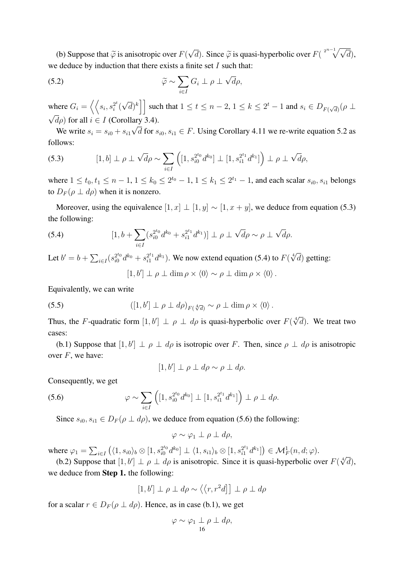(b) Suppose that  $\tilde{\varphi}$  is anisotropic over  $F(r)$ √  $\overline{d}$ ). Since  $\widetilde{\varphi}$  is quasi-hyperbolic over  $F(\sqrt[2^{n-1}]{\sqrt{d}})$ , we deduce by induction that there exists a finite set  $I$  such that:

(5.2) 
$$
\widetilde{\varphi} \sim \sum_{i \in I} G_i \perp \rho \perp \sqrt{d} \rho,
$$

where  $G_i = \left\langle \left\langle s_i, s_i^{2^t} \right\rangle \right\rangle$  $\frac{2^{\iota}}{i}$  ( √  $\left[\overline{d}\right)^k\right]$  such that  $1 \leq t \leq n-2, 1 \leq k \leq 2^t-1$  and  $s_i \in D_{F(\sqrt{d})}(\rho \perp$ √  $\sqrt{d\rho}$ ) for all  $i \in I$  (Corollary 3.4). √

We write  $s_i = s_{i0} + s_{i1}$ d for  $s_{i0}, s_{i1} \in F$ . Using Corollary 4.11 we re-write equation 5.2 as follows:

(5.3) 
$$
[1, b] \perp \rho \perp \sqrt{d} \rho \sim \sum_{i \in I} \left( [1, s_{i0}^{2^{t_0}} d^{k_0}] \perp [1, s_{i1}^{2^{t_1}} d^{k_1}] \right) \perp \rho \perp \sqrt{d} \rho,
$$

where  $1 \le t_0, t_1 \le n - 1, 1 \le k_0 \le 2^{t_0} - 1, 1 \le k_1 \le 2^{t_1} - 1$ , and each scalar  $s_{i0}, s_{i1}$  belongs to  $D_F(\rho \perp d\rho)$  when it is nonzero.

Moreover, using the equivalence  $[1, x] \perp [1, y] \sim [1, x + y]$ , we deduce from equation (5.3) the following:

(5.4) 
$$
[1, b + \sum_{i \in I} (s_{i0}^{2^{t_0}} d^{k_0} + s_{i1}^{2^{t_1}} d^{k_1})] \perp \rho \perp \sqrt{d} \rho \sim \rho \perp \sqrt{d} \rho.
$$

Let  $b' = b + \sum_{i \in I} (s_{i0}^{2^{t_0}} d^{k_0} + s_{i1}^{2^{t_1}} d^{k_1})$ . We now extend equation (5.4) to  $F(\sqrt[4]{d})$  getting:

 $[1, b'] \perp \rho \perp \dim \rho \times \langle 0 \rangle \sim \rho \perp \dim \rho \times \langle 0 \rangle$ .

Equivalently, we can write

(5.5) 
$$
([1, b'] \perp \rho \perp d\rho)_{F(\sqrt[4]{d})} \sim \rho \perp \dim \rho \times \langle 0 \rangle.
$$

Thus, the F-quadratic form  $[1, b'] \perp \rho \perp dp$  is quasi-hyperbolic over  $F(\sqrt[4]{d})$ . We treat two cases:

(b.1) Suppose that  $[1, b'] \perp \rho \perp d\rho$  is isotropic over F. Then, since  $\rho \perp d\rho$  is anisotropic over  $F$ , we have:

$$
[1, b'] \perp \rho \perp d\rho \sim \rho \perp d\rho.
$$

Consequently, we get

(5.6) 
$$
\varphi \sim \sum_{i \in I} \left( [1, s_{i0}^{2^{t_0}} d^{k_0}] \perp [1, s_{i1}^{2^{t_1}} d^{k_1}] \right) \perp \rho \perp d\rho.
$$

Since  $s_{i0}, s_{i1} \in D_F(\rho \perp d\rho)$ , we deduce from equation (5.6) the following:

$$
\varphi \sim \varphi_1 \perp \rho \perp d\rho,
$$

where  $\varphi_1 = \sum_{i \in I} (\langle 1, s_{i0} \rangle_b \otimes [1, s_{i0}^{2^{t_0}} d^{k_0}] \perp \langle 1, s_{i1} \rangle_b \otimes [1, s_{i1}^{2^{t_1}} d^{k_1}] ) \in \mathcal{M}_F^1(n, d; \varphi)$ . (b.2) Suppose that  $[1, b'] \perp \rho \perp d\rho$  is anisotropic. Since it is quasi-hyperbolic over  $F(\sqrt[4]{d})$ ,

we deduce from Step 1. the following:

$$
[1, b'] \perp \rho \perp d\rho \sim \langle \langle r, r^2 d \rceil \,] \perp \rho \perp d\rho
$$

for a scalar  $r \in D_F(\rho \perp d\rho)$ . Hence, as in case (b.1), we get

$$
\varphi \sim \varphi_1 \perp 1 \rho \perp d\rho,
$$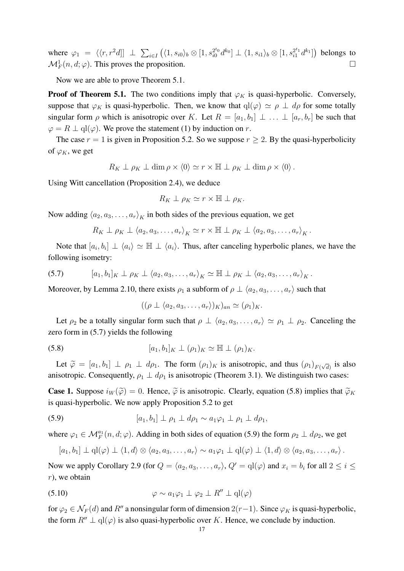where  $\varphi_1 = \langle \langle r, r^2 d \rangle] \perp \sum_{i \in I} \left( \langle 1, s_{i0} \rangle_b \otimes [1, s_{i0}^{2^{t_0}} d^{k_0} \right] \perp \langle 1, s_{i1} \rangle_b \otimes [1, s_{i1}^{2^{t_1}} d^{k_1}] \right)$  belongs to  $\mathcal{M}_F^1(n, d; \varphi)$ . This proves the proposition.  $\Box$ 

Now we are able to prove Theorem 5.1.

**Proof of Theorem 5.1.** The two conditions imply that  $\varphi_K$  is quasi-hyperbolic. Conversely, suppose that  $\varphi_K$  is quasi-hyperbolic. Then, we know that  $q(\varphi) \simeq \rho \perp d\rho$  for some totally singular form  $\rho$  which is anisotropic over K. Let  $R = [a_1, b_1] \perp ... \perp [a_r, b_r]$  be such that  $\varphi = R \perp \mathrm{ql}(\varphi)$ . We prove the statement (1) by induction on r.

The case  $r = 1$  is given in Proposition 5.2. So we suppose  $r \geq 2$ . By the quasi-hyperbolicity of  $\varphi_K$ , we get

$$
R_K \perp \rho_K \perp \dim \rho \times \langle 0 \rangle \simeq r \times \mathbb{H} \perp \rho_K \perp \dim \rho \times \langle 0 \rangle.
$$

Using Witt cancellation (Proposition 2.4), we deduce

$$
R_K \perp \rho_K \simeq r \times \mathbb{H} \perp \rho_K.
$$

Now adding  $\langle a_2, a_3, \ldots, a_r \rangle_K$  in both sides of the previous equation, we get

$$
R_K \perp \rho_K \perp \langle a_2, a_3, \ldots, a_r \rangle_K \simeq r \times \mathbb{H} \perp \rho_K \perp \langle a_2, a_3, \ldots, a_r \rangle_K.
$$

Note that  $[a_i, b_i] \perp \langle a_i \rangle \simeq \mathbb{H} \perp \langle a_i \rangle$ . Thus, after canceling hyperbolic planes, we have the following isometry:

(5.7) 
$$
[a_1, b_1]_K \perp \rho_K \perp \langle a_2, a_3, \ldots, a_r \rangle_K \simeq \mathbb{H} \perp \rho_K \perp \langle a_2, a_3, \ldots, a_r \rangle_K.
$$

Moreover, by Lemma 2.10, there exists  $\rho_1$  a subform of  $\rho \perp \langle a_2, a_3, \ldots, a_r \rangle$  such that

$$
((\rho \perp \langle a_2, a_3, \ldots, a_r \rangle)_K)_{an} \simeq (\rho_1)_K.
$$

Let  $\rho_2$  be a totally singular form such that  $\rho \perp \langle a_2, a_3, \ldots, a_r \rangle \simeq \rho_1 \perp \rho_2$ . Canceling the zero form in (5.7) yields the following

(5.8) 
$$
[a_1, b_1]_K \perp (\rho_1)_K \simeq \mathbb{H} \perp (\rho_1)_K.
$$

Let  $\widetilde{\varphi} = [a_1, b_1] \perp \rho_1 \perp d\rho_1$ . The form  $(\rho_1)_K$  is anisotropic, and thus  $(\rho_1)_{F(\sqrt{d})}$  is also anisotropic. Consequently,  $\rho_1 \perp d\rho_1$  is anisotropic (Theorem 3.1). We distinguish two cases:

**Case 1.** Suppose  $i_W(\tilde{\varphi}) = 0$ . Hence,  $\tilde{\varphi}$  is anisotropic. Clearly, equation (5.8) implies that  $\tilde{\varphi}_K$ is quasi-hyperbolic. We now apply Proposition 5.2 to get

(5.9) 
$$
[a_1, b_1] \perp \rho_1 \perp d\rho_1 \sim a_1 \varphi_1 \perp \rho_1 \perp d\rho_1,
$$

where  $\varphi_1 \in \mathcal{M}_F^{a_1}(n, d; \varphi)$ . Adding in both sides of equation (5.9) the form  $\rho_2 \perp d\rho_2$ , we get

$$
[a_1, b_1] \perp \mathrm{ql}(\varphi) \perp \langle 1, d \rangle \otimes \langle a_2, a_3, \ldots, a_r \rangle \sim a_1 \varphi_1 \perp \mathrm{ql}(\varphi) \perp \langle 1, d \rangle \otimes \langle a_2, a_3, \ldots, a_r \rangle.
$$

Now we apply Corollary 2.9 (for  $Q = \langle a_2, a_3, \ldots, a_r \rangle$ ,  $Q' = \text{ql}(\varphi)$  and  $x_i = b_i$  for all  $2 \le i \le j$  $r$ ), we obtain

(5.10) 
$$
\varphi \sim a_1 \varphi_1 \perp \varphi_2 \perp R'' \perp \text{ql}(\varphi)
$$

for  $\varphi_2 \in \mathcal{N}_F(d)$  and  $R''$  a nonsingular form of dimension  $2(r-1)$ . Since  $\varphi_K$  is quasi-hyperbolic, the form  $R'' \perp qI(\varphi)$  is also quasi-hyperbolic over K. Hence, we conclude by induction.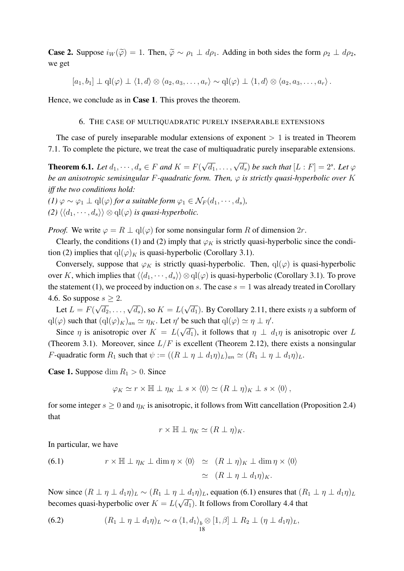**Case 2.** Suppose  $i_W(\tilde{\varphi}) = 1$ . Then,  $\tilde{\varphi} \sim \rho_1 \perp d\rho_1$ . Adding in both sides the form  $\rho_2 \perp d\rho_2$ , we get

 $[a_1, b_1] \perp \mathrm{ql}(\varphi) \perp \langle 1, d \rangle \otimes \langle a_2, a_3, \ldots, a_r \rangle \sim \mathrm{ql}(\varphi) \perp \langle 1, d \rangle \otimes \langle a_2, a_3, \ldots, a_r \rangle$ .

Hence, we conclude as in Case 1. This proves the theorem.

#### 6. THE CASE OF MULTIQUADRATIC PURELY INSEPARABLE EXTENSIONS

The case of purely inseparable modular extensions of exponent  $> 1$  is treated in Theorem 7.1. To complete the picture, we treat the case of multiquadratic purely inseparable extensions.

**Theorem 6.1.** *Let*  $d_1, \dots, d_s \in F$  *and*  $K = F$ (  $(\sqrt{d_1}, \ldots, \sqrt{d_s})$  *be such that*  $[L : F] = 2^s$ *. Let*  $\varphi$ *be an anisotropic semisingular* F*-quadratic form. Then,* φ *is strictly quasi-hyperbolic over* K *iff the two conditions hold:*

*(1)*  $\varphi \sim \varphi_1 \perp \mathrm{ql}(\varphi)$  *for a suitable form*  $\varphi_1 \in \mathcal{N}_F(d_1, \dots, d_s)$ *, (2)*  $\langle \langle d_1, \cdots, d_s \rangle \rangle \otimes \text{ql}(\varphi)$  *is quasi-hyperbolic.* 

*Proof.* We write  $\varphi = R \perp \mathrm{ql}(\varphi)$  for some nonsingular form R of dimension  $2r$ .

Clearly, the conditions (1) and (2) imply that  $\varphi_K$  is strictly quasi-hyperbolic since the condition (2) implies that  $q(\varphi)_K$  is quasi-hyperbolic (Corollary 3.1).

Conversely, suppose that  $\varphi_K$  is strictly quasi-hyperbolic. Then,  $q(\varphi)$  is quasi-hyperbolic over K, which implies that  $\langle \langle d_1, \cdots, d_s \rangle \rangle \otimes \text{ql}(\varphi)$  is quasi-hyperbolic (Corollary 3.1). To prove the statement (1), we proceed by induction on s. The case  $s = 1$  was already treated in Corollary 4.6. So suppose  $s \geq 2$ . √

Let  $L = F($  $\sqrt{d_2}, \ldots, \sqrt{d_s}$ ), so  $K = L(\mathbb{C})$  $\overline{d_1}$ ). By Corollary 2.11, there exists  $\eta$  a subform of  $q l(\varphi)$  such that  $(q l(\varphi)_K)_{an} \simeq \eta_K$ . Let  $\eta'$  be such that  $q l(\varphi) \simeq \eta \perp \eta'$ .

Since  $\eta$  is anisotropic over  $K = L(\sqrt{d_1})$ , it follows that  $\eta \perp d_1\eta$  is anisotropic over L (Theorem 3.1). Moreover, since  $L/F$  is excellent (Theorem 2.12), there exists a nonsingular *F*-quadratic form  $R_1$  such that  $\psi := ((R \perp \eta \perp d_1 \eta)_L)_{an} \simeq (R_1 \perp \eta \perp d_1 \eta)_L$ .

**Case 1.** Suppose dim  $R_1 > 0$ . Since

$$
\varphi_K \simeq r \times \mathbb{H} \perp \eta_K \perp s \times \langle 0 \rangle \simeq (R \perp \eta)_K \perp s \times \langle 0 \rangle,
$$

for some integer  $s \ge 0$  and  $\eta_K$  is anisotropic, it follows from Witt cancellation (Proposition 2.4) that

$$
r \times \mathbb{H} \perp \eta_K \simeq (R \perp \eta)_K.
$$

In particular, we have

(6.1) 
$$
r \times \mathbb{H} \perp \eta_K \perp \dim \eta \times \langle 0 \rangle \simeq (R \perp \eta)_K \perp \dim \eta \times \langle 0 \rangle
$$

$$
\simeq (R \perp \eta \perp d_1 \eta)_K.
$$

Now since  $(R \perp \eta \perp d_1 \eta)_L \sim (R_1 \perp \eta \perp d_1 \eta)_L$ , equation (6.1) ensures that  $(R_1 \perp \eta \perp d_1 \eta)_L$ becomes quasi-hyperbolic over  $K = L(\sqrt{d_1})$ . It follows from Corollary 4.4 that

(6.2) 
$$
(R_1 \perp \eta \perp d_1 \eta)_L \sim \alpha \langle 1, d_1 \rangle_b \otimes [1, \beta] \perp R_2 \perp (\eta \perp d_1 \eta)_L,
$$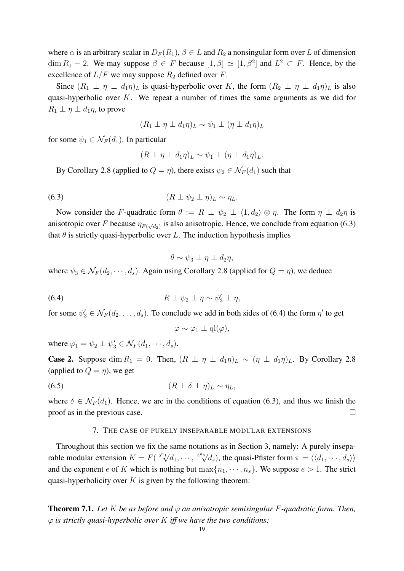where  $\alpha$  is an arbitrary scalar in  $D_F(R_1)$ ,  $\beta \in L$  and  $R_2$  a nonsingular form over L of dimension  $\dim R_1 - 2$ . We may suppose  $\beta \in F$  because  $[1, \beta] \simeq [1, \beta^2]$  and  $L^2 \subset F$ . Hence, by the excellence of  $L/F$  we may suppose  $R_2$  defined over  $F$ .

Since  $(R_1 \perp \eta \perp d_1\eta)_L$  is quasi-hyperbolic over K, the form  $(R_2 \perp \eta \perp d_1\eta)_L$  is also quasi-hyperbolic over  $K$ . We repeat a number of times the same arguments as we did for  $R_1 \perp \eta \perp d_1 \eta$ , to prove

$$
(R_1 \perp \eta \perp d_1 \eta)_L \sim \psi_1 \perp (\eta \perp d_1 \eta)_L
$$

for some  $\psi_1 \in \mathcal{N}_F(d_1)$ . In particular

$$
(R \perp \eta \perp d_1 \eta)_L \sim \psi_1 \perp (\eta \perp d_1 \eta)_L.
$$

By Corollary 2.8 (applied to  $Q = \eta$ ), there exists  $\psi_2 \in \mathcal{N}_F(d_1)$  such that

$$
(6.3) \t\t\t (R \perp \psi_2 \perp \eta)_L \sim \eta_L.
$$

Now consider the F-quadratic form  $\theta := R \perp \psi_2 \perp \langle 1, d_2 \rangle \otimes \eta$ . The form  $\eta \perp d_2\eta$  is anisotropic over F because  $\eta_{F(\sqrt{d_2})}$  is also anisotropic. Hence, we conclude from equation (6.3) that  $\theta$  is strictly quasi-hyperbolic over L. The induction hypothesis implies

$$
\theta \sim \psi_3 \perp \eta \perp d_2\eta,
$$

where  $\psi_3 \in \mathcal{N}_F(d_2, \dots, d_s)$ . Again using Corollary 2.8 (applied for  $Q = \eta$ ), we deduce

$$
(6.4) \t\t R \perp \psi_2 \perp \eta \sim \psi'_3 \perp \eta,
$$

for some  $\psi'_3 \in \mathcal{N}_F(d_2, \dots, d_s)$ . To conclude we add in both sides of (6.4) the form  $\eta'$  to get

$$
\varphi \sim \varphi_1 \perp q l(\varphi),
$$

where  $\varphi_1 = \psi_2 \perp \psi'_3 \in \mathcal{N}_F(d_1, \dots, d_s)$ .

**Case 2.** Suppose dim  $R_1 = 0$ . Then,  $(R \perp \eta \perp d_1 \eta)_L \sim (\eta \perp d_1 \eta)_L$ . By Corollary 2.8 (applied to  $Q = \eta$ ), we get

$$
(6.5) \t\t\t (R \perp \delta \perp \eta)_L \sim \eta_L,
$$

where  $\delta \in \mathcal{N}_F(d_1)$ . Hence, we are in the conditions of equation (6.3), and thus we finish the proof as in the previous case.  $\Box$ 

#### 7. THE CASE OF PURELY INSEPARABLE MODULAR EXTENSIONS

Throughout this section we fix the same notations as in Section 3, namely: A purely inseparable modular extension  $K = F(\sqrt[2^{n_1}]{d_1}, \cdots, \sqrt[2^{n_s}]{d_s})$  $\overline{d_s}$ ), the quasi-Pfister form  $\pi = \langle \langle d_1, \cdots, d_s \rangle \rangle$ and the exponent e of K which is nothing but  $\max\{n_1, \dots, n_s\}$ . We suppose  $e > 1$ . The strict quasi-hyperbolicity over  $K$  is given by the following theorem:

**Theorem 7.1.** Let K be as before and  $\varphi$  an anisotropic semisingular F-quadratic form. Then, φ *is strictly quasi-hyperbolic over* K *iff we have the two conditions:*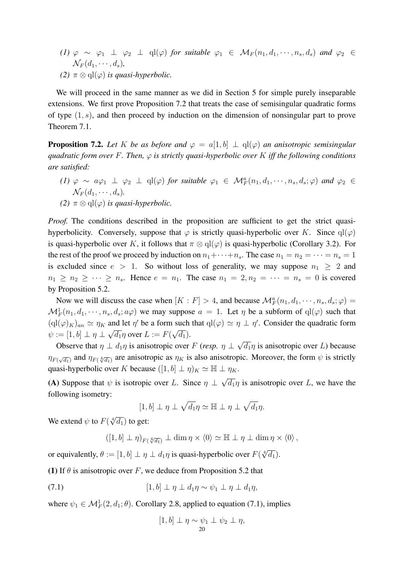*(1)*  $\varphi \sim \varphi_1 \perp \varphi_2 \perp$  ql $(\varphi)$  *for suitable*  $\varphi_1 \in M_F(n_1, d_1, \dots, n_s, d_s)$  *and*  $\varphi_2 \in$  $\mathcal{N}_F(d_1,\cdots,d_s)$ , *(2)*  $\pi \otimes$  ql $(\varphi)$  *is quasi-hyperbolic.* 

We will proceed in the same manner as we did in Section 5 for simple purely inseparable extensions. We first prove Proposition 7.2 that treats the case of semisingular quadratic forms of type  $(1, s)$ , and then proceed by induction on the dimension of nonsingular part to prove Theorem 7.1.

**Proposition 7.2.** Let K be as before and  $\varphi = a[1, b] \perp a(c)$  an anisotropic semisingular *quadratic form over* F*. Then,* φ *is strictly quasi-hyperbolic over* K *iff the following conditions are satisfied:*

- $(1)$   $\varphi \sim a\varphi_1 \perp \varphi_2 \perp ql(\varphi)$  *for suitable*  $\varphi_1 \in M_F^a(n_1, d_1, \dots, n_s, d_s; \varphi)$  *and*  $\varphi_2 \in$  $\mathcal{N}_F(d_1,\cdots,d_s)$ .
- *(2)*  $\pi \otimes$  ql $(\varphi)$  *is quasi-hyperbolic.*

*Proof.* The conditions described in the proposition are sufficient to get the strict quasihyperbolicity. Conversely, suppose that  $\varphi$  is strictly quasi-hyperbolic over K. Since  $q(\varphi)$ is quasi-hyperbolic over K, it follows that  $\pi \otimes \mathrm{ql}(\varphi)$  is quasi-hyperbolic (Corollary 3.2). For the rest of the proof we proceed by induction on  $n_1 + \cdots + n_s$ . The case  $n_1 = n_2 = \cdots = n_s = 1$ is excluded since  $e > 1$ . So without loss of generality, we may suppose  $n_1 \geq 2$  and  $n_1 \geq n_2 \geq \cdots \geq n_s$ . Hence  $e = n_1$ . The case  $n_1 = 2, n_2 = \cdots = n_s = 0$  is covered by Proposition 5.2.

Now we will discuss the case when  $[K : F] > 4$ , and because  $\mathcal{M}_F^a(n_1, d_1, \dots, n_s, d_s; \varphi) =$  $\mathcal{M}_F^1(n_1, d_1, \dots, n_s, d_s; a\varphi)$  we may suppose  $a = 1$ . Let  $\eta$  be a subform of  $\text{ql}(\varphi)$  such that  $({\rm qI}(\varphi)_K)_{an} \simeq \eta_K$  and let  $\eta'$  be a form such that  ${\rm qI}(\varphi) \simeq \eta \perp \eta'$ . Consider the quadratic form  $\psi := [1, b] \perp \eta \perp \sqrt{d_1} \eta$  over  $L := F(\sqrt{d_1}).$ √

Observe that  $\eta \perp d_1\eta$  is anisotropic over F (*resp.*  $\eta \perp$  $\overline{d_1}\eta$  is anisotropic over L) because  $\eta_{F(\sqrt{d_1})}$  and  $\eta_{F(\sqrt[4]{d_1})}$  are anisotropic as  $\eta_K$  is also anisotropic. Moreover, the form  $\psi$  is strictly quasi-hyperbolic over K because  $([1, b] \perp \eta)_K \simeq \mathbb{H} \perp \eta_K$ .

(A) Suppose that  $\psi$  is isotropic over L. Since  $\eta \perp$ √  $\overline{d_1}\eta$  is anisotropic over L, we have the following isometry:

$$
[1, b] \perp \eta \perp \sqrt{d_1} \eta \simeq \mathbb{H} \perp \eta \perp \sqrt{d_1} \eta.
$$

We extend  $\psi$  to  $F(\sqrt[4]{d_1})$  to get:

 $([1, b] \perp \eta)_{F(\sqrt[4]{d_1})} \perp \dim \eta \times \langle 0 \rangle \simeq \mathbb{H} \perp \eta \perp \dim \eta \times \langle 0 \rangle$ ,

or equivalently,  $\theta := [1, b] \perp \eta \perp d_1 \eta$  is quasi-hyperbolic over  $F(\sqrt[4]{d_1})$ .

(1) If  $\theta$  is anisotropic over F, we deduce from Proposition 5.2 that

$$
(7.1) \t\t\t [1,b] \perp \eta \perp d_1 \eta \sim \psi_1 \perp \eta \perp d_1 \eta,
$$

where  $\psi_1 \in \mathcal{M}_F^1(2, d_1; \theta)$ . Corollary 2.8, applied to equation (7.1), implies

$$
[1, b] \perp \eta \sim \psi_1 \perp \psi_2 \perp \eta,
$$
  
20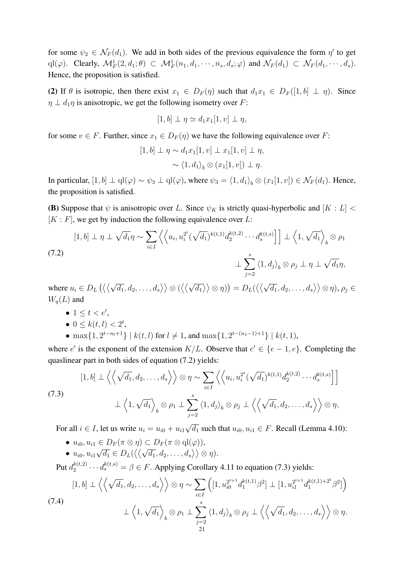for some  $\psi_2 \in \mathcal{N}_F(d_1)$ . We add in both sides of the previous equivalence the form  $\eta'$  to get  $\text{ql}(\varphi)$ . Clearly,  $\mathcal{M}_F^1(2,d_1;\theta) \subset \mathcal{M}_F^1(n_1,d_1,\cdots,n_s,d_s;\varphi)$  and  $\mathcal{N}_F(d_1) \subset \mathcal{N}_F(d_1,\cdots,d_s)$ . Hence, the proposition is satisfied.

(2) If  $\theta$  is isotropic, then there exist  $x_1 \in D_F(\eta)$  such that  $d_1x_1 \in D_F([1, b] \perp \eta)$ . Since  $\eta \perp d_1\eta$  is anisotropic, we get the following isometry over F:

$$
[1, b] \perp \eta \simeq d_1 x_1 [1, v] \perp \eta,
$$

for some  $v \in F$ . Further, since  $x_1 \in D_F(\eta)$  we have the following equivalence over F:

$$
[1, b] \perp \eta \sim d_1 x_1 [1, v] \perp x_1 [1, v] \perp \eta,
$$
  
 
$$
\sim \langle 1, d_1 \rangle_b \otimes (x_1 [1, v]) \perp \eta.
$$

In particular,  $[1, b] \perp \text{ql}(\varphi) \sim \psi_3 \perp \text{ql}(\varphi)$ , where  $\psi_3 = \langle 1, d_1 \rangle_b \otimes (x_1[1, v]) \in \mathcal{N}_F(d_1)$ . Hence, the proposition is satisfied.

(B) Suppose that  $\psi$  is anisotropic over L. Since  $\psi_K$  is strictly quasi-hyperbolic and  $[K: L]$  <  $[K : F]$ , we get by induction the following equivalence over L:

$$
[1,b] \perp \eta \perp \sqrt{d_1} \eta \sim \sum_{i \in I} \left\langle \left\langle u_i, u_i^{2^t} (\sqrt{d_1})^{k(t,1)} d_2^{k(t,2)} \cdots d_s^{k(t,s)} \right\rangle \right] \perp \left\langle 1, \sqrt{d_1} \right\rangle_b \otimes \rho_1
$$
\n
$$
\perp \sum_{j=2}^s \left\langle 1, d_j \right\rangle_b \otimes \rho_j \perp \eta \perp \sqrt{d_1} \eta,
$$
\n(7.2)

where  $u_i \in D_L$  ( $\langle \langle \rangle$ √  $\left\langle \overline{d_1},d_2,\ldots,d_s\right\rangle \right\rangle \otimes (\left\langle \left\langle \overline{d_1},d_2,\ldots,d_s\right\rangle \right\rangle )$ √  $\left\langle \overline{d_1} \right\rangle \right\rangle \otimes \eta)) = D_L(\big\langle \big\langle \big\langle$ √  $\langle \overline{d_1}, d_2, \ldots, d_s \rangle \rangle \otimes \eta),$   $\rho_j \in$  $W_q(L)$  and

- $\bullet$  1  $\leq$  t  $<$  e',
- $0 \leq k(t, l) < 2^t$ ,
- max $\{1, 2^{t-n_l+1}\}$  |  $k(t, l)$  for  $l \neq 1$ , and max $\{1, 2^{t-(n_1-1)+1}\}$  |  $k(t, 1)$ ,

where e' is the exponent of the extension  $K/L$ . Observe that  $e' \in \{e-1, e\}$ . Completing the quaslinear part in both sides of equation (7.2) yields:

(7.3)  
\n
$$
[1, b] \perp \left\langle \left\langle \sqrt{d_1}, d_2, \ldots, d_s \right\rangle \right\rangle \otimes \eta \sim \sum_{i \in I} \left\langle \left\langle u_i, u_i^{2^t} (\sqrt{d_1})^{k(t,1)} d_2^{k(t,2)} \cdots d_s^{k(t,s)} \right\rangle \right]
$$
\n
$$
\perp \left\langle 1, \sqrt{d_1} \right\rangle_b \otimes \rho_1 \perp \sum_{j=2}^s \left\langle 1, d_j \right\rangle_b \otimes \rho_j \perp \left\langle \left\langle \sqrt{d_1}, d_2, \ldots, d_s \right\rangle \right\rangle \otimes \eta,
$$

For all  $i \in I$ , let us write  $u_i = u_{i0} + u_{i1}$  $\overline{d_1}$  such that  $u_{i0}, u_{i1} \in F$ . Recall (Lemma 4.10):

- $u_{i0}, u_{i1} \in D_F(\pi \otimes \eta) \subset D_F(\pi \otimes \mathrm{ql}(\varphi)),$ √ √
- $u_{i0}, u_{i1}$  $\overline{d_1} \in D_L(\langle\langle$  $\left\langle \overline{d_1},d_2,\ldots ,d_s\right\rangle\rangle\otimes\eta).$

Put  $d_2^{k(t,2)}$  $a_2^{k(t,2)} \cdots d_s^{k(t,s)} = \beta \in F$ . Applying Corollary 4.11 to equation (7.3) yields:

$$
(7.4)
$$
\n
$$
\left[1, b\right] \perp \left\langle \left\langle \sqrt{d_1}, d_2, \ldots, d_s \right\rangle \right\rangle \otimes \eta \sim \sum_{i \in I} \left( \left[1, u_{i0}^{2^{t+1}} d_1^{k(t,1)} \beta^2 \right] \perp \left[1, u_{i1}^{2^{t+1}} d_1^{k(t,1)+2^t} \beta^2 \right] \right) \perp \left\langle 1, \sqrt{d_1} \right\rangle_b \otimes \rho_1 \perp \sum_{j=2}^s \left\langle 1, d_j \right\rangle_b \otimes \rho_j \perp \left\langle \left\langle \sqrt{d_1}, d_2, \ldots, d_s \right\rangle \right\rangle \otimes \eta.
$$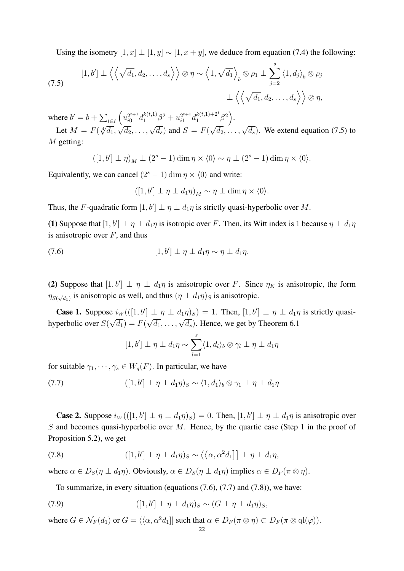Using the isometry  $[1, x] \perp [1, y] \sim [1, x + y]$ , we deduce from equation (7.4) the following:

(7.5) 
$$
[1,b'] \perp \left\langle \left\langle \sqrt{d_1}, d_2, \ldots, d_s \right\rangle \right\rangle \otimes \eta \sim \left\langle 1, \sqrt{d_1} \right\rangle_b \otimes \rho_1 \perp \sum_{j=2}^s \left\langle 1, d_j \right\rangle_b \otimes \rho_j
$$

$$
\perp \left\langle \left\langle \sqrt{d_1}, d_2, \ldots, d_s \right\rangle \right\rangle \otimes \eta,
$$

where  $b' = b + \sum_{i \in I} \left( u_{i0}^{2t+1} d_1^{k(t,1)} \beta^2 + u_{i1}^{2t+1} d_1^{k(t,1)+2^t} \beta^2 \right)$ .  $\sqrt{\frac{7}{40}}$  (1  $\sqrt{7}$ ) 1  $\alpha$   $\sqrt{7}$ 

Let  $M = F(\sqrt[4]{d_1}, \sqrt{d_2}, \ldots, \sqrt{d_s})$  and  $S = F(\sqrt{d_2}, \ldots, \sqrt{d_s})$ . We extend equation (7.5) to M getting:

$$
([1, b'] \perp \eta)_M \perp (2^s - 1) \dim \eta \times \langle 0 \rangle \sim \eta \perp (2^s - 1) \dim \eta \times \langle 0 \rangle.
$$

Equivalently, we can cancel  $(2<sup>s</sup> - 1)$  dim  $\eta \times \langle 0 \rangle$  and write:

$$
([1, b'] \perp \eta \perp d_1 \eta)_M \sim \eta \perp \dim \eta \times \langle 0 \rangle.
$$

Thus, the F-quadratic form  $[1, b'] \perp \eta \perp d_1\eta$  is strictly quasi-hyperbolic over M.

(1) Suppose that  $[1, b'] \perp \eta \perp d_1\eta$  is isotropic over F. Then, its Witt index is 1 because  $\eta \perp d_1\eta$ is anisotropic over  $F$ , and thus

(7.6) 
$$
[1,b'] \perp \eta \perp d_1 \eta \sim \eta \perp d_1 \eta.
$$

(2) Suppose that  $[1, b'] \perp \eta \perp d_1\eta$  is anisotropic over F. Since  $\eta_K$  is anisotropic, the form  $\eta_{S(\sqrt{d_1})}$  is anisotropic as well, and thus  $(\eta \perp d_1 \eta)_S$  is anisotropic.

**Case 1.** Suppose  $i_W(([1, b'] \perp \eta \perp d_1\eta)s) = 1$ . Then,  $[1, b'] \perp \eta \perp d_1\eta$  is strictly quasihyperbolic over  $S(\sqrt{d_1}) = F(\sqrt{d_1}, \ldots, \sqrt{d_s})$ . Hence, we get by Theorem 6.1

$$
[1,b'] \perp \eta \perp d_1 \eta \sim \sum_{l=1}^s \langle 1,d_l \rangle_b \otimes \gamma_l \perp \eta \perp d_1 \eta
$$

for suitable  $\gamma_1, \cdots, \gamma_s \in W_q(F)$ . In particular, we have

(7.7)  $([1, b'] \perp \eta \perp d_1 \eta)_S \sim \langle 1, d_1 \rangle_b \otimes \gamma_1 \perp \eta \perp d_1 \eta$ 

**Case 2.** Suppose  $i_W(([1, b'] \perp \eta \perp d_1\eta)_S) = 0$ . Then,  $[1, b'] \perp \eta \perp d_1\eta$  is anisotropic over S and becomes quasi-hyperbolic over  $M$ . Hence, by the quartic case (Step 1 in the proof of Proposition 5.2), we get

(7.8) 
$$
([1,b'] \perp \eta \perp d_1 \eta)_S \sim \langle \langle \alpha, \alpha^2 d_1] \,] \perp \eta \perp d_1 \eta,
$$

where  $\alpha \in D_S(\eta \perp d_1\eta)$ . Obviously,  $\alpha \in D_S(\eta \perp d_1\eta)$  implies  $\alpha \in D_F(\pi \otimes \eta)$ .

To summarize, in every situation (equations (7.6), (7.7) and (7.8)), we have:

(7.9) 
$$
([1,b'] \perp \eta \perp d_1 \eta)_S \sim (G \perp \eta \perp d_1 \eta)_S,
$$

where  $G \in \mathcal{N}_F(d_1)$  or  $G = \langle \langle \alpha, \alpha^2 d_1 | \rangle$  such that  $\alpha \in D_F(\pi \otimes \eta) \subset D_F(\pi \otimes \text{ql}(\varphi)).$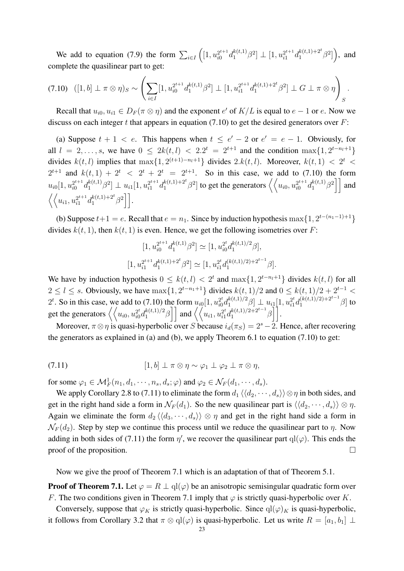We add to equation (7.9) the form  $\sum_{i \in I} ([1, u_{i0}^{2^{t+1}} d_1^{k(t,1)} \beta^2] \perp [1, u_{i1}^{2^{t+1}} d_1^{k(t,1)+2^t} \beta^2])$ , and complete the quasilinear part to get:

$$
(7.10) \quad ([1, b] \perp \pi \otimes \eta)_S \sim \left( \sum_{i \in I} [1, u_{i0}^{2^{t+1}} d_1^{k(t,1)} \beta^2] \perp [1, u_{i1}^{2^{t+1}} d_1^{k(t,1)+2^t} \beta^2] \perp G \perp \pi \otimes \eta \right)_S.
$$

Recall that  $u_{i0}, u_{i1} \in D_F(\pi \otimes \eta)$  and the exponent  $e'$  of  $K/L$  is equal to  $e - 1$  or  $e$ . Now we discuss on each integer  $t$  that appears in equation (7.10) to get the desired generators over  $F$ :

(a) Suppose  $t + 1 < e$ . This happens when  $t \le e' - 2$  or  $e' = e - 1$ . Obviously, for all  $l = 2, ..., s$ , we have  $0 \leq 2k(t, l) < 2 \cdot 2^{t} = 2^{t+1}$  and the condition  $\max\{1, 2^{t-n_l+1}\}$ divides  $k(t, l)$  implies that  $\max\{1, 2^{(t+1)-n_l+1}\}\$  divides  $2. k(t, l)$ . Moreover,  $k(t, 1) < 2^t$  $2^{t+1}$  and  $k(t, 1) + 2^t < 2^t + 2^t = 2^{t+1}$ . So in this case, we add to (7.10) the form  $u_{i0}[1, u_{i0}^{2^{t+1}}d_1^{k(t,1)}\beta^2] \perp u_{i1}[1, u_{i1}^{2^{t+1}}d_1^{k(t,1)+2^t}\beta^2]$  to get the generators  $\left\langle \left\langle u_{i0}, u_{i0}^{2^{t+1}}d_1^{k(t,1)}\beta^2 \right\rangle \right]$  and  $\langle \langle u_{i1}, u_{i1}^{2^{t+1}} d_1^{k(t,1)+2^t} \beta^2 \rangle |$ .

(b) Suppose  $t+1 = e$ . Recall that  $e = n_1$ . Since by induction hypothesis max $\{1, 2^{t-(n_1-1)+1}\}$ divides  $k(t, 1)$ , then  $k(t, 1)$  is even. Hence, we get the following isometries over F:

$$
[1, u_{i0}^{2^{t+1}} d_1^{k(t,1)} \beta^2] \simeq [1, u_{i0}^{2^t} d_1^{k(t,1)/2} \beta],
$$
  

$$
[1, u_{i1}^{2^{t+1}} d_1^{k(t,1)+2^t} \beta^2] \simeq [1, u_{i1}^{2^t} d_1^{(k(t,1)/2)+2^{t-1}} \beta].
$$

We have by induction hypothesis  $0 \leq k(t, l) < 2^t$  and  $\max\{1, 2^{t-n_l+1}\}\$  divides  $k(t, l)$  for all  $2 \leq l \leq s$ . Obviously, we have  $\max\{1, 2^{t-n_1+1}\}\$  divides  $k(t, 1)/2$  and  $0 \leq k(t, 1)/2 + 2^{t-1}$ 2<sup>t</sup>. So in this case, we add to (7.10) the form  $u_{i0}[1, u_{i0}^{2t}d_1^{k(t,1)/2} \beta] \perp u_{i1}[1, u_{i1}^{2t}d_1^{(k(t,1)/2)+2^{t-1}} \beta]$  to get the generators  $\left\langle \left\langle u_{i0}, u_{i0}^{2t} d_1^{k(t,1)/2} \beta \right\rceil \right]$  and  $\left\langle \left\langle u_{i1}, u_{i1}^{2t} d_1^{k(t,1)/2+2^{t-1}} \beta \right\rceil \right]$ .

Moreover,  $\pi \otimes \eta$  is quasi-hyperbolic over S because  $i_d(\pi_S) = 2^s - 2$ . Hence, after recovering the generators as explained in (a) and (b), we apply Theorem 6.1 to equation (7.10) to get:

(7.11) 
$$
[1,b] \perp \pi \otimes \eta \sim \varphi_1 \perp \varphi_2 \perp \pi \otimes \eta,
$$

for some  $\varphi_1 \in \mathcal{M}_F^1(n_1, d_1, \dots, n_s, d_s; \varphi)$  and  $\varphi_2 \in \mathcal{N}_F(d_1, \dots, d_s)$ .

We apply Corollary 2.8 to (7.11) to eliminate the form  $d_1 \langle \langle d_2, \dots, d_s \rangle \rangle \otimes \eta$  in both sides, and get in the right hand side a form in  $\mathcal{N}_F(d_1)$ . So the new quasilinear part is  $\langle \langle d_2, \dots, d_s \rangle \rangle \otimes \eta$ . Again we eliminate the form  $d_2 \langle \langle d_3, \cdots, d_s \rangle \rangle \otimes \eta$  and get in the right hand side a form in  $\mathcal{N}_F(d_2)$ . Step by step we continue this process until we reduce the quasilinear part to  $\eta$ . Now adding in both sides of (7.11) the form  $\eta'$ , we recover the quasilinear part  $ql(\varphi)$ . This ends the proof of the proposition.  $\Box$ 

Now we give the proof of Theorem 7.1 which is an adaptation of that of Theorem 5.1.

**Proof of Theorem 7.1.** Let  $\varphi = R \perp \text{ql}(\varphi)$  be an anisotropic semisingular quadratic form over F. The two conditions given in Theorem 7.1 imply that  $\varphi$  is strictly quasi-hyperbolic over K.

Conversely, suppose that  $\varphi_K$  is strictly quasi-hyperbolic. Since  $q(\varphi)_K$  is quasi-hyperbolic, it follows from Corollary 3.2 that  $\pi \otimes \mathrm{ql}(\varphi)$  is quasi-hyperbolic. Let us write  $R = [a_1, b_1] \perp$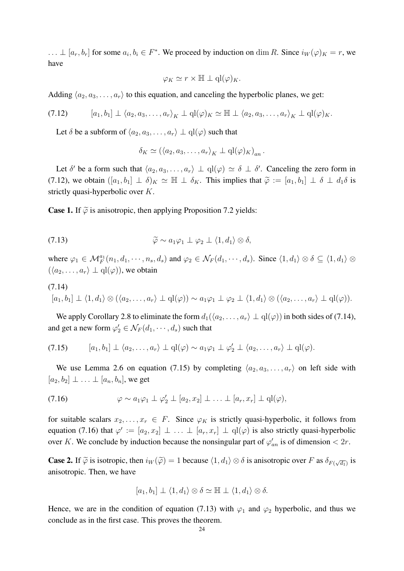$\ldots \perp [a_r, b_r]$  for some  $a_i, b_i \in F^*$ . We proceed by induction on dim R. Since  $i_W(\varphi)_K = r$ , we have

$$
\varphi_K \simeq r \times \mathbb{H} \perp \mathrm{ql}(\varphi)_K.
$$

Adding  $\langle a_2, a_3, \ldots, a_r \rangle$  to this equation, and canceling the hyperbolic planes, we get:

$$
(7.12) \qquad [a_1, b_1] \perp \langle a_2, a_3, \ldots, a_r \rangle_K \perp \mathrm{ql}(\varphi)_K \simeq \mathbb{H} \perp \langle a_2, a_3, \ldots, a_r \rangle_K \perp \mathrm{ql}(\varphi)_K.
$$

Let  $\delta$  be a subform of  $\langle a_2, a_3, \ldots, a_r \rangle \perp \mathrm{ql}(\varphi)$  such that

$$
\delta_K \simeq (\langle a_2, a_3, \ldots, a_r \rangle_K \perp \mathrm{ql}(\varphi)_K)_{an}.
$$

Let  $\delta'$  be a form such that  $\langle a_2, a_3, \ldots, a_r \rangle \perp \mathrm{ql}(\varphi) \simeq \delta \perp \delta'$ . Canceling the zero form in (7.12), we obtain  $([a_1, b_1] \perp \delta)_K \simeq \mathbb{H} \perp \delta_K$ . This implies that  $\widetilde{\varphi} := [a_1, b_1] \perp \delta \perp d_1 \delta$  is strictly quasi-hyperbolic over K.

**Case 1.** If  $\tilde{\varphi}$  is anisotropic, then applying Proposition 7.2 yields:

(7.13) 
$$
\widetilde{\varphi} \sim a_1 \varphi_1 \perp \varphi_2 \perp \langle 1, d_1 \rangle \otimes \delta,
$$

where  $\varphi_1 \in \mathcal{M}_F^{a_1}(n_1, d_1, \dots, n_s, d_s)$  and  $\varphi_2 \in \mathcal{N}_F(d_1, \dots, d_s)$ . Since  $\langle 1, d_1 \rangle \otimes \delta \subseteq \langle 1, d_1 \rangle \otimes \delta$  $(\langle a_2, \ldots, a_r \rangle \perp \mathrm{ql}(\varphi))$ , we obtain

$$
(7.14)
$$
  
\n
$$
[a_1, b_1] \perp \langle 1, d_1 \rangle \otimes (\langle a_2, \ldots, a_r \rangle \perp \mathbf{q} \mathbf{l}(\varphi)) \sim a_1 \varphi_1 \perp \varphi_2 \perp \langle 1, d_1 \rangle \otimes (\langle a_2, \ldots, a_r \rangle \perp \mathbf{q} \mathbf{l}(\varphi)).
$$

We apply Corollary 2.8 to eliminate the form  $d_1(\langle a_2, \ldots, a_r \rangle \perp \text{ql}(\varphi))$  in both sides of (7.14), and get a new form  $\varphi'_2 \in \mathcal{N}_F(d_1, \dots, d_s)$  such that

$$
(7.15) \qquad [a_1, b_1] \perp \langle a_2, \ldots, a_r \rangle \perp \mathbf{q} \mathbf{l}(\varphi) \sim a_1 \varphi_1 \perp \varphi_2' \perp \langle a_2, \ldots, a_r \rangle \perp \mathbf{q} \mathbf{l}(\varphi).
$$

We use Lemma 2.6 on equation (7.15) by completing  $\langle a_2, a_3, \ldots, a_r \rangle$  on left side with  $[a_2, b_2] \perp \ldots \perp [a_n, b_n]$ , we get

(7.16) 
$$
\varphi \sim a_1 \varphi_1 \perp \varphi_2' \perp [a_2, x_2] \perp \ldots \perp [a_r, x_r] \perp \mathrm{ql}(\varphi),
$$

for suitable scalars  $x_2, \ldots, x_r \in F$ . Since  $\varphi_K$  is strictly quasi-hyperbolic, it follows from equation (7.16) that  $\varphi' := [a_2, x_2] \perp ... \perp [a_r, x_r] \perp ql(\varphi)$  is also strictly quasi-hyperbolic over K. We conclude by induction because the nonsingular part of  $\varphi'_{an}$  is of dimension  $\langle 2r \rangle$ .

**Case 2.** If  $\widetilde{\varphi}$  is isotropic, then  $i_W(\widetilde{\varphi}) = 1$  because  $\langle 1, d_1 \rangle \otimes \delta$  is anisotropic over F as  $\delta_{F(\sqrt{d_1})}$  is anisotropic. Then, we have

$$
[a_1, b_1] \perp \langle 1, d_1 \rangle \otimes \delta \simeq \mathbb{H} \perp \langle 1, d_1 \rangle \otimes \delta.
$$

Hence, we are in the condition of equation (7.13) with  $\varphi_1$  and  $\varphi_2$  hyperbolic, and thus we conclude as in the first case. This proves the theorem.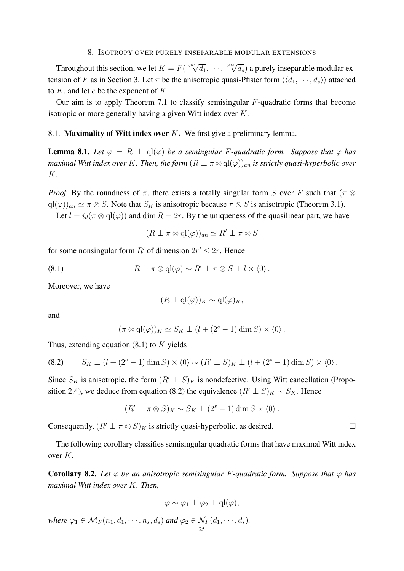#### 8. ISOTROPY OVER PURELY INSEPARABLE MODULAR EXTENSIONS

Throughout this section, we let  $K = F(\sqrt[2^{n_1}]{d_1}, \cdots, \sqrt[2^{n_s}]{d_s})$  $\overline{d_s}$ ) a purely inseparable modular extension of F as in Section 3. Let  $\pi$  be the anisotropic quasi-Pfister form  $\langle \langle d_1, \dots, d_s \rangle \rangle$  attached to  $K$ , and let  $e$  be the exponent of  $K$ .

Our aim is to apply Theorem 7.1 to classify semisingular  $F$ -quadratic forms that become isotropic or more generally having a given Witt index over K.

## 8.1. Maximality of Witt index over  $K$ . We first give a preliminary lemma.

**Lemma 8.1.** Let  $\varphi = R \perp \text{ql}(\varphi)$  be a semingular F-quadratic form. Suppose that  $\varphi$  has *maximal Witt index over* K. Then, the form  $(R \perp \pi \otimes \text{ql}(\varphi))_{an}$  *is strictly quasi-hyperbolic over* K*.*

*Proof.* By the roundness of  $\pi$ , there exists a totally singular form S over F such that ( $\pi \otimes$  $qI(\varphi)_{an} \simeq \pi \otimes S$ . Note that  $S_K$  is anisotropic because  $\pi \otimes S$  is anisotropic (Theorem 3.1).

Let  $l = i_d(\pi \otimes \text{ql}(\varphi))$  and  $\dim R = 2r$ . By the uniqueness of the quasilinear part, we have

$$
(R \perp \pi \otimes \mathrm{ql}(\varphi))_{an} \simeq R' \perp \pi \otimes S
$$

for some nonsingular form R' of dimension  $2r' \leq 2r$ . Hence

(8.1) 
$$
R \perp \pi \otimes \mathrm{ql}(\varphi) \sim R' \perp \pi \otimes S \perp l \times \langle 0 \rangle.
$$

Moreover, we have

$$
(R \perp \mathrm{ql}(\varphi))_K \sim \mathrm{ql}(\varphi)_K,
$$

and

$$
(\pi \otimes \mathrm{ql}(\varphi))_K \simeq S_K \perp (l + (2^s - 1) \dim S) \times \langle 0 \rangle.
$$

Thus, extending equation  $(8.1)$  to K yields

$$
(8.2) \qquad S_K \perp (l + (2s - 1) \dim S) \times \langle 0 \rangle \sim (R' \perp S)_K \perp (l + (2s - 1) \dim S) \times \langle 0 \rangle.
$$

Since  $S_K$  is anisotropic, the form  $(R' \perp S)_K$  is nondefective. Using Witt cancellation (Proposition 2.4), we deduce from equation (8.2) the equivalence  $(R' \perp S)_K \sim S_K$ . Hence

$$
(R' \perp \pi \otimes S)_K \sim S_K \perp (2^s - 1) \dim S \times \langle 0 \rangle.
$$

Consequently,  $(R' \perp \pi \otimes S)_K$  is strictly quasi-hyperbolic, as desired.  $\Box$ 

The following corollary classifies semisingular quadratic forms that have maximal Witt index over K.

**Corollary 8.2.** Let  $\varphi$  be an anisotropic semisingular F-quadratic form. Suppose that  $\varphi$  has *maximal Witt index over* K*. Then,*

$$
\varphi \sim \varphi_1 \perp \varphi_2 \perp q l(\varphi),
$$

*where*  $\varphi_1 \in \mathcal{M}_F(n_1, d_1, \dots, n_s, d_s)$  *and*  $\varphi_2 \in \mathcal{N}_F(d_1, \dots, d_s)$ *.*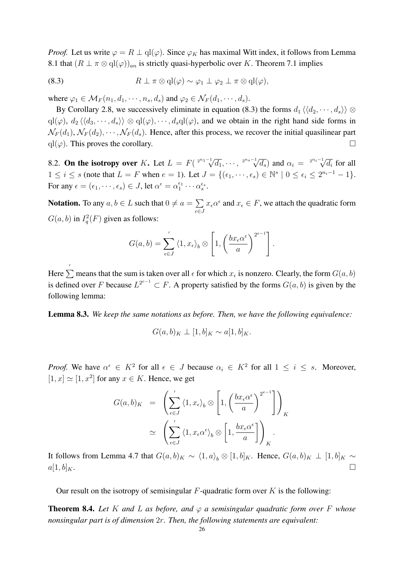*Proof.* Let us write  $\varphi = R \perp \mathrm{ql}(\varphi)$ . Since  $\varphi_K$  has maximal Witt index, it follows from Lemma 8.1 that  $(R \perp \pi \otimes \text{ql}(\varphi))_{an}$  is strictly quasi-hyperbolic over K. Theorem 7.1 implies

(8.3) 
$$
R \perp \pi \otimes \mathrm{ql}(\varphi) \sim \varphi_1 \perp \varphi_2 \perp \pi \otimes \mathrm{ql}(\varphi),
$$

where  $\varphi_1 \in \mathcal{M}_F(n_1, d_1, \dots, n_s, d_s)$  and  $\varphi_2 \in \mathcal{N}_F(d_1, \dots, d_s)$ .

By Corollary 2.8, we successively eliminate in equation (8.3) the forms  $d_1 \langle \langle d_2, \dots, d_s \rangle \rangle \otimes$  $ql(\varphi), d_2 \langle \langle d_3, \cdots, d_s \rangle \rangle \otimes ql(\varphi), \cdots, d_s ql(\varphi),$  and we obtain in the right hand side forms in  $\mathcal{N}_F(d_1), \mathcal{N}_F(d_2), \cdots, \mathcal{N}_F(d_s)$ . Hence, after this process, we recover the initial quasilinear part  $ql(\varphi)$ . This proves the corollary.  $\Box$ 

8.2. On the isotropy over K. Let  $L = F(\sqrt[2^{n_1-1]} \sqrt{d_1}, \cdots, \sqrt[2^{n_s-1} \sqrt{d_s})$  $\overline{d_s}$ ) and  $\alpha_i = \sqrt[2^{n_i-1}]{d_i}$  for all  $1 \leq i \leq s$  (note that  $L = F$  when  $e = 1$ ). Let  $J = \{(\epsilon_1, \dots, \epsilon_s) \in \mathbb{N}^s \mid 0 \leq \epsilon_i \leq 2^{n_i - 1} - 1\}.$ For any  $\epsilon = (\epsilon_1, \dots, \epsilon_s) \in J$ , let  $\alpha^{\epsilon} = \alpha_1^{\epsilon_1} \cdots \alpha_s^{\epsilon_s}$ .

**Notation.** To any  $a, b \in L$  such that  $0 \neq a = \sum$  $\epsilon \in J$  $x_{\epsilon} \alpha^{\epsilon}$  and  $x_{\epsilon} \in F$ , we attach the quadratic form  $G(a, b)$  in  $I_q^2(F)$  given as follows:

$$
G(a,b) = \sum_{\epsilon \in J}^{\prime} \langle 1, x_{\epsilon} \rangle_b \otimes \left[ 1, \left( \frac{bx_{\epsilon} \alpha^{\epsilon}}{a} \right)^{2^{e-1}} \right].
$$

Here  $\sum'$  means that the sum is taken over all  $\epsilon$  for which  $x_{\epsilon}$  is nonzero. Clearly, the form  $G(a, b)$ is defined over F because  $L^{2^{e-1}} \subset F$ . A property satisfied by the forms  $G(a, b)$  is given by the following lemma:

Lemma 8.3. *We keep the same notations as before. Then, we have the following equivalence:*

$$
G(a,b)_K \perp [1,b]_K \sim a[1,b]_K.
$$

*Proof.* We have  $\alpha^{\epsilon} \in K^2$  for all  $\epsilon \in J$  because  $\alpha_i \in K^2$  for all  $1 \leq i \leq s$ . Moreover,  $[1, x] \simeq [1, x^2]$  for any  $x \in K$ . Hence, we get

$$
G(a,b)_K = \left(\sum_{\epsilon \in J}^{\prime} \langle 1, x_{\epsilon} \rangle_b \otimes \left[1, \left(\frac{bx_{\epsilon} \alpha^{\epsilon}}{a}\right)^{2^{e-1}}\right]\right)_K
$$
  

$$
\simeq \left(\sum_{\epsilon \in J}^{\prime} \langle 1, x_{\epsilon} \alpha^{\epsilon} \rangle_b \otimes \left[1, \frac{bx_{\epsilon} \alpha^{\epsilon}}{a}\right]\right)_K.
$$

It follows from Lemma 4.7 that  $G(a, b)_K \sim \langle 1, a \rangle_b \otimes [1, b]_K$ . Hence,  $G(a, b)_K \perp [1, b]_K \sim$  $a[1, b]_K$ .

Our result on the isotropy of semisingular  $F$ -quadratic form over  $K$  is the following:

**Theorem 8.4.** Let K and L as before, and  $\varphi$  a semisingular quadratic form over F whose *nonsingular part is of dimension* 2r*. Then, the following statements are equivalent:*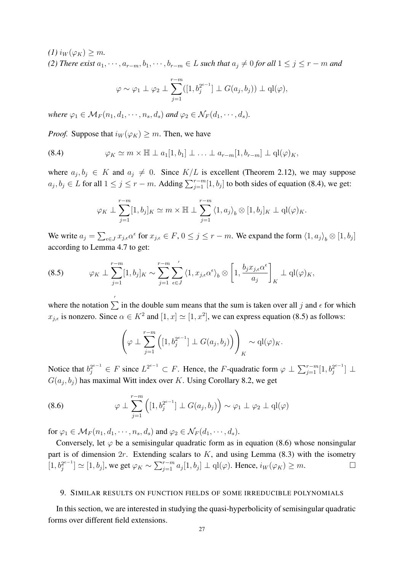$(I)$  i<sub>W</sub> $(\varphi_K) \geq m$ .

*(2) There exist*  $a_1, \dots, a_{r-m}, b_1, \dots, b_{r-m} \in L$  *such that*  $a_i \neq 0$  *for all*  $1 \leq j \leq r - m$  *and* 

$$
\varphi \sim \varphi_1 \perp \varphi_2 \perp \sum_{j=1}^{r-m} ([1, b_j^{2^{e-1}}] \perp G(a_j, b_j)) \perp \mathrm{ql}(\varphi),
$$

*where*  $\varphi_1 \in M_F(n_1, d_1, \dots, n_s, d_s)$  *and*  $\varphi_2 \in N_F(d_1, \dots, d_s)$ *.* 

*Proof.* Suppose that  $i_W(\varphi_K) \geq m$ . Then, we have

(8.4) 
$$
\varphi_K \simeq m \times \mathbb{H} \perp a_1[1, b_1] \perp \ldots \perp a_{r-m}[1, b_{r-m}] \perp \mathbf{q}l(\varphi)_K,
$$

where  $a_j, b_j \in K$  and  $a_j \neq 0$ . Since  $K/L$  is excellent (Theorem 2.12), we may suppose  $a_j, b_j \in L$  for all  $1 \le j \le r - m$ . Adding  $\sum_{j=1}^{r-m} [1, b_j]$  to both sides of equation (8.4), we get:

$$
\varphi_K \perp \sum_{j=1}^{r-m} [1, b_j]_K \simeq m \times \mathbb{H} \perp \sum_{j=1}^{r-m} \langle 1, a_j \rangle_b \otimes [1, b_j]_K \perp \mathrm{ql}(\varphi)_K.
$$

We write  $a_j = \sum_{\epsilon \in J} x_{j,\epsilon} \alpha^{\epsilon}$  for  $x_{j,\epsilon} \in F$ ,  $0 \le j \le r - m$ . We expand the form  $\langle 1, a_j \rangle_b \otimes [1, b_j]$ according to Lemma 4.7 to get:

(8.5) 
$$
\varphi_K \perp \sum_{j=1}^{r-m} [1, b_j]_K \sim \sum_{j=1}^{r-m} \sum_{\epsilon \in J}^{\prime} \langle 1, x_{j,\epsilon} \alpha^{\epsilon} \rangle_b \otimes \left[ 1, \frac{b_j x_{j,\epsilon} \alpha^{\epsilon}}{a_j} \right]_K \perp \mathrm{ql}(\varphi)_K,
$$

where the notation  $\sum'$  in the double sum means that the sum is taken over all j and  $\epsilon$  for which  $x_{j,\epsilon}$  is nonzero. Since  $\alpha \in K^2$  and  $[1, x] \simeq [1, x^2]$ , we can express equation (8.5) as follows:

$$
\left(\varphi \perp \sum_{j=1}^{r-m} \left([1, b_j^{2^{e-1}}] \perp G(a_j, b_j)\right)\right)_K \sim \mathrm{ql}(\varphi)_K.
$$

Notice that  $b_j^{2^{e-1}} \in F$  since  $L^{2^{e-1}} \subset F$ . Hence, the F-quadratic form  $\varphi \perp \sum_{j=1}^{r-m} [1, b_j^{2^{e-1}}]$  $\frac{2^{e-1}}{j}$   $\perp$  $G(a_j, b_j)$  has maximal Witt index over K. Using Corollary 8.2, we get

(8.6) 
$$
\varphi \perp \sum_{j=1}^{r-m} \left( [1, b_j^{2^{e-1}}] \perp G(a_j, b_j) \right) \sim \varphi_1 \perp \varphi_2 \perp \mathrm{ql}(\varphi)
$$

for  $\varphi_1 \in \mathcal{M}_F(n_1, d_1, \cdots, n_s, d_s)$  and  $\varphi_2 \in \mathcal{N}_F(d_1, \cdots, d_s)$ .

Conversely, let  $\varphi$  be a semisingular quadratic form as in equation (8.6) whose nonsingular part is of dimension  $2r$ . Extending scalars to K, and using Lemma (8.3) with the isometry  $[1, b_i^{2^{e-1}}]$  $\left[\mathcal{E}_j^{2^{e-1}}\right] \simeq [1, b_j]$ , we get  $\varphi_K \sim \sum_{j=1}^{r-m} a_j [1, b_j] \perp \mathrm{ql}(\varphi)$ . Hence,  $i_W(\varphi_K) \geq m$ .

## 9. SIMILAR RESULTS ON FUNCTION FIELDS OF SOME IRREDUCIBLE POLYNOMIALS

In this section, we are interested in studying the quasi-hyperbolicity of semisingular quadratic forms over different field extensions.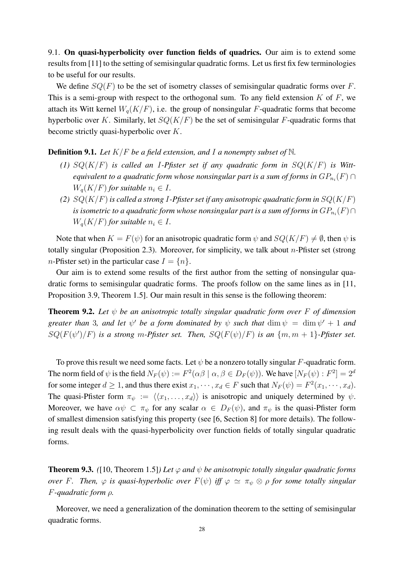9.1. On quasi-hyperbolicity over function fields of quadrics. Our aim is to extend some results from [11] to the setting of semisingular quadratic forms. Let us first fix few terminologies to be useful for our results.

We define  $SQ(F)$  to be the set of isometry classes of semisingular quadratic forms over F. This is a semi-group with respect to the orthogonal sum. To any field extension  $K$  of  $F$ , we attach its Witt kernel  $W_a(K/F)$ , i.e. the group of nonsingular F-quadratic forms that become hyperbolic over K. Similarly, let  $SQ(K/F)$  be the set of semisingular F-quadratic forms that become strictly quasi-hyperbolic over K.

Definition 9.1. *Let* K/F *be a field extension, and* I *a nonempty subset of* N*.*

- (1)  $SQ(K/F)$  *is called an I-Pfister set if any quadratic form in*  $SQ(K/F)$  *is Witt*equivalent to a quadratic form whose nonsingular part is a sum of forms in  $GP_{n_i}(F)$   $\cap$  $W_a(K/F)$  *for suitable*  $n_i \in I$ .
- *(2)* SQ(K/F) *is called a strong* I*-Pfister set if any anisotropic quadratic form in* SQ(K/F) is isometric to a quadratic form whose nonsingular part is a sum of forms in  $GP_{n_i}(F) \cap$  $W_a(K/F)$  *for suitable*  $n_i \in I$ .

Note that when  $K = F(\psi)$  for an anisotropic quadratic form  $\psi$  and  $SQ(K/F) \neq \emptyset$ , then  $\psi$  is totally singular (Proposition 2.3). Moreover, for simplicity, we talk about  $n$ -Pfister set (strong *n*-Pfister set) in the particular case  $I = \{n\}$ .

Our aim is to extend some results of the first author from the setting of nonsingular quadratic forms to semisingular quadratic forms. The proofs follow on the same lines as in [11, Proposition 3.9, Theorem 1.5]. Our main result in this sense is the following theorem:

Theorem 9.2. *Let* ψ *be an anisotropic totally singular quadratic form over* F *of dimension greater than* 3, and let  $\psi'$  be a form dominated by  $\psi$  such that  $\dim \psi = \dim \psi' + 1$  and  $SQ(F(\psi')/F)$  *is a strong m-Pfister set. Then,*  $SQ(F(\psi)/F)$  *is an*  $\{m,m+1\}$ *-Pfister set.* 

To prove this result we need some facts. Let  $\psi$  be a nonzero totally singular F-quadratic form. The norm field of  $\psi$  is the field  $N_F(\psi) := F^2(\alpha \beta \mid \alpha, \beta \in D_F(\psi))$ . We have  $[N_F(\psi):F^2]=2^d$ for some integer  $d \ge 1$ , and thus there exist  $x_1, \dots, x_d \in F$  such that  $N_F(\psi) = F^2(x_1, \dots, x_d)$ . The quasi-Pfister form  $\pi_{\psi} := \langle \langle x_1, \ldots, x_d \rangle \rangle$  is anisotropic and uniquely determined by  $\psi$ . Moreover, we have  $\alpha\psi \subset \pi_{\psi}$  for any scalar  $\alpha \in D_F(\psi)$ , and  $\pi_{\psi}$  is the quasi-Pfister form of smallest dimension satisfying this property (see [6, Section 8] for more details). The following result deals with the quasi-hyperbolicity over function fields of totally singular quadratic forms.

**Theorem 9.3.** *(*[10, Theorem 1.5]*)* Let  $\varphi$  and  $\psi$  be anisotropic totally singular quadratic forms *over* F. Then,  $\varphi$  *is quasi-hyperbolic over*  $F(\psi)$  *iff*  $\varphi \simeq \pi_{\psi} \otimes \rho$  *for some totally singular* F*-quadratic form* ρ*.*

Moreover, we need a generalization of the domination theorem to the setting of semisingular quadratic forms.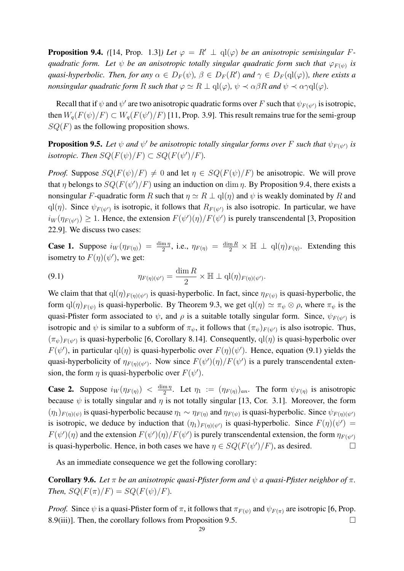**Proposition 9.4.** ([14, Prop. 1.3]*)* Let  $\varphi = R' \perp \text{ql}(\varphi)$  be an anisotropic semisingular F*quadratic form. Let*  $\psi$  *be an anisotropic totally singular quadratic form such that*  $\varphi_{F(\psi)}$  *is quasi-hyperbolic. Then, for any*  $\alpha \in D_F(\psi)$ ,  $\beta \in D_F(R')$  *and*  $\gamma \in D_F(\text{ql}(\varphi))$ , *there exists a nonsingular quadratic form* R *such that*  $\varphi \simeq R \perp \mathrm{ql}(\varphi)$ ,  $\psi \prec \alpha \beta R$  *and*  $\psi \prec \alpha \gamma \mathrm{ql}(\varphi)$ .

Recall that if  $\psi$  and  $\psi'$  are two anisotropic quadratic forms over F such that  $\psi_{F(\psi')}$  is isotropic, then  $W_q(F(\psi)/F) \subset W_q(F(\psi')/F)$  [11, Prop. 3.9]. This result remains true for the semi-group  $SQ(F)$  as the following proposition shows.

**Proposition 9.5.** Let  $\psi$  and  $\psi'$  be anisotropic totally singular forms over F such that  $\psi_{F(\psi')}$  is *isotropic. Then*  $SQ(F(\psi)/F) \subset SQ(F(\psi')/F)$ *.* 

*Proof.* Suppose  $SQ(F(\psi)/F) \neq 0$  and let  $\eta \in SQ(F(\psi)/F)$  be anisotropic. We will prove that  $\eta$  belongs to  $SQ(F(\psi')/F)$  using an induction on dim  $\eta$ . By Proposition 9.4, there exists a nonsingular F-quadratic form R such that  $\eta \simeq R \perp \text{ql}(\eta)$  and  $\psi$  is weakly dominated by R and ql( $\eta$ ). Since  $\psi_{F(\psi')}$  is isotropic, it follows that  $R_{F(\psi')}$  is also isotropic. In particular, we have  $i_W(\eta_{F(\psi')}) \geq 1$ . Hence, the extension  $F(\psi')(\eta)/F(\psi')$  is purely transcendental [3, Proposition 22.9]. We discuss two cases:

**Case 1.** Suppose  $i_W(\eta_{F(\eta)}) = \frac{\dim \eta}{2}$ , i.e.,  $\eta_{F(\eta)} = \frac{\dim R}{2} \times \mathbb{H} \perp \text{ql}(\eta)_{F(\eta)}$ . Extending this isometry to  $F(\eta)(\psi')$ , we get:

(9.1) 
$$
\eta_{F(\eta)(\psi')} = \frac{\dim R}{2} \times \mathbb{H} \perp \mathrm{ql}(\eta)_{F(\eta)(\psi')}.
$$

We claim that that  $q l(\eta)_{F(\eta)(\psi')}$  is quasi-hyperbolic. In fact, since  $\eta_{F(\psi)}$  is quasi-hyperbolic, the form  $\text{ql}(\eta)_{F(\psi)}$  is quasi-hyperbolic. By Theorem 9.3, we get  $\text{ql}(\eta) \simeq \pi_{\psi} \otimes \rho$ , where  $\pi_{\psi}$  is the quasi-Pfister form associated to  $\psi$ , and  $\rho$  is a suitable totally singular form. Since,  $\psi_{F(\psi')}$  is isotropic and  $\psi$  is similar to a subform of  $\pi_{\psi}$ , it follows that  $(\pi_{\psi})_{F(\psi')}$  is also isotropic. Thus,  $(\pi_{\psi})_{F(\psi')}$  is quasi-hyperbolic [6, Corollary 8.14]. Consequently,  $q(\eta)$  is quasi-hyperbolic over  $F(\psi')$ , in particular  $q(\eta)$  is quasi-hyperbolic over  $F(\eta)(\psi')$ . Hence, equation (9.1) yields the quasi-hyperbolicity of  $\eta_{F(\eta)(\psi')}$ . Now since  $F(\psi')(\eta)/F(\psi')$  is a purely transcendental extension, the form  $\eta$  is quasi-hyperbolic over  $F(\psi')$ .

**Case 2.** Suppose  $i_W(\eta_{F(\eta)}) < \frac{\dim \eta}{2}$  $\frac{m \eta}{2}$ . Let  $\eta_1 := (\eta_{F(\eta)})_{an}$ . The form  $\psi_{F(\eta)}$  is anisotropic because  $\psi$  is totally singular and  $\eta$  is not totally singular [13, Cor. 3.1]. Moreover, the form  $(\eta_1)_{F(\eta)(\psi)}$  is quasi-hyperbolic because  $\eta_1 \sim \eta_{F(\eta)}$  and  $\eta_{F(\psi)}$  is quasi-hyperbolic. Since  $\psi_{F(\eta)(\psi')}$ is isotropic, we deduce by induction that  $(\eta_1)_{F(\eta)(\psi')}$  is quasi-hyperbolic. Since  $F(\eta)(\psi') =$  $F(\psi')(\eta)$  and the extension  $F(\psi')(\eta)/F(\psi')$  is purely transcendental extension, the form  $\eta_{F(\psi')}$ is quasi-hyperbolic. Hence, in both cases we have  $\eta \in SQ(F(\psi')/F)$ , as desired.

As an immediate consequence we get the following corollary:

**Corollary 9.6.** *Let*  $\pi$  *be an anisotropic quasi-Pfister form and*  $ψ$  *a quasi-Pfister neighbor of*  $\pi$ *. Then,*  $SQ(F(\pi)/F) = SQ(F(\psi)/F)$ *.* 

*Proof.* Since  $\psi$  is a quasi-Pfister form of  $\pi$ , it follows that  $\pi_{F(\psi)}$  and  $\psi_{F(\pi)}$  are isotropic [6, Prop. 8.9(iii)]. Then, the corollary follows from Proposition 9.5.  $\Box$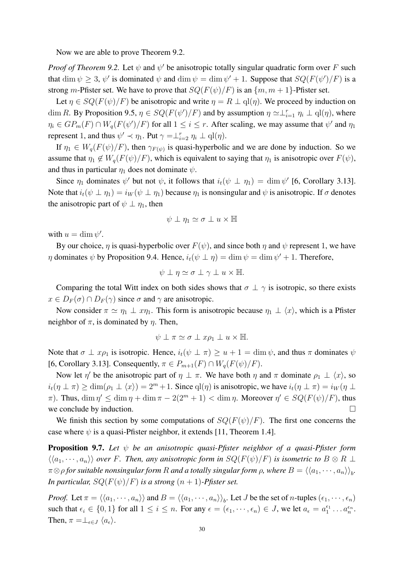Now we are able to prove Theorem 9.2.

*Proof of Theorem 9.2.* Let  $\psi$  and  $\psi'$  be anisotropic totally singular quadratic form over F such that  $\dim \psi \geq 3$ ,  $\psi'$  is dominated  $\psi$  and  $\dim \psi = \dim \psi' + 1$ . Suppose that  $SQ(F(\psi')/F)$  is a strong m-Pfister set. We have to prove that  $SQ(F(\psi)/F)$  is an  $\{m, m + 1\}$ -Pfister set.

Let  $\eta \in SQ(F(\psi)/F)$  be anisotropic and write  $\eta = R \perp \text{ql}(\eta)$ . We proceed by induction on dim R. By Proposition 9.5,  $\eta \in SQ(F(\psi')/F)$  and by assumption  $\eta \simeq \perp_{i=1}^r \eta_i \perp \text{ql}(\eta)$ , where  $\eta_i \in GP_m(F) \cap W_q(F(\psi)/F)$  for all  $1 \leq i \leq r$ . After scaling, we may assume that  $\psi'$  and  $\eta_1$ represent 1, and thus  $\psi' \prec \eta_1$ . Put  $\gamma = \perp_{i=2}^r \eta_i \perp \text{ql}(\eta)$ .

If  $\eta_1 \in W_q(F(\psi)/F)$ , then  $\gamma_{F(\psi)}$  is quasi-hyperbolic and we are done by induction. So we assume that  $\eta_1 \notin W_q(F(\psi)/F)$ , which is equivalent to saying that  $\eta_1$  is anisotropic over  $F(\psi)$ , and thus in particular  $\eta_1$  does not dominate  $\psi$ .

Since  $\eta_1$  dominates  $\psi'$  but not  $\psi$ , it follows that  $i_t(\psi \perp \eta_1) = \dim \psi'$  [6, Corollary 3.13]. Note that  $i_t(\psi \perp \eta_1) = i_W(\psi \perp \eta_1)$  because  $\eta_1$  is nonsingular and  $\psi$  is anisotropic. If  $\sigma$  denotes the anisotropic part of  $\psi \perp \eta_1$ , then

$$
\psi \perp \eta_1 \simeq \sigma \perp u \times \mathbb{H}
$$

with  $u = \dim \psi'$ .

By our choice,  $\eta$  is quasi-hyperbolic over  $F(\psi)$ , and since both  $\eta$  and  $\psi$  represent 1, we have  $\eta$  dominates  $\psi$  by Proposition 9.4. Hence,  $i_t(\psi \perp \eta) = \dim \psi = \dim \psi' + 1$ . Therefore,

$$
\psi \perp \eta \simeq \sigma \perp \gamma \perp u \times \mathbb{H}.
$$

Comparing the total Witt index on both sides shows that  $\sigma \perp \gamma$  is isotropic, so there exists  $x \in D_F(\sigma) \cap D_F(\gamma)$  since  $\sigma$  and  $\gamma$  are anisotropic.

Now consider  $\pi \simeq \eta_1 \perp x\eta_1$ . This form is anisotropic because  $\eta_1 \perp \langle x \rangle$ , which is a Pfister neighbor of  $\pi$ , is dominated by  $\eta$ . Then,

$$
\psi \perp \pi \simeq \sigma \perp x \rho_1 \perp u \times \mathbb{H}.
$$

Note that  $\sigma \perp x_{p_1}$  is isotropic. Hence,  $i_t(\psi \perp \pi) \ge u + 1 = \dim \psi$ , and thus  $\pi$  dominates  $\psi$ [6, Corollary 3.13]. Consequently,  $\pi \in P_{m+1}(F) \cap W_q(F(\psi)/F)$ .

Now let  $\eta'$  be the anisotropic part of  $\eta \perp \pi$ . We have both  $\eta$  and  $\pi$  dominate  $\rho_1 \perp \langle x \rangle$ , so  $i_t(\eta \perp \pi) \geq \dim(\rho_1 \perp \langle x \rangle) = 2^m + 1$ . Since  $\text{ql}(\eta)$  is anisotropic, we have  $i_t(\eta \perp \pi) = i_W(\eta \perp \pi)$  $\pi$ ). Thus,  $\dim \eta' \leq \dim \eta + \dim \pi - 2(2^m + 1) < \dim \eta$ . Moreover  $\eta' \in SQ(F(\psi)/F)$ , thus we conclude by induction.  $\Box$ 

We finish this section by some computations of  $SQ(F(\psi)/F)$ . The first one concerns the case where  $\psi$  is a quasi-Pfister neighbor, it extends [11, Theorem 1.4].

Proposition 9.7. *Let* ψ *be an anisotropic quasi-Pfister neighbor of a quasi-Pfister form*  $\langle\langle a_1,\cdots,a_n\rangle\rangle$  *over* F. Then, any anisotropic form in  $SQ(F(\psi)/F)$  is isometric to  $B\otimes R\perp$  $\pi\otimes\rho$  for suitable nonsingular form  $R$  and a totally singular form  $\rho,$  where  $B=\langle\langle a_1,\cdots,a_n\rangle\rangle_b.$ *In particular,*  $SQ(F(\psi)/F)$  *is a strong*  $(n + 1)$ *-Pfister set.* 

*Proof.* Let  $\pi = \langle \langle a_1, \dots, a_n \rangle \rangle$  and  $B = \langle \langle a_1, \dots, a_n \rangle \rangle_b$ . Let *J* be the set of *n*-tuples  $(\epsilon_1, \dots, \epsilon_n)$ such that  $\epsilon_i \in \{0, 1\}$  for all  $1 \leq i \leq n$ . For any  $\epsilon = (\epsilon_1, \dots, \epsilon_n) \in J$ , we let  $a_{\epsilon} = a_1^{\epsilon_1} \dots a_n^{\epsilon_n}$ . Then,  $\pi = \perp_{\epsilon \in J} \langle a_{\epsilon} \rangle$ .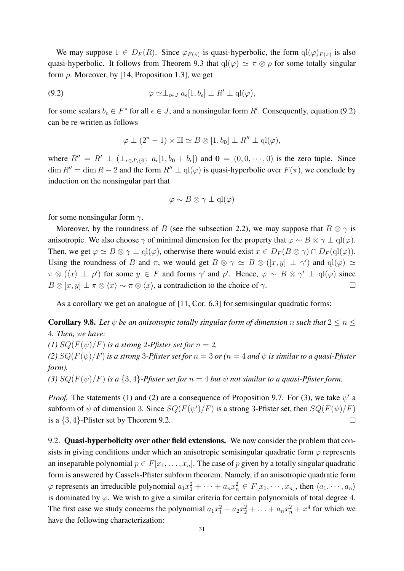We may suppose  $1 \in D_F(R)$ . Since  $\varphi_{F(\pi)}$  is quasi-hyperbolic, the form  $\mathrm{ql}(\varphi)_{F(\pi)}$  is also quasi-hyperbolic. It follows from Theorem 9.3 that  $qI(\varphi) \simeq \pi \otimes \rho$  for some totally singular form  $\rho$ . Moreover, by [14, Proposition 1.3], we get

$$
\varphi \simeq \perp_{\epsilon \in J} a_{\epsilon}[1, b_{\epsilon}] \perp R' \perp \mathbf{q}(\varphi),
$$

for some scalars  $b_{\epsilon} \in F^*$  for all  $\epsilon \in J$ , and a nonsingular form R'. Consequently, equation (9.2) can be re-written as follows

$$
\varphi \perp (2^n - 1) \times \mathbb{H} \simeq B \otimes [1, b_0] \perp R'' \perp \mathrm{ql}(\varphi),
$$

where  $R'' = R' \perp (\perp_{\epsilon \in J \setminus \{0\}} a_{\epsilon}[1, b_0 + b_{\epsilon}])$  and  $0 = (0, 0, \dots, 0)$  is the zero tuple. Since  $\dim R'' = \dim R - 2$  and the form  $R'' \perp \text{ql}(\varphi)$  is quasi-hyperbolic over  $F(\pi)$ , we conclude by induction on the nonsingular part that

$$
\varphi \sim B \otimes \gamma \perp \mathrm{ql}(\varphi)
$$

for some nonsingular form  $\gamma$ .

Moreover, by the roundness of B (see the subsection 2.2), we may suppose that  $B \otimes \gamma$  is anisotropic. We also choose  $\gamma$  of minimal dimension for the property that  $\varphi \sim B \otimes \gamma \perp \mathrm{ql}(\varphi)$ . Then, we get  $\varphi \simeq B \otimes \gamma \perp \mathrm{ql}(\varphi)$ , otherwise there would exist  $x \in D_F(B \otimes \gamma) \cap D_F(\mathrm{ql}(\varphi))$ . Using the roundness of B and  $\pi$ , we would get  $B \otimes \gamma \simeq B \otimes ([x, y] \perp \gamma')$  and  $q(\varphi) \simeq$  $\pi \otimes (\langle x \rangle \perp \rho')$  for some  $y \in F$  and forms  $\gamma'$  and  $\rho'$ . Hence,  $\varphi \sim B \otimes \gamma' \perp \varphi$  since  $B \otimes [x, y] \perp \pi \otimes \langle x \rangle \sim \pi \otimes \langle x \rangle$ , a contradiction to the choice of  $\gamma$ .

As a corollary we get an analogue of [11, Cor. 6.3] for semisingular quadratic forms:

**Corollary 9.8.** Let  $\psi$  be an anisotropic totally singular form of dimension n such that  $2 \le n \le$ 4*. Then, we have:*

*(1)*  $SQ(F(\psi)/F)$  *is a strong* 2-*Pfister set for*  $n = 2$ *.* 

*(2)*  $SQ(F(\psi)/F)$  *is a strong* 3-*Pfister set for*  $n = 3$  *or*  $(n = 4$  *and*  $\psi$  *is similar to a quasi-Pfister form).*

(3)  $SQ(F(\psi)/F)$  *is a* {3, 4}*-Pfister set for*  $n = 4$  *but*  $\psi$  *not similar to a quasi-Pfister form.* 

*Proof.* The statements (1) and (2) are a consequence of Proposition 9.7. For (3), we take  $\psi'$  a subform of  $\psi$  of dimension 3. Since  $SQ(F(\psi')/F)$  is a strong 3-Pfister set, then  $SQ(F(\psi)/F)$ is a  $\{3, 4\}$ -Pfister set by Theorem 9.2.

9.2. Quasi-hyperbolicity over other field extensions. We now consider the problem that consists in giving conditions under which an anisotropic semisingular quadratic form  $\varphi$  represents an inseparable polynomial  $p \in F[x_1, \ldots, x_n]$ . The case of p given by a totally singular quadratic form is answered by Cassels-Pfister subform theorem. Namely, if an anisotropic quadratic form  $\varphi$  represents an irreducible polynomial  $a_1x_1^2 + \cdots + a_nx_n^2 \in F[x_1, \dots, x_n]$ , then  $\langle a_1, \dots, a_n \rangle$ is dominated by  $\varphi$ . We wish to give a similar criteria for certain polynomials of total degree 4. The first case we study concerns the polynomial  $a_1x_1^2 + a_2x_2^2 + \ldots + a_nx_n^2 + x^4$  for which we have the following characterization: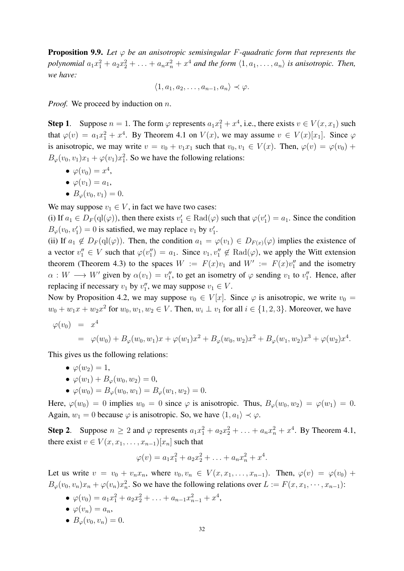Proposition 9.9. *Let* φ *be an anisotropic semisingular* F*-quadratic form that represents the* polynomial  $a_1x_1^2 + a_2x_2^2 + \ldots + a_nx_n^2 + x^4$  and the form  $\langle 1, a_1, \ldots, a_n \rangle$  is anisotropic. Then, *we have:*

$$
\langle 1, a_1, a_2, \dots, a_{n-1}, a_n \rangle \prec \varphi.
$$

*Proof.* We proceed by induction on *n*.

**Step 1.** Suppose  $n = 1$ . The form  $\varphi$  represents  $a_1x_1^2 + x^4$ , i.e., there exists  $v \in V(x, x_1)$  such that  $\varphi(v) = a_1 x_1^2 + x^4$ . By Theorem 4.1 on  $V(x)$ , we may assume  $v \in V(x)[x_1]$ . Since  $\varphi$ is anisotropic, we may write  $v = v_0 + v_1x_1$  such that  $v_0, v_1 \in V(x)$ . Then,  $\varphi(v) = \varphi(v_0) +$  $B_{\varphi}(v_0, v_1)x_1 + \varphi(v_1)x_1^2$ . So we have the following relations:

- $\bullet \ \varphi(v_0) = x^4,$
- $\bullet \varphi(v_1) = a_1,$
- $B_{\varphi}(v_0, v_1) = 0.$

We may suppose  $v_1 \in V$ , in fact we have two cases:

(i) If  $a_1 \in D_F(\text{ql}(\varphi))$ , then there exists  $v'_1 \in \text{Rad}(\varphi)$  such that  $\varphi(v'_1) = a_1$ . Since the condition  $B_{\varphi}(v_0, v'_1) = 0$  is satisfied, we may replace  $v_1$  by  $v'_1$ .

(ii) If  $a_1 \notin D_F(ql(\varphi))$ . Then, the condition  $a_1 = \varphi(v_1) \in D_{F(x)}(\varphi)$  implies the existence of a vector  $v''_1 \in V$  such that  $\varphi(v''_1) = a_1$ . Since  $v_1, v''_1 \notin \text{Rad}(\varphi)$ , we apply the Witt extension theorem (Theorem 4.3) to the spaces  $W := F(x)v_1$  and  $W' := F(x)v_1''$  and the isometry  $\alpha: W \longrightarrow W'$  given by  $\alpha(v_1) = v_1''$ , to get an isometry of  $\varphi$  sending  $v_1$  to  $v_1''$ . Hence, after replacing if necessary  $v_1$  by  $v''_1$ , we may suppose  $v_1 \in V$ .

Now by Proposition 4.2, we may suppose  $v_0 \in V[x]$ . Since  $\varphi$  is anisotropic, we write  $v_0 =$  $w_0 + w_1x + w_2x^2$  for  $w_0, w_1, w_2 \in V$ . Then,  $w_i \perp v_1$  for all  $i \in \{1, 2, 3\}$ . Moreover, we have

$$
\varphi(v_0) = x^4
$$
  
=  $\varphi(w_0) + B_{\varphi}(w_0, w_1)x + \varphi(w_1)x^2 + B_{\varphi}(w_0, w_2)x^2 + B_{\varphi}(w_1, w_2)x^3 + \varphi(w_2)x^4.$ 

This gives us the following relations:

- $\bullet \varphi(w_2) = 1$ ,
- $\varphi(w_1) + B_{\varphi}(w_0, w_2) = 0$ ,
- $\varphi(w_0) = B_{\varphi}(w_0, w_1) = B_{\varphi}(w_1, w_2) = 0.$

Here,  $\varphi(w_0) = 0$  implies  $w_0 = 0$  since  $\varphi$  is anisotropic. Thus,  $B_{\varphi}(w_0, w_2) = \varphi(w_1) = 0$ . Again,  $w_1 = 0$  because  $\varphi$  is anisotropic. So, we have  $\langle 1, a_1 \rangle \prec \varphi$ .

**Step 2.** Suppose  $n \geq 2$  and  $\varphi$  represents  $a_1x_1^2 + a_2x_2^2 + \ldots + a_nx_n^2 + x^4$ . By Theorem 4.1, there exist  $v \in V(x, x_1, \ldots, x_{n-1})[x_n]$  such that

$$
\varphi(v) = a_1 x_1^2 + a_2 x_2^2 + \ldots + a_n x_n^2 + x^4.
$$

Let us write  $v = v_0 + v_n x_n$ , where  $v_0, v_n \in V(x, x_1, \ldots, x_{n-1})$ . Then,  $\varphi(v) = \varphi(v_0)$  +  $B_{\varphi}(v_0, v_n)x_n + \varphi(v_n)x_n^2$ . So we have the following relations over  $L := F(x, x_1, \dots, x_{n-1})$ :

- $\varphi(v_0) = a_1x_1^2 + a_2x_2^2 + \ldots + a_{n-1}x_{n-1}^2 + x^4$ ,
- $\bullet \varphi(v_n) = a_n,$
- $B_{\varphi}(v_0, v_n) = 0.$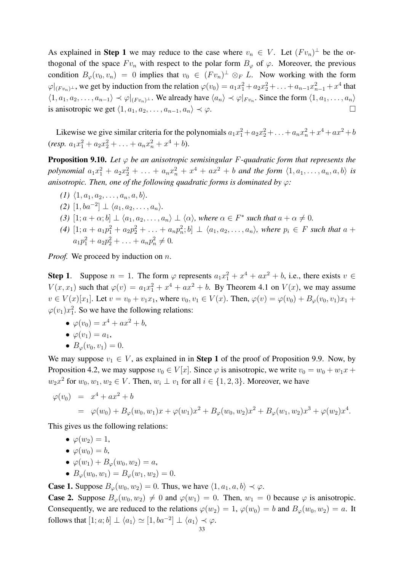As explained in Step 1 we may reduce to the case where  $v_n \in V$ . Let  $(Fv_n)^{\perp}$  be the orthogonal of the space  $F v_n$  with respect to the polar form  $B_{\varphi}$  of  $\varphi$ . Moreover, the previous condition  $B_{\varphi}(v_0, v_n) = 0$  implies that  $v_0 \in (F v_n)^{\perp} \otimes_F L$ . Now working with the form  $\varphi|_{(Fv_n)^{\perp}}$ , we get by induction from the relation  $\varphi(v_0) = a_1x_1^2 + a_2x_2^2 + \ldots + a_{n-1}x_{n-1}^2 + x^4$  that  $\langle 1, a_1, a_2, \ldots, a_{n-1} \rangle \prec \varphi|_{(Fv_n)^{\perp}}$ . We already have  $\langle a_n \rangle \prec \varphi|_{Fv_n}$ . Since the form  $\langle 1, a_1, \ldots, a_n \rangle$ is anisotropic we get  $\langle 1, a_1, a_2, \ldots, a_{n-1}, a_n \rangle \prec \varphi$ .

Likewise we give similar criteria for the polynomials  $a_1x_1^2 + a_2x_2^2 + \ldots + a_nx_n^2 + x^4 + ax^2 + b$ (resp.  $a_1x_1^2 + a_2x_2^2 + \ldots + a_nx_n^2 + x^4 + b$ ).

Proposition 9.10. *Let* φ *be an anisotropic semisingular* F*-quadratic form that represents the* polynomial  $a_1x_1^2 + a_2x_2^2 + \ldots + a_nx_n^2 + x^4 + ax^2 + b$  and the form  $\langle 1, a_1, \ldots, a_n, a, b \rangle$  is *anisotropic. Then, one of the following quadratic forms is dominated by* φ*:*

*(1)*  $\langle 1, a_1, a_2, \ldots, a_n, a, b \rangle$ .  $(2)$  [1, ba<sup>-2</sup>] ⊥  $\langle a_1, a_2, \ldots, a_n \rangle$ *. (3)*  $[1; a + \alpha; b] \perp \langle a_1, a_2, \ldots, a_n \rangle \perp \langle \alpha \rangle$ , where  $\alpha \in F^*$  such that  $a + \alpha \neq 0$ .  $(4)$   $[1; a + a_1p_1^2 + a_2p_2^2 + \ldots + a_np_n^2; b] \perp \langle a_1, a_2, \ldots, a_n \rangle$ , where  $p_i \in F$  such that  $a +$  $a_1p_1^2 + a_2p_2^2 + \ldots + a_np_n^2 \neq 0.$ 

*Proof.* We proceed by induction on *n*.

**Step 1.** Suppose  $n = 1$ . The form  $\varphi$  represents  $a_1x_1^2 + x^4 + ax^2 + b$ , i.e., there exists  $v \in$  $V(x, x_1)$  such that  $\varphi(v) = a_1 x_1^2 + x^4 + a x^2 + b$ . By Theorem 4.1 on  $V(x)$ , we may assume  $v \in V(x)[x_1]$ . Let  $v = v_0 + v_1x_1$ , where  $v_0, v_1 \in V(x)$ . Then,  $\varphi(v) = \varphi(v_0) + B_{\varphi}(v_0, v_1)x_1 +$  $\varphi(v_1)x_1^2$ . So we have the following relations:

- $\varphi(v_0) = x^4 + ax^2 + b$ ,
- $\bullet \varphi(v_1) = a_1,$
- $B_{\varphi}(v_0, v_1) = 0.$

We may suppose  $v_1 \in V$ , as explained in in Step 1 of the proof of Proposition 9.9. Now, by Proposition 4.2, we may suppose  $v_0 \in V[x]$ . Since  $\varphi$  is anisotropic, we write  $v_0 = w_0 + w_1x +$  $w_2x^2$  for  $w_0, w_1, w_2 \in V$ . Then,  $w_i \perp v_1$  for all  $i \in \{1, 2, 3\}$ . Moreover, we have

$$
\varphi(v_0) = x^4 + ax^2 + b
$$
  
=  $\varphi(w_0) + B_{\varphi}(w_0, w_1)x + \varphi(w_1)x^2 + B_{\varphi}(w_0, w_2)x^2 + B_{\varphi}(w_1, w_2)x^3 + \varphi(w_2)x^4.$ 

This gives us the following relations:

 $\bullet \varphi(w_2) = 1$ ,

- $\varphi(w_0) = b$ ,
- $\varphi(w_1) + B_{\varphi}(w_0, w_2) = a$ ,
- $B_{\varphi}(w_0, w_1) = B_{\varphi}(w_1, w_2) = 0.$

**Case 1.** Suppose  $B_{\varphi}(w_0, w_2) = 0$ . Thus, we have  $\langle 1, a_1, a, b \rangle \prec \varphi$ .

**Case 2.** Suppose  $B_{\varphi}(w_0, w_2) \neq 0$  and  $\varphi(w_1) = 0$ . Then,  $w_1 = 0$  because  $\varphi$  is anisotropic. Consequently, we are reduced to the relations  $\varphi(w_2) = 1$ ,  $\varphi(w_0) = b$  and  $B_{\varphi}(w_0, w_2) = a$ . It follows that  $[1; a; b] \perp \langle a_1 \rangle \simeq [1, ba^{-2}] \perp \langle a_1 \rangle \prec \varphi$ .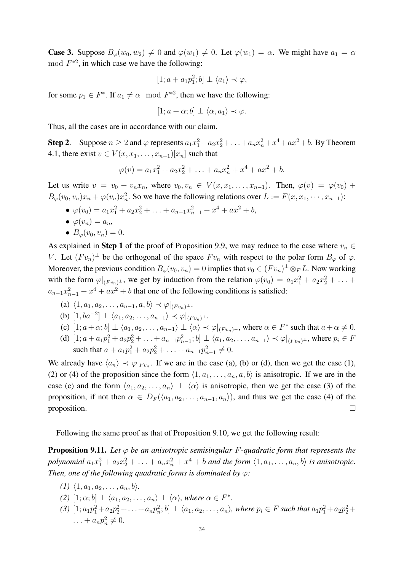**Case 3.** Suppose  $B_{\varphi}(w_0, w_2) \neq 0$  and  $\varphi(w_1) \neq 0$ . Let  $\varphi(w_1) = \alpha$ . We might have  $a_1 = \alpha$ mod  $F^{*2}$ , in which case we have the following:

$$
[1; a + a_1 p_1^2; b] \perp \langle a_1 \rangle \prec \varphi,
$$

for some  $p_1 \in F^*$ . If  $a_1 \neq \alpha \mod F^{*2}$ , then we have the following:

$$
[1; a + \alpha; b] \perp \langle \alpha, a_1 \rangle \prec \varphi.
$$

Thus, all the cases are in accordance with our claim.

**Step 2.** Suppose  $n \ge 2$  and  $\varphi$  represents  $a_1x_1^2 + a_2x_2^2 + \ldots + a_nx_n^2 + x^4 + ax^2 + b$ . By Theorem 4.1, there exist  $v \in V(x, x_1, \ldots, x_{n-1})[x_n]$  such that

$$
\varphi(v) = a_1 x_1^2 + a_2 x_2^2 + \ldots + a_n x_n^2 + x^4 + a x^2 + b.
$$

Let us write  $v = v_0 + v_n x_n$ , where  $v_0, v_n \in V(x, x_1, \ldots, x_{n-1})$ . Then,  $\varphi(v) = \varphi(v_0) + \varphi(v_1)$  $B_{\varphi}(v_0, v_n)x_n + \varphi(v_n)x_n^2$ . So we have the following relations over  $L := F(x, x_1, \dots, x_{n-1})$ :

- $\varphi(v_0) = a_1 x_1^2 + a_2 x_2^2 + \ldots + a_{n-1} x_{n-1}^2 + x^4 + a x^2 + b,$  $\bullet \varphi(v_n) = a_n,$
- $B_{\varphi}(v_0, v_n) = 0.$

As explained in Step 1 of the proof of Proposition 9.9, we may reduce to the case where  $v_n \in$ V. Let  $(Fv_n)^{\perp}$  be the orthogonal of the space  $Fv_n$  with respect to the polar form  $B_{\varphi}$  of  $\varphi$ . Moreover, the previous condition  $B_{\varphi}(v_0, v_n) = 0$  implies that  $v_0 \in (Fv_n)^{\perp} \otimes_F L$ . Now working with the form  $\varphi|_{(Fv_n)^{\perp}}$ , we get by induction from the relation  $\varphi(v_0) = a_1x_1^2 + a_2x_2^2 + \ldots$  $a_{n-1}x_{n-1}^2 + x^4 + ax^2 + b$  that one of the following conditions is satisfied:

- (a)  $\langle 1, a_1, a_2, \ldots, a_{n-1}, a, b \rangle \prec \varphi|_{(Fv_n)^{\perp}}$ .
- (b)  $[1, ba^{-2}] \perp \langle a_1, a_2, \ldots, a_{n-1} \rangle \prec \varphi|_{(F v_n)^{\perp}}.$
- (c)  $[1; a+\alpha; b] \perp \langle a_1, a_2, \ldots, a_{n-1} \rangle \perp \langle \alpha \rangle \prec \varphi |_{(Fv_n)^{\perp}}$ , where  $\alpha \in F^*$  such that  $a+\alpha \neq 0$ .
- (d)  $[1; a + a_1p_1^2 + a_2p_2^2 + \ldots + a_{n-1}p_{n-1}^2; b] \perp \langle a_1, a_2, \ldots, a_{n-1} \rangle \prec \varphi|_{(Fv_n)^{\perp}}$ , where  $p_i \in F$ such that  $a + a_1 p_1^2 + a_2 p_2^2 + \ldots + a_{n-1} p_{n-1}^2 \neq 0$ .

We already have  $\langle a_n \rangle \prec \varphi|_{F v_n}$ . If we are in the case (a), (b) or (d), then we get the case (1), (2) or (4) of the proposition since the form  $\langle 1, a_1, \ldots, a_n, a, b \rangle$  is anisotropic. If we are in the case (c) and the form  $\langle a_1, a_2, \ldots, a_n \rangle \perp \langle \alpha \rangle$  is anisotropic, then we get the case (3) of the proposition, if not then  $\alpha \in D_F(\langle a_1, a_2, \ldots, a_{n-1}, a_n \rangle)$ , and thus we get the case (4) of the proposition.  $\Box$ 

Following the same proof as that of Proposition 9.10, we get the following result:

Proposition 9.11. *Let* φ *be an anisotropic semisingular* F*-quadratic form that represents the* polynomial  $a_1x_1^2 + a_2x_2^2 + \ldots + a_nx_n^2 + x^4 + b$  and the form  $\langle 1, a_1, \ldots, a_n, b \rangle$  is anisotropic. *Then, one of the following quadratic forms is dominated by* φ*:*

- $(1)$   $\langle 1, a_1, a_2, \ldots, a_n, b \rangle$ .
- (2)  $[1; \alpha; b] \perp \langle a_1, a_2, \ldots, a_n \rangle \perp \langle \alpha \rangle$ *, where*  $\alpha \in F^*$ *.*
- $(3)$   $[1; a_1p_1^2 + a_2p_2^2 + \ldots + a_np_n^2; b] \perp \langle a_1, a_2, \ldots, a_n \rangle$ , where  $p_i \in F$  such that  $a_1p_1^2 + a_2p_2^2 + \ldots$ ... +  $a_n p_n^2 \neq 0$ .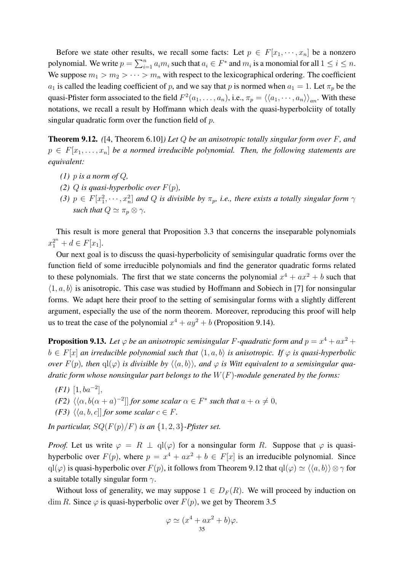Before we state other results, we recall some facts: Let  $p \in F[x_1, \dots, x_n]$  be a nonzero polynomial. We write  $p = \sum_{i=1}^n a_i m_i$  such that  $a_i \in F^*$  and  $m_i$  is a monomial for all  $1 \le i \le n$ . We suppose  $m_1 > m_2 > \cdots > m_n$  with respect to the lexicographical ordering. The coefficient  $a_1$  is called the leading coefficient of p, and we say that p is normed when  $a_1 = 1$ . Let  $\pi_p$  be the quasi-Pfister form associated to the field  $F^2(a_1,\ldots,a_n)$ , i.e.,  $\pi_p=\langle\langle a_1,\cdots,a_n\rangle\rangle_{an}$ . With these notations, we recall a result by Hoffmann which deals with the quasi-hyperbolciity of totally singular quadratic form over the function field of  $p$ .

Theorem 9.12. *(*[4, Theorem 6.10]*) Let* Q *be an anisotropic totally singular form over* F*, and*  $p \in F[x_1, \ldots, x_n]$  be a normed irreducible polynomial. Then, the following statements are *equivalent:*

- *(1)* p *is a norm of Q*,
- *(2) Q is quasi-hyperbolic over*  $F(p)$ *,*
- *(3)*  $p \in F[x_1^2, \dots, x_n^2]$  and Q is divisible by  $\pi_p$ , i.e., there exists a totally singular form  $\gamma$ *such that*  $Q \simeq \pi_p \otimes \gamma$ *.*

This result is more general that Proposition 3.3 that concerns the inseparable polynomials  $x_1^{2^n} + d \in F[x_1].$ 

Our next goal is to discuss the quasi-hyperbolicity of semisingular quadratic forms over the function field of some irreducible polynomials and find the generator quadratic forms related to these polynomials. The first that we state concerns the polynomial  $x^4 + ax^2 + b$  such that  $\langle 1, a, b \rangle$  is anisotropic. This case was studied by Hoffmann and Sobiech in [7] for nonsingular forms. We adapt here their proof to the setting of semisingular forms with a slightly different argument, especially the use of the norm theorem. Moreover, reproducing this proof will help us to treat the case of the polynomial  $x^4 + ay^2 + b$  (Proposition 9.14).

**Proposition 9.13.** Let  $\varphi$  be an anisotropic semisingular F-quadratic form and  $p = x^4 + ax^2 +$  $b \in F[x]$  *an irreducible polynomial such that*  $\langle 1, a, b \rangle$  *is anisotropic. If*  $\varphi$  *is quasi-hyperbolic over*  $F(p)$ , then  $q(\varphi)$  *is divisible by*  $\langle \langle a, b \rangle \rangle$ , and  $\varphi$  *is Witt equivalent to a semisingular quadratic form whose nonsingular part belongs to the* W(F)*-module generated by the forms:*

 $(F1)$  [1, ba<sup>-2</sup>], *(F2)*  $\langle \langle \alpha, b(\alpha + a)^{-2} \rangle$  *for some scalar*  $\alpha \in F^*$  *such that*  $a + \alpha \neq 0$ , *(F3)*  $\langle \langle a, b, c \rangle |$  *for some scalar*  $c \in F$ *.* 

*In particular,*  $SQ(F(p)/F)$  *is an*  $\{1, 2, 3\}$ *-Pfister set.* 

*Proof.* Let us write  $\varphi = R \perp \text{ql}(\varphi)$  for a nonsingular form R. Suppose that  $\varphi$  is quasihyperbolic over  $F(p)$ , where  $p = x^4 + ax^2 + b \in F[x]$  is an irreducible polynomial. Since ql( $\varphi$ ) is quasi-hyperbolic over  $F(p)$ , it follows from Theorem 9.12 that  $ql(\varphi) \simeq \langle \langle a, b \rangle \rangle \otimes \gamma$  for a suitable totally singular form  $\gamma$ .

Without loss of generality, we may suppose  $1 \in D_F(R)$ . We will proceed by induction on dim R. Since  $\varphi$  is quasi-hyperbolic over  $F(p)$ , we get by Theorem 3.5

$$
\varphi \simeq (x^4 + ax^2 + b)\varphi.
$$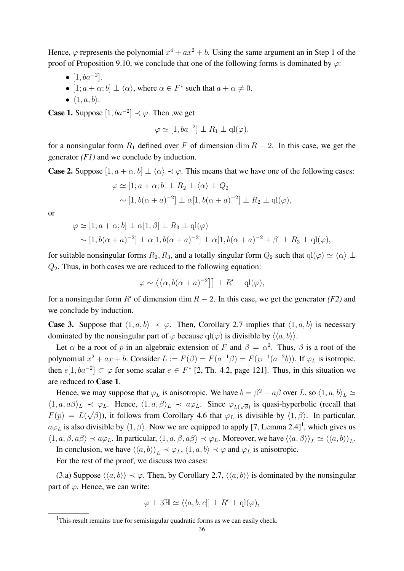Hence,  $\varphi$  represents the polynomial  $x^4 + ax^2 + b$ . Using the same argument an in Step 1 of the proof of Proposition 9.10, we conclude that one of the following forms is dominated by  $\varphi$ :

- $[1, ba^{-2}].$
- $[1; a + \alpha; b] \perp \langle \alpha \rangle$ , where  $\alpha \in F^*$  such that  $a + \alpha \neq 0$ .
- $\bullet$   $\langle 1, a, b \rangle$ .

**Case 1.** Suppose  $[1, ba^{-2}] \prec \varphi$ . Then , we get

$$
\varphi \simeq [1, ba^{-2}] \perp R_1 \perp q l(\varphi),
$$

for a nonsingular form  $R_1$  defined over F of dimension dim  $R - 2$ . In this case, we get the generator *(F1)* and we conclude by induction.

**Case 2.** Suppose  $[1, a + \alpha, b] \perp \langle \alpha \rangle \prec \varphi$ . This means that we have one of the following cases:

$$
\varphi \simeq [1; a + \alpha; b] \perp R_2 \perp \langle \alpha \rangle \perp Q_2
$$
  
 
$$
\sim [1, b(\alpha + a)^{-2}] \perp \alpha [1, b(\alpha + a)^{-2}] \perp R_2 \perp q l(\varphi),
$$

or

$$
\varphi \simeq [1; a + \alpha; b] \perp \alpha[1, \beta] \perp R_3 \perp \mathbf{q}(\varphi)
$$
  
 
$$
\sim [1, b(\alpha + a)^{-2}] \perp \alpha[1, b(\alpha + a)^{-2}] \perp \alpha[1, b(\alpha + a)^{-2} + \beta] \perp R_3 \perp \mathbf{q}(\varphi),
$$

for suitable nonsingular forms  $R_2, R_3$ , and a totally singular form  $Q_2$  such that  $qI(\varphi) \simeq \langle \alpha \rangle \perp$  $Q_2$ . Thus, in both cases we are reduced to the following equation:

$$
\varphi \sim \left\langle \left\langle \alpha, b(\alpha + a)^{-2} \right\rangle \right] \perp R' \perp \mathrm{ql}(\varphi),
$$

for a nonsingular form  $R'$  of dimension dim  $R - 2$ . In this case, we get the generator *(F2)* and we conclude by induction.

**Case 3.** Suppose that  $\langle 1, a, b \rangle \prec \varphi$ . Then, Corollary 2.7 implies that  $\langle 1, a, b \rangle$  is necessary dominated by the nonsingular part of  $\varphi$  because  $q(\varphi)$  is divisible by  $\langle\langle a, b \rangle\rangle$ .

Let  $\alpha$  be a root of p in an algebraic extension of F and  $\beta = \alpha^2$ . Thus,  $\beta$  is a root of the polynomial  $x^2 + ax + b$ . Consider  $L := F(\beta) = F(a^{-1}\beta) = F(\wp^{-1}(a^{-2}b))$ . If  $\varphi_L$  is isotropic, then  $e[1, ba^{-2}] \subset \varphi$  for some scalar  $e \in F^*$  [2, Th. 4.2, page 121]. Thus, in this situation we are reduced to Case 1.

Hence, we may suppose that  $\varphi_L$  is anisotropic. We have  $b = \beta^2 + a\beta$  over L, so  $\langle 1, a, b \rangle_L \simeq$  $\langle 1, a, a\beta \rangle_L \prec \varphi_L$ . Hence,  $\langle 1, a, \beta \rangle_L \prec a\varphi_L$ . Since  $\varphi_{L(\sqrt{\beta})}$  is quasi-hyperbolic (recall that  $F(p) = L(\sqrt{\beta})$ , it follows from Corollary 4.6 that  $\varphi_L$  is divisible by  $\langle 1, \beta \rangle$ . In particular,  $a\varphi_L$  is also divisible by  $\langle 1, \beta \rangle$ . Now we are equipped to apply [7, Lemma 2.4]<sup>1</sup>, which gives us  $\langle 1, a, \beta, a\beta \rangle \prec a\varphi_L$ . In particular,  $\langle 1, a, \beta, a\beta \rangle \prec \varphi_L$ . Moreover, we have  $\langle \langle a, \beta \rangle \rangle_L \simeq \langle \langle a, b \rangle \rangle_L$ .

In conclusion, we have  $\langle \langle a, b \rangle \rangle_L \prec \varphi_L$ ,  $\langle 1, a, b \rangle \prec \varphi$  and  $\varphi_L$  is anisotropic.

For the rest of the proof, we discuss two cases:

(3.a) Suppose  $\langle \langle a, b \rangle \rangle \prec \varphi$ . Then, by Corollary 2.7,  $\langle \langle a, b \rangle \rangle$  is dominated by the nonsingular part of  $\varphi$ . Hence, we can write:

$$
\varphi \perp 3\mathbb{H} \simeq \langle \langle a, b, c \vert \,] \perp R' \perp \mathrm{ql}(\varphi),
$$

<sup>&</sup>lt;sup>1</sup>This result remains true for semisingular quadratic forms as we can easily check.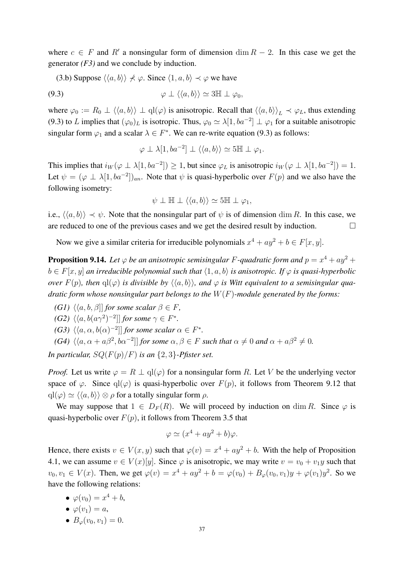where  $c \in F$  and  $R'$  a nonsingular form of dimension dim  $R - 2$ . In this case we get the generator *(F3)* and we conclude by induction.

(3.b) Suppose  $\langle \langle a, b \rangle \rangle \nprec \varphi$ . Since  $\langle 1, a, b \rangle \prec \varphi$  we have

$$
\varphi \perp \langle \langle a, b \rangle \rangle \simeq 3\mathbb{H} \perp \varphi_0,
$$

where  $\varphi_0 := R_0 \perp \langle \langle a, b \rangle \rangle \perp \mathrm{ql}(\varphi)$  is anisotropic. Recall that  $\langle \langle a, b \rangle \rangle_L \prec \varphi_L$ , thus extending (9.3) to L implies that  $(\varphi_0)_L$  is isotropic. Thus,  $\varphi_0 \simeq \lambda[1, ba^{-2}] \perp \varphi_1$  for a suitable anisotropic singular form  $\varphi_1$  and a scalar  $\lambda \in F^*$ . We can re-write equation (9.3) as follows:

$$
\varphi \perp \lambda[1, ba^{-2}] \perp \langle \langle a, b \rangle \rangle \simeq 5\mathbb{H} \perp \varphi_1.
$$

This implies that  $i_W(\varphi \perp \lambda[1, ba^{-2}]) \geq 1$ , but since  $\varphi_L$  is anisotropic  $i_W(\varphi \perp \lambda[1, ba^{-2}]) = 1$ . Let  $\psi = (\varphi \perp \lambda [1, ba^{-2}])_{an}$ . Note that  $\psi$  is quasi-hyperbolic over  $F(p)$  and we also have the following isometry:

$$
\psi \perp \mathbb{H} \perp \langle \langle a, b \rangle \rangle \simeq 5 \mathbb{H} \perp \varphi_1,
$$

i.e.,  $\langle \langle a, b \rangle \rangle \prec \psi$ . Note that the nonsingular part of  $\psi$  is of dimension dim R. In this case, we are reduced to one of the previous cases and we get the desired result by induction.  $\Box$ 

Now we give a similar criteria for irreducible polynomials  $x^4 + ay^2 + b \in F[x, y]$ .

**Proposition 9.14.** Let  $\varphi$  be an anisotropic semisingular F-quadratic form and  $p = x^4 + ay^2 +$  $b \in F[x, y]$  *an irreducible polynomial such that*  $\langle 1, a, b \rangle$  *is anisotropic. If*  $\varphi$  *is quasi-hyperbolic over*  $F(p)$ , then  $q(\varphi)$  *is divisible by*  $\langle \langle a, b \rangle \rangle$ , and  $\varphi$  *is Witt equivalent to a semisingular quadratic form whose nonsingular part belongs to the* W(F)*-module generated by the forms:*

*(G1)*  $\langle \langle a, b, \beta \rangle |$  *for some scalar*  $\beta \in F$ *,* 

(G2) 
$$
\langle \langle a, b(a\gamma^2)^{-2} \rangle
$$
 for some  $\gamma \in F^*$ .

- *(G3)*  $\langle \langle a, \alpha, b(\alpha)^{-2} \rangle$  *for some scalar*  $\alpha \in F^*$ *.*
- *(G4)*  $\langle \langle a, \alpha + a\beta^2, b\alpha^{-2} \rangle |$  *for some*  $\alpha, \beta \in F$  *such that*  $\alpha \neq 0$  *and*  $\alpha + a\beta^2 \neq 0$ *.*

*In particular,*  $SQ(F(p)/F)$  *is an*  $\{2,3\}$ *-Pfister set.* 

*Proof.* Let us write  $\varphi = R \perp \mathrm{ql}(\varphi)$  for a nonsingular form R. Let V be the underlying vector space of  $\varphi$ . Since  $\varphi(\varphi)$  is quasi-hyperbolic over  $F(p)$ , it follows from Theorem 9.12 that  $qI(\varphi) \simeq \langle \langle a, b \rangle \rangle \otimes \rho$  for a totally singular form  $\rho$ .

We may suppose that  $1 \in D_F(R)$ . We will proceed by induction on dim R. Since  $\varphi$  is quasi-hyperbolic over  $F(p)$ , it follows from Theorem 3.5 that

$$
\varphi \simeq (x^4 + ay^2 + b)\varphi.
$$

Hence, there exists  $v \in V(x, y)$  such that  $\varphi(v) = x^4 + ay^2 + b$ . With the help of Proposition 4.1, we can assume  $v \in V(x)[y]$ . Since  $\varphi$  is anisotropic, we may write  $v = v_0 + v_1y$  such that  $v_0, v_1 \in V(x)$ . Then, we get  $\varphi(v) = x^4 + ay^2 + b = \varphi(v_0) + B_{\varphi}(v_0, v_1)y + \varphi(v_1)y^2$ . So we have the following relations:

- $\varphi(v_0) = x^4 + b$ ,
- $\bullet \varphi(v_1) = a$ ,
- $B_{\varphi}(v_0, v_1) = 0.$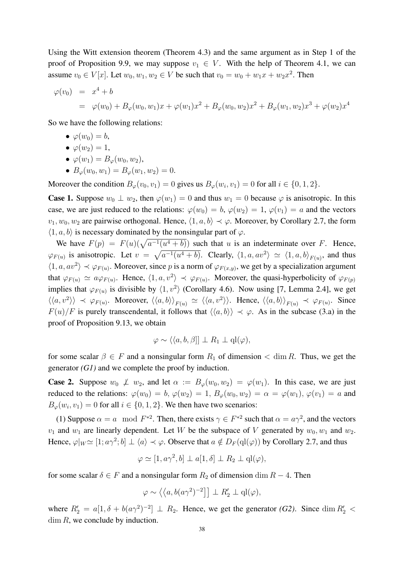Using the Witt extension theorem (Theorem 4.3) and the same argument as in Step 1 of the proof of Proposition 9.9, we may suppose  $v_1 \in V$ . With the help of Theorem 4.1, we can assume  $v_0 \in V[x]$ . Let  $w_0, w_1, w_2 \in V$  be such that  $v_0 = w_0 + w_1 x + w_2 x^2$ . Then

$$
\varphi(v_0) = x^4 + b
$$
  
=  $\varphi(w_0) + B_{\varphi}(w_0, w_1)x + \varphi(w_1)x^2 + B_{\varphi}(w_0, w_2)x^2 + B_{\varphi}(w_1, w_2)x^3 + \varphi(w_2)x^4$ 

So we have the following relations:

- $\bullet \varphi(w_0) = b,$
- $\bullet \varphi(w_2) = 1$ ,
- $\varphi(w_1) = B_{\varphi}(w_0, w_2),$
- $B_{\varphi}(w_0, w_1) = B_{\varphi}(w_1, w_2) = 0.$

Moreover the condition  $B_{\varphi}(v_0, v_1) = 0$  gives us  $B_{\varphi}(w_i, v_1) = 0$  for all  $i \in \{0, 1, 2\}.$ 

**Case 1.** Suppose  $w_0 \perp w_2$ , then  $\varphi(w_1) = 0$  and thus  $w_1 = 0$  because  $\varphi$  is anisotropic. In this case, we are just reduced to the relations:  $\varphi(w_0) = b$ ,  $\varphi(w_2) = 1$ ,  $\varphi(v_1) = a$  and the vectors  $v_1, w_0, w_2$  are pairwise orthogonal. Hence,  $\langle 1, a, b \rangle \prec \varphi$ . Moreover, by Corollary 2.7, the form  $\langle 1, a, b \rangle$  is necessary dominated by the nonsingular part of  $\varphi$ .

We have  $F(p) = F(u)(\sqrt{a^{-1}(u^4 + b)})$  such that u is an indeterminate over F. Hence,  $\varphi_{F(u)}$  is anisotropic. Let  $v = \sqrt{a^{-1}(u^4 + b)}$ . Clearly,  $\langle 1, a, av^2 \rangle \simeq \langle 1, a, b \rangle_{F(u)}$ , and thus  $\langle 1, a, av^2 \rangle \prec \varphi_{F(u)}$ . Moreover, since p is a norm of  $\varphi_{F(x,y)}$ , we get by a specialization argument that  $\varphi_{F(u)} \simeq a \varphi_{F(u)}$ . Hence,  $\langle 1, a, v^2 \rangle \prec \varphi_{F(u)}$ . Moreover, the quasi-hyperbolicity of  $\varphi_{F(p)}$ implies that  $\varphi_{F(u)}$  is divisible by  $\langle 1, v^2 \rangle$  (Corollary 4.6). Now using [7, Lemma 2.4], we get  $\langle\langle a,v^2\rangle\rangle \prec \varphi_{F(u)}$ . Moreover,  $\langle\langle a,b\rangle\rangle_{F(u)} \simeq \langle\langle a,v^2\rangle\rangle$ . Hence,  $\langle\langle a,b\rangle\rangle_{F(u)} \prec \varphi_{F(u)}$ . Since  $F(u)/F$  is purely transcendental, it follows that  $\langle\langle a, b \rangle\rangle \prec \varphi$ . As in the subcase (3.a) in the proof of Proposition 9.13, we obtain

$$
\varphi \sim \langle \langle a, b, \beta \rangle] \perp R_1 \perp q l(\varphi),
$$

for some scalar  $\beta \in F$  and a nonsingular form  $R_1$  of dimension  $\lt \dim R$ . Thus, we get the generator *(G1)* and we complete the proof by induction.

**Case 2.** Suppose  $w_0 \not\perp w_2$ , and let  $\alpha := B_{\varphi}(w_0, w_2) = \varphi(w_1)$ . In this case, we are just reduced to the relations:  $\varphi(w_0) = b$ ,  $\varphi(w_2) = 1$ ,  $B_{\varphi}(w_0, w_2) = \alpha = \varphi(w_1)$ ,  $\varphi(v_1) = a$  and  $B_{\varphi}(w_i, v_1) = 0$  for all  $i \in \{0, 1, 2\}$ . We then have two scenarios:

(1) Suppose  $\alpha = a \mod F^{*2}$ . Then, there exists  $\gamma \in F^{*2}$  such that  $\alpha = a\gamma^2$ , and the vectors  $v_1$  and  $w_1$  are linearly dependent. Let W be the subspace of V generated by  $w_0, w_1$  and  $w_2$ . Hence,  $\varphi|_W \simeq [1; a\gamma^2; b] \perp \langle a \rangle \prec \varphi$ . Observe that  $a \notin D_F(\mathrm{ql}(\varphi))$  by Corollary 2.7, and thus

$$
\varphi \simeq [1, a\gamma^2, b] \perp a[1, \delta] \perp R_2 \perp \mathrm{ql}(\varphi),
$$

for some scalar  $\delta \in F$  and a nonsingular form  $R_2$  of dimension dim  $R - 4$ . Then

$$
\varphi \sim \left\langle \left\langle a, b(a\gamma^2)^{-2} \right\rangle \right] \perp R_2' \perp \mathbf{ql}(\varphi),
$$

where  $R'_2 = a[1, \delta + b(a\gamma^2)^{-2}] \perp R_2$ . Hence, we get the generator *(G2)*. Since dim  $R'_2$  <  $\dim R$ , we conclude by induction.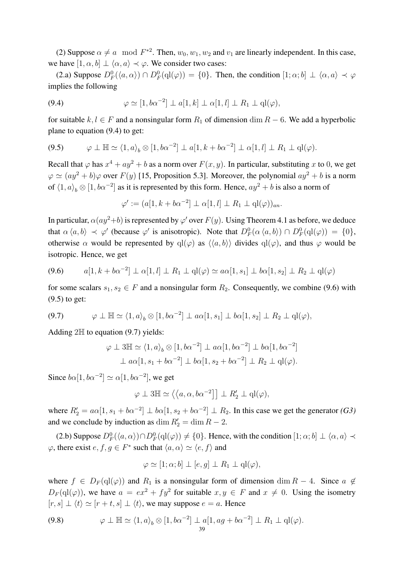(2) Suppose  $\alpha \neq a \mod F^{*2}$ . Then,  $w_0, w_1, w_2$  and  $v_1$  are linearly independent. In this case, we have  $[1, \alpha, b] \perp \langle \alpha, a \rangle \prec \varphi$ . We consider two cases:

(2.a) Suppose  $D_F^0(\langle a, \alpha \rangle) \cap D_F^0(\text{ql}(\varphi)) = \{0\}$ . Then, the condition  $[1; \alpha; b] \perp \langle \alpha, a \rangle \prec \varphi$ implies the following

(9.4) 
$$
\varphi \simeq [1, b\alpha^{-2}] \perp a[1, k] \perp \alpha[1, l] \perp R_1 \perp q(\varphi),
$$

for suitable  $k, l \in F$  and a nonsingular form  $R_1$  of dimension dim  $R - 6$ . We add a hyperbolic plane to equation (9.4) to get:

$$
(9.5) \qquad \varphi \perp \mathbb{H} \simeq \langle 1, a \rangle_b \otimes [1, b\alpha^{-2}] \perp a[1, k + b\alpha^{-2}] \perp \alpha[1, l] \perp R_1 \perp \mathbf{q}(\varphi).
$$

Recall that  $\varphi$  has  $x^4 + ay^2 + b$  as a norm over  $F(x, y)$ . In particular, substituting x to 0, we get  $\varphi \simeq (ay^2 + b)\varphi$  over  $F(y)$  [15, Proposition 5.3]. Moreover, the polynomial  $ay^2 + b$  is a norm of  $\langle 1, a \rangle_b \otimes [1, b\alpha^{-2}]$  as it is represented by this form. Hence,  $ay^2 + b$  is also a norm of

$$
\varphi' := (a[1, k + b\alpha^{-2}] \perp \alpha[1, l] \perp R_1 \perp q l(\varphi))_{an}.
$$

In particular,  $\alpha(ay^2+b)$  is represented by  $\varphi'$  over  $F(y)$ . Using Theorem 4.1 as before, we deduce that  $\alpha \langle a, b \rangle \prec \varphi'$  (because  $\varphi'$  is anisotropic). Note that  $D_F^0(\alpha \langle a, b \rangle) \cap D_F^0(\text{ql}(\varphi)) = \{0\},$ otherwise  $\alpha$  would be represented by ql( $\varphi$ ) as  $\langle\langle a, b \rangle\rangle$  divides ql( $\varphi$ ), and thus  $\varphi$  would be isotropic. Hence, we get

$$
(9.6) \qquad a[1, k + b\alpha^{-2}] \perp \alpha[1, l] \perp R_1 \perp \mathbf{q}(\varphi) \simeq a\alpha[1, s_1] \perp b\alpha[1, s_2] \perp R_2 \perp \mathbf{q}(\varphi)
$$

for some scalars  $s_1, s_2 \in F$  and a nonsingular form  $R_2$ . Consequently, we combine (9.6) with (9.5) to get:

$$
(9.7) \qquad \varphi \perp \mathbb{H} \simeq \langle 1, a \rangle_b \otimes [1, b\alpha^{-2}] \perp a\alpha[1, s_1] \perp b\alpha[1, s_2] \perp R_2 \perp qI(\varphi),
$$

Adding  $2 \mathbb{H}$  to equation (9.7) yields:

$$
\varphi \perp 3\mathbb{H} \simeq \langle 1, a \rangle_b \otimes [1, b\alpha^{-2}] \perp a\alpha [1, b\alpha^{-2}] \perp b\alpha [1, b\alpha^{-2}]
$$
  

$$
\perp a\alpha [1, s_1 + b\alpha^{-2}] \perp b\alpha [1, s_2 + b\alpha^{-2}] \perp R_2 \perp q l(\varphi).
$$

Since  $b\alpha[1, b\alpha^{-2}] \simeq \alpha[1, b\alpha^{-2}]$ , we get

$$
\varphi \perp 3\mathbb{H} \simeq \left\langle \left\langle a, \alpha, b\alpha^{-2} \right\rangle \right] \perp R_2' \perp \mathbf{q} l(\varphi),
$$

where  $R'_2 = a\alpha[1, s_1 + b\alpha^{-2}] \perp b\alpha[1, s_2 + b\alpha^{-2}] \perp R_2$ . In this case we get the generator *(G3)* and we conclude by induction as  $\dim R'_2 = \dim R - 2$ .

(2.b) Suppose  $D_F^0(\langle a, \alpha \rangle) \cap D_F^0(\text{ql}(\varphi)) \neq \{0\}$ . Hence, with the condition  $[1; \alpha; b] \perp \langle \alpha, a \rangle \prec$  $\varphi$ , there exist  $e, f, g \in F^*$  such that  $\langle a, \alpha \rangle \simeq \langle e, f \rangle$  and

$$
\varphi \simeq [1; \alpha; b] \perp [e, g] \perp R_1 \perp q l(\varphi),
$$

where  $f \in D_F(q](\varphi)$  and  $R_1$  is a nonsingular form of dimension dim  $R - 4$ . Since  $a \notin$  $D_F(q(\varphi))$ , we have  $a = e^{2} + f y^2$  for suitable  $x, y \in F$  and  $x \neq 0$ . Using the isometry  $[r, s] \perp \langle t \rangle \simeq [r + t, s] \perp \langle t \rangle$ , we may suppose  $e = a$ . Hence

(9.8) 
$$
\varphi \perp \mathbb{H} \simeq \langle 1, a \rangle_b \otimes [1, b\alpha^{-2}] \perp a[1, a g + b\alpha^{-2}] \perp R_1 \perp \mathbf{q}(\varphi).
$$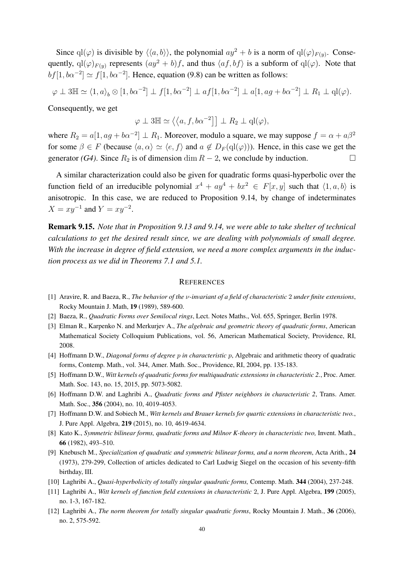Since  $\text{ql}(\varphi)$  is divisible by  $\langle\langle a,b\rangle\rangle$ , the polynomial  $ay^2 + b$  is a norm of  $\text{ql}(\varphi)_{F(y)}$ . Consequently,  $q(\varphi)_{F(y)}$  represents  $(ay^2 + b)f$ , and thus  $\langle af, bf \rangle$  is a subform of  $q(\varphi)$ . Note that  $bf[1, b\alpha^{-2}] \simeq f[1, b\alpha^{-2}]$ . Hence, equation (9.8) can be written as follows:

$$
\varphi \perp 3\mathbb{H} \simeq \langle 1, a \rangle_b \otimes [1, b\alpha^{-2}] \perp f[1, b\alpha^{-2}] \perp af[1, b\alpha^{-2}] \perp a[1, a g + b\alpha^{-2}] \perp R_1 \perp q l(\varphi).
$$

Consequently, we get

$$
\varphi \perp 3\mathbb{H} \simeq \left\langle \left\langle a, f, b\alpha^{-2} \right\rangle \right] \perp R_2 \perp q l(\varphi),
$$

where  $R_2 = a[1, ag + b\alpha^{-2}] \perp R_1$ . Moreover, modulo a square, we may suppose  $f = \alpha + a\beta^2$ for some  $\beta \in F$  (because  $\langle a, \alpha \rangle \simeq \langle e, f \rangle$  and  $a \notin D_F(ql(\varphi))$ ). Hence, in this case we get the generator *(G4)*. Since  $R_2$  is of dimension dim  $R - 2$ , we conclude by induction.  $\Box$ 

A similar characterization could also be given for quadratic forms quasi-hyperbolic over the function field of an irreducible polynomial  $x^4 + ay^4 + bx^2 \in F[x, y]$  such that  $\langle 1, a, b \rangle$  is anisotropic. In this case, we are reduced to Proposition 9.14, by change of indeterminates  $X = xy^{-1}$  and  $Y = xy^{-2}$ .

Remark 9.15. *Note that in Proposition 9.13 and 9.14, we were able to take shelter of technical calculations to get the desired result since, we are dealing with polynomials of small degree. With the increase in degree of field extension, we need a more complex arguments in the induction process as we did in Theorems 7.1 and 5.1.*

#### **REFERENCES**

- [1] Aravire, R. and Baeza, R., *The behavior of the* ν*-invariant of a field of characteristic* 2 *under finite extensions*, Rocky Mountain J. Math, 19 (1989), 589-600.
- [2] Baeza, R., *Quadratic Forms over Semilocal rings*, Lect. Notes Maths., Vol. 655, Springer, Berlin 1978.
- [3] Elman R., Karpenko N. and Merkurjev A., *The algebraic and geometric theory of quadratic forms*, American Mathematical Society Colloquium Publications, vol. 56, American Mathematical Society, Providence, RI, 2008.
- [4] Hoffmann D.W., *Diagonal forms of degree* p *in characteristic* p, Algebraic and arithmetic theory of quadratic forms, Contemp. Math., vol. 344, Amer. Math. Soc., Providence, RI, 2004, pp. 135-183.
- [5] Hoffmann D.W., *Witt kernels of quadratic forms for multiquadratic extensions in characteristic 2.*, Proc. Amer. Math. Soc. 143, no. 15, 2015, pp. 5073-5082.
- [6] Hoffmann D.W. and Laghribi A., *Quadratic forms and Pfister neighbors in characteristic 2*, Trans. Amer. Math. Soc., 356 (2004), no. 10, 4019-4053.
- [7] Hoffmann D.W. and Sobiech M., *Witt kernels and Brauer kernels for quartic extensions in characteristic two.*, J. Pure Appl. Algebra, 219 (2015), no. 10, 4619-4634.
- [8] Kato K., *Symmetric bilinear forms, quadratic forms and Milnor K-theory in characteristic two,* Invent. Math., 66 (1982), 493–510.
- [9] Knebusch M., *Specialization of quadratic and symmetric bilinear forms, and a norm theorem*, Acta Arith., 24 (1973), 279-299, Collection of articles dedicated to Carl Ludwig Siegel on the occasion of his seventy-fifth birthday, III.
- [10] Laghribi A., *Quasi-hyperbolicity of totally singular quadratic forms,* Contemp. Math. 344 (2004), 237-248.
- [11] Laghribi A., *Witt kernels of function field extensions in characteristic* 2, J. Pure Appl. Algebra, 199 (2005), no. 1-3, 167-182.
- [12] Laghribi A., *The norm theorem for totally singular quadratic forms*, Rocky Mountain J. Math., 36 (2006), no. 2, 575-592.